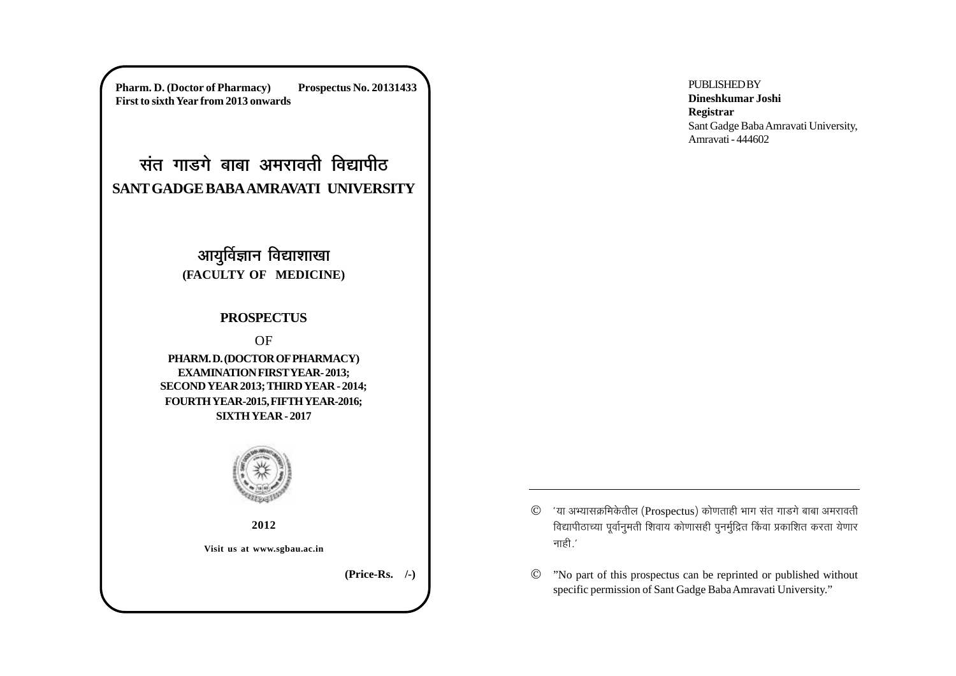**Pharm. D. (Doctor of Pharmacy) Prospectus No. 20131433 First to sixth Year from 2013 onwards**

# ्संत गाडगे बाबा अमरावती विद्यापी**ठ SANT GADGE BABA AMRAVATI UNIVERSITY**

# आयुर्विज्ञान विद्याशाखा **(FACULTY OF MEDICINE)**

# **PROSPECTUS**

OF

**PHARM. D. (DOCTOR OF PHARMACY) EXAMINATION FIRST YEAR- 2013; SECOND YEAR 2013; THIRD YEAR - 2014; FOURTH YEAR-2015, FIFTH YEAR-2016; SIXTH YEAR - 2017**

![](_page_0_Picture_6.jpeg)

**2012**

**Visit us at www.sgbau.ac.in**

**(Price-Rs. /-)**

**PUBLISHED BY Dineshkumar Joshi Registrar** Sant Gadge Baba Amravati University, Amravati - 444602

- $\heartsuit$  'या अभ्यासक्रमिकेतील (Prospectus) कोणताही भाग संत गाडगे बाबा अमरावती विद्यापीठाच्या पूर्वानुमती शिवाय कोणासही पुनर्मुद्रित किंवा प्रकाशित करता येणार नाही $\cdot'$
- © "No part of this prospectus can be reprinted or published without specific permission of Sant Gadge Baba Amravati University."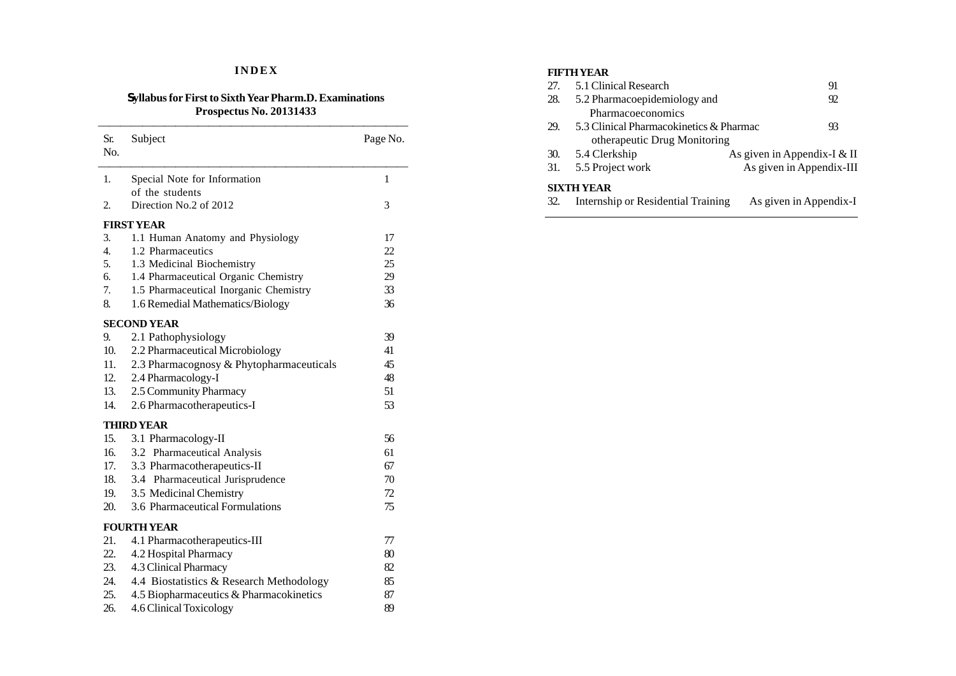# **I N D E X**

# **Syllabus for First to Sixth Year Pharm.D. Examinations Prospectus No. 20131433**

| Sr.<br>N <sub>0</sub> | Subject                                         | Page No. |
|-----------------------|-------------------------------------------------|----------|
| 1.                    | Special Note for Information<br>of the students | 1        |
| 2.                    | Direction No.2 of 2012                          | 3        |
|                       | <b>FIRST YEAR</b>                               |          |
| 3.                    | 1.1 Human Anatomy and Physiology                | 17       |
| $\overline{4}$ .      | 1.2 Pharmaceutics                               | 22       |
| 5.                    | 1.3 Medicinal Biochemistry                      | 25       |
| 6.                    | 1.4 Pharmaceutical Organic Chemistry            | 29       |
| 7.                    | 1.5 Pharmaceutical Inorganic Chemistry          | 33       |
| 8.                    | 1.6 Remedial Mathematics/Biology                | 36       |
|                       | <b>SECOND YEAR</b>                              |          |
| 9.                    | 2.1 Pathophysiology                             | 39       |
| 10.                   | 2.2 Pharmaceutical Microbiology                 | 41       |
| 11.                   | 2.3 Pharmacognosy & Phytopharmaceuticals        | 45       |
| 12.                   | 2.4 Pharmacology-I                              | 48       |
| 13.                   | 2.5 Community Pharmacy                          | 51       |
| 14.                   | 2.6 Pharmacotherapeutics-I                      | 53       |
|                       | <b>THIRD YEAR</b>                               |          |
| 15.                   | 3.1 Pharmacology-II                             | 56       |
| 16.                   | 3.2 Pharmaceutical Analysis                     | 61       |
| 17.                   | 3.3 Pharmacotherapeutics-II                     | 67       |
| 18.                   | 3.4 Pharmaceutical Jurisprudence                | 70       |
| 19.                   | 3.5 Medicinal Chemistry                         | 72       |
| 20.                   | 3.6 Pharmaceutical Formulations                 | 75       |
|                       | <b>FOURTH YEAR</b>                              |          |
| 21.                   | 4.1 Pharmacotherapeutics-III                    | 77       |
| 22.                   | 4.2 Hospital Pharmacy                           | 80       |
| 23.                   | 4.3 Clinical Pharmacy                           | 82       |
| 24.                   | 4.4 Biostatistics & Research Methodology        | 85       |
| 25.                   | 4.5 Biopharmaceutics & Pharmacokinetics         | 87       |
| 26.                   | 4.6 Clinical Toxicology                         | 89       |

#### **FIFTH YEAR**

| 27. | 5.1 Clinical Research                   | 91                            |
|-----|-----------------------------------------|-------------------------------|
| 28. | 5.2 Pharmacoepidemiology and            | 92                            |
|     | Pharmacoeconomics                       |                               |
| 29. | 5.3 Clinical Pharmacokinetics & Pharmac | 93                            |
|     | otherapeutic Drug Monitoring            |                               |
|     | 30. 5.4 Clerkship                       | As given in Appendix-I $&$ II |
| 31. | 5.5 Project work                        | As given in Appendix-III      |
|     | <b>SIXTH YEAR</b>                       |                               |
| 32. | Internship or Residential Training      | As given in Appendix-I        |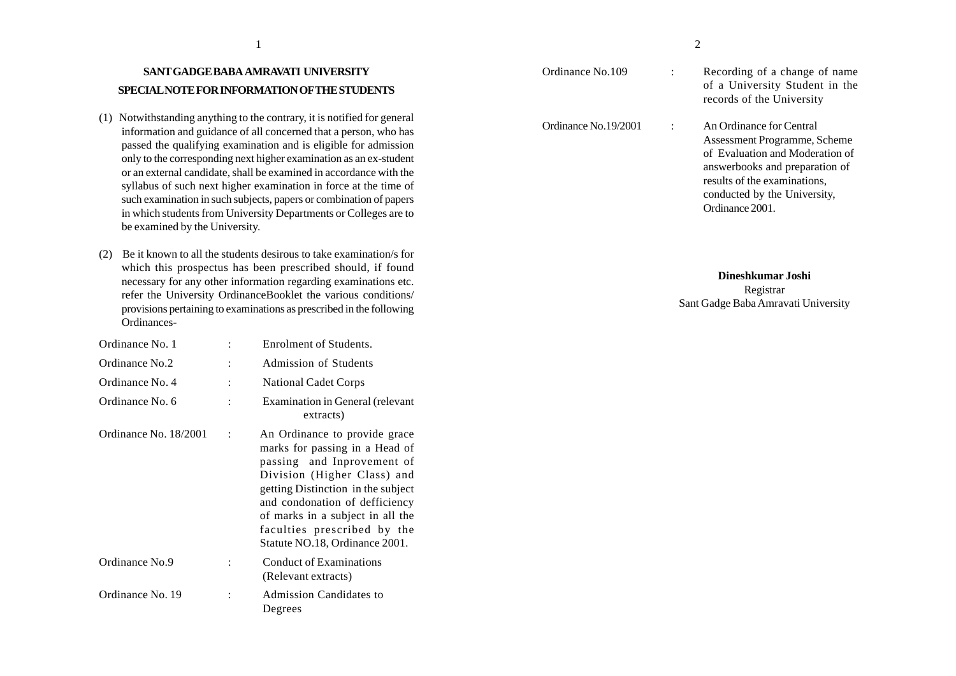# **SANT GADGE BABA AMRAVATI UNIVERSITY SPECIAL NOTE FOR INFORMATION OF THE STUDENTS**

- (1) Notwithstanding anything to the contrary, it is notified for general information and guidance of all concerned that a person, who has passed the qualifying examination and is eligible for admission only to the corresponding next higher examination as an ex-student or an external candidate, shall be examined in accordance with the syllabus of such next higher examination in force at the time of such examination in such subjects, papers or combination of papers in which students from University Departments or Colleges are to be examined by the University.
- (2) Be it known to all the students desirous to take examination/s for which this prospectus has been prescribed should, if found necessary for any other information regarding examinations etc. refer the University OrdinanceBooklet the various conditions/ provisions pertaining to examinations as prescribed in the following Ordinances-

| Ordinance No. 1       |                      | Enrolment of Students.                                                                                                                                                                                                                                                                                    |
|-----------------------|----------------------|-----------------------------------------------------------------------------------------------------------------------------------------------------------------------------------------------------------------------------------------------------------------------------------------------------------|
| Ordinance No.2        |                      | Admission of Students                                                                                                                                                                                                                                                                                     |
| Ordinance No. 4       | $\ddot{\cdot}$       | <b>National Cadet Corps</b>                                                                                                                                                                                                                                                                               |
| Ordinance No. 6       |                      | Examination in General (relevant<br>extracts)                                                                                                                                                                                                                                                             |
| Ordinance No. 18/2001 | $\ddot{\phantom{a}}$ | An Ordinance to provide grace<br>marks for passing in a Head of<br>passing and Inprovement of<br>Division (Higher Class) and<br>getting Distinction in the subject<br>and condonation of defficiency<br>of marks in a subject in all the<br>faculties prescribed by the<br>Statute NO.18, Ordinance 2001. |
| Ordinance No.9        |                      | Conduct of Examinations<br>(Relevant extracts)                                                                                                                                                                                                                                                            |
| Ordinance No. 19      |                      | <b>Admission Candidates to</b><br>Degrees                                                                                                                                                                                                                                                                 |

| Ordinance No.109      | Recording of a change of name<br>of a University Student in the<br>records of the University |
|-----------------------|----------------------------------------------------------------------------------------------|
| Ordinance No. 19/2001 | An Ordinance for Central<br>Assessment Programme, Scheme<br>of Evaluation and Moderation of  |

**Dineshkumar Joshi** Registrar Sant Gadge Baba Amravati University

Ordinance 2001.

answerbooks and preparation of results of the examinations, conducted by the University,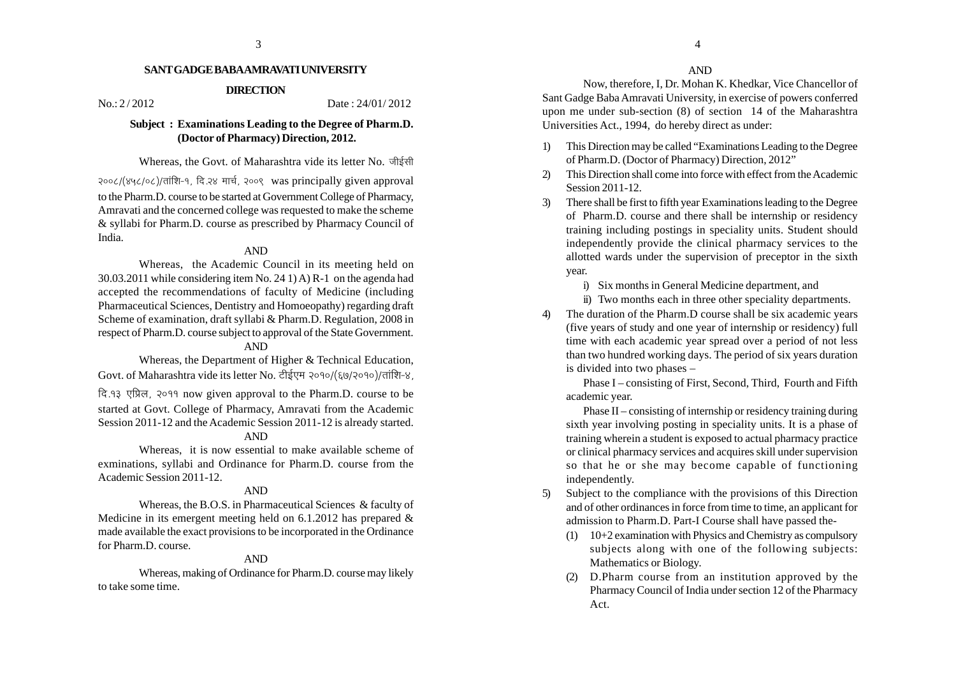#### **SANT GADGE BABA AMRAVATI UNIVERSITY**

#### **DIRECTION**

# $N_0 \cdot 2 / 2012$  Date :  $24/01 / 2012$

### **Subject : Examinations Leading to the Degree of Pharm.D. (Doctor of Pharmacy) Direction, 2012.**

#### Whereas, the Govt. of Maharashtra vide its letter No. जीईसी

२००८/(४५८/०८)/तांशि-१, दि.२४ मार्च, २००९ was principally given approval to the Pharm.D. course to be started at Government College of Pharmacy, Amravati and the concerned college was requested to make the scheme & syllabi for Pharm.D. course as prescribed by Pharmacy Council of India.

#### AND

Whereas, the Academic Council in its meeting held on 30.03.2011 while considering item No. 24 1) A) R-1 on the agenda had accepted the recommendations of faculty of Medicine (including Pharmaceutical Sciences, Dentistry and Homoeopathy) regarding draft Scheme of examination, draft syllabi & Pharm.D. Regulation, 2008 in respect of Pharm.D. course subject to approval of the State Government.

#### AND

Whereas, the Department of Higher & Technical Education, Govt. of Maharashtra vide its letter No. टीईएम २०१०/(६७/२०१०)/तांशि-४,

दि १३ एप्रिल, २०११ now given approval to the Pharm.D. course to be started at Govt. College of Pharmacy, Amravati from the Academic Session 2011-12 and the Academic Session 2011-12 is already started.

### AND

Whereas, it is now essential to make available scheme of exminations, syllabi and Ordinance for Pharm.D. course from the Academic Session 2011-12.

#### AND

Whereas, the B.O.S. in Pharmaceutical Sciences & faculty of Medicine in its emergent meeting held on 6.1.2012 has prepared & made available the exact provisions to be incorporated in the Ordinance for Pharm.D. course.

#### AND

Whereas, making of Ordinance for Pharm.D. course may likely to take some time.

Now, therefore, I, Dr. Mohan K. Khedkar, Vice Chancellor of Sant Gadge Baba Amravati University, in exercise of powers conferred upon me under sub-section (8) of section 14 of the Maharashtra Universities Act., 1994, do hereby direct as under:

- 1) This Direction may be called "Examinations Leading to the Degree of Pharm.D. (Doctor of Pharmacy) Direction, 2012"
- 2) This Direction shall come into force with effect from the Academic Session 2011-12.
- 3) There shall be first to fifth year Examinations leading to the Degree of Pharm.D. course and there shall be internship or residency training including postings in speciality units. Student should independently provide the clinical pharmacy services to the allotted wards under the supervision of preceptor in the sixth year.
	- i) Six months in General Medicine department, and
	- ii) Two months each in three other speciality departments.
- 4) The duration of the Pharm.D course shall be six academic years (five years of study and one year of internship or residency) full time with each academic year spread over a period of not less than two hundred working days. The period of six years duration is divided into two phases –

Phase I – consisting of First, Second, Third, Fourth and Fifth academic year.

Phase II – consisting of internship or residency training during sixth year involving posting in speciality units. It is a phase of training wherein a student is exposed to actual pharmacy practice or clinical pharmacy services and acquires skill under supervision so that he or she may become capable of functioning independently.

- 5) Subject to the compliance with the provisions of this Direction and of other ordinances in force from time to time, an applicant for admission to Pharm.D. Part-I Course shall have passed the-
	- (1) 10+2 examination with Physics and Chemistry as compulsory subjects along with one of the following subjects: Mathematics or Biology.
	- (2) D.Pharm course from an institution approved by the Pharmacy Council of India under section 12 of the Pharmacy Act.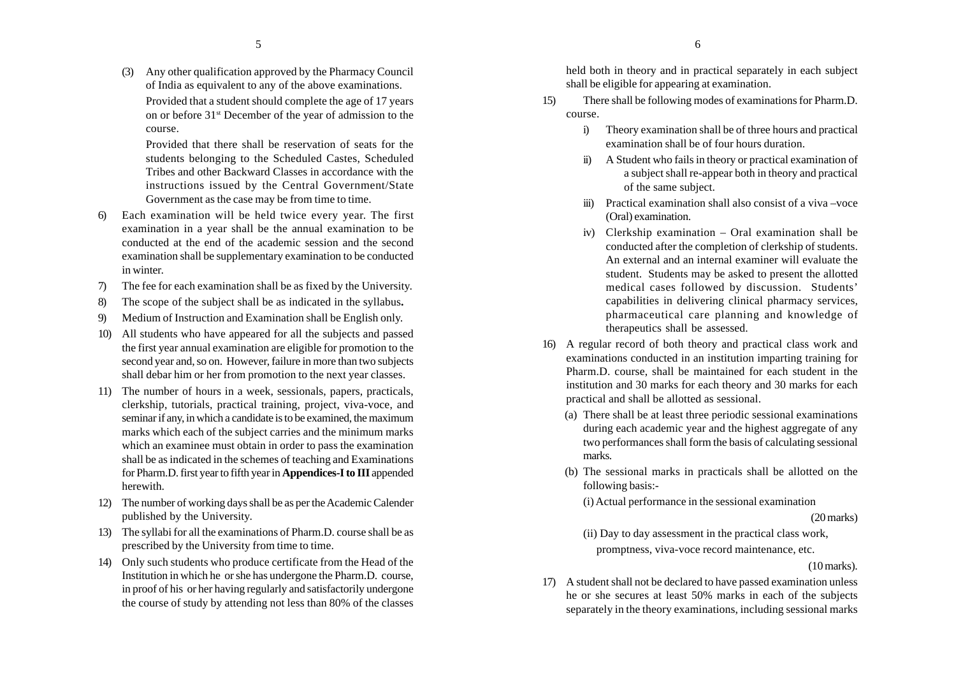(3) Any other qualification approved by the Pharmacy Council of India as equivalent to any of the above examinations. Provided that a student should complete the age of 17 years on or before 31st December of the year of admission to the course.

Provided that there shall be reservation of seats for the students belonging to the Scheduled Castes, Scheduled Tribes and other Backward Classes in accordance with the instructions issued by the Central Government/State Government as the case may be from time to time.

- 6) Each examination will be held twice every year. The first examination in a year shall be the annual examination to be conducted at the end of the academic session and the second examination shall be supplementary examination to be conducted in winter.
- 7) The fee for each examination shall be as fixed by the University.
- 8) The scope of the subject shall be as indicated in the syllabus**.**
- 9) Medium of Instruction and Examination shall be English only.
- 10) All students who have appeared for all the subjects and passed the first year annual examination are eligible for promotion to the second year and, so on. However, failure in more than two subjects shall debar him or her from promotion to the next year classes.
- 11) The number of hours in a week, sessionals, papers, practicals, clerkship, tutorials, practical training, project, viva-voce, and seminar if any, in which a candidate is to be examined, the maximum marks which each of the subject carries and the minimum marks which an examinee must obtain in order to pass the examination shall be as indicated in the schemes of teaching and Examinations for Pharm.D. first year to fifth year in **Appendices-I to III** appended herewith.
- 12) The number of working days shall be as per the Academic Calender published by the University.
- 13) The syllabi for all the examinations of Pharm.D. course shall be as prescribed by the University from time to time.
- 14) Only such students who produce certificate from the Head of the Institution in which he or she has undergone the Pharm.D. course, in proof of his or her having regularly and satisfactorily undergone the course of study by attending not less than 80% of the classes

held both in theory and in practical separately in each subject shall be eligible for appearing at examination.

- 15) There shall be following modes of examinations for Pharm.D. course.
	- i) Theory examination shall be of three hours and practical examination shall be of four hours duration.
	- ii) A Student who fails in theory or practical examination of a subject shall re-appear both in theory and practical of the same subject.
	- iii) Practical examination shall also consist of a viva –voce (Oral) examination.
	- iv) Clerkship examination Oral examination shall be conducted after the completion of clerkship of students. An external and an internal examiner will evaluate the student. Students may be asked to present the allotted medical cases followed by discussion. Students' capabilities in delivering clinical pharmacy services, pharmaceutical care planning and knowledge of therapeutics shall be assessed.
- 16) A regular record of both theory and practical class work and examinations conducted in an institution imparting training for Pharm.D. course, shall be maintained for each student in the institution and 30 marks for each theory and 30 marks for each practical and shall be allotted as sessional.
	- (a) There shall be at least three periodic sessional examinations during each academic year and the highest aggregate of any two performances shall form the basis of calculating sessional marks.
	- (b) The sessional marks in practicals shall be allotted on the following basis:-
		- (i) Actual performance in the sessional examination

(20 marks)

(ii) Day to day assessment in the practical class work, promptness, viva-voce record maintenance, etc.

(10 marks).

17) A student shall not be declared to have passed examination unless he or she secures at least 50% marks in each of the subjects separately in the theory examinations, including sessional marks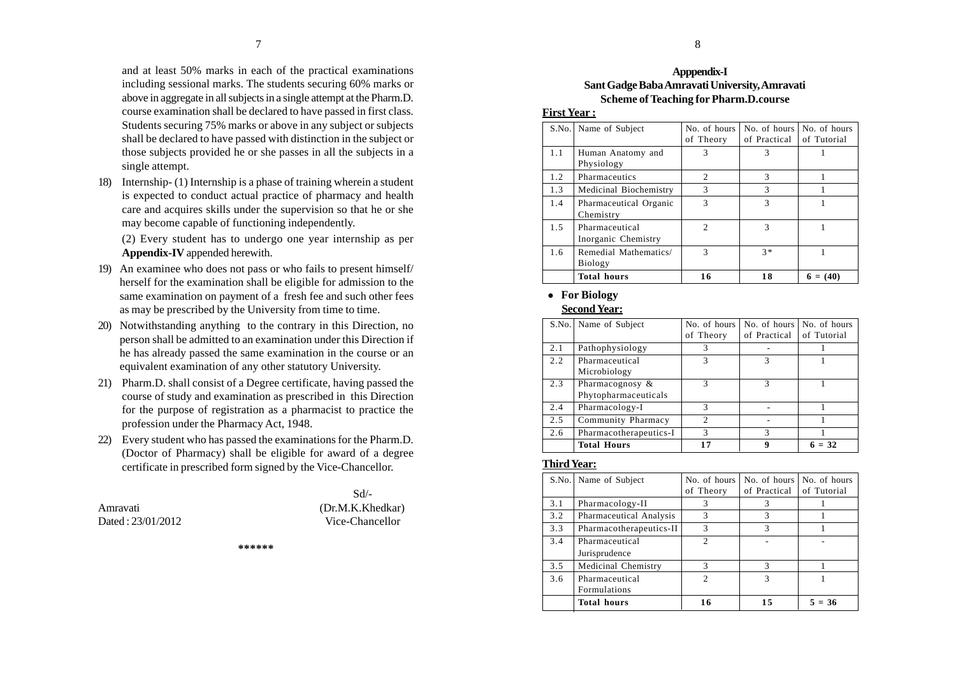and at least 50% marks in each of the practical examinations including sessional marks. The students securing 60% marks or above in aggregate in all subjects in a single attempt at the Pharm.D. course examination shall be declared to have passed in first class. Students securing 75% marks or above in any subject or subjects shall be declared to have passed with distinction in the subject or those subjects provided he or she passes in all the subjects in a single attempt.

18) Internship- (1) Internship is a phase of training wherein a student is expected to conduct actual practice of pharmacy and health care and acquires skills under the supervision so that he or she may become capable of functioning independently.

(2) Every student has to undergo one year internship as per **Appendix-IV** appended herewith.

- 19) An examinee who does not pass or who fails to present himself/ herself for the examination shall be eligible for admission to the same examination on payment of a fresh fee and such other fees as may be prescribed by the University from time to time.
- 20) Notwithstanding anything to the contrary in this Direction, no person shall be admitted to an examination under this Direction if he has already passed the same examination in the course or an equivalent examination of any other statutory University.
- 21) Pharm.D. shall consist of a Degree certificate, having passed the course of study and examination as prescribed in this Direction for the purpose of registration as a pharmacist to practice the profession under the Pharmacy Act, 1948.
- 22) Every student who has passed the examinations for the Pharm.D. (Doctor of Pharmacy) shall be eligible for award of a degree certificate in prescribed form signed by the Vice-Chancellor.

| Amravati          |  |
|-------------------|--|
|                   |  |
| Dated: 23/01/2012 |  |

 Sd/- (Dr.M.K.Khedkar) Vice-Chancellor

**\*\*\*\*\*\***

### **Apppendix-I Sant Gadge Baba Amravati University, Amravati Scheme of Teaching for Pharm.D.course**

#### **First Year :**

|     | S.No.   Name of Subject                 | No. of hours<br>of Theory | No. of hours<br>of Practical | No. of hours<br>of Tutorial |
|-----|-----------------------------------------|---------------------------|------------------------------|-----------------------------|
| 1.1 | Human Anatomy and<br>Physiology         | 3                         |                              |                             |
| 1.2 | Pharmaceutics                           | $\mathfrak{D}$            | 3                            |                             |
| 1.3 | Medicinal Biochemistry                  | 3                         | 3                            |                             |
| 1.4 | Pharmaceutical Organic<br>Chemistry     | 3                         | 3                            |                             |
| 1.5 | Pharmaceutical<br>Inorganic Chemistry   | 2                         |                              |                             |
| 1.6 | Remedial Mathematics/<br><b>Biology</b> | 3                         | $3*$                         |                             |
|     | <b>Total hours</b>                      | 16                        | 18                           | $6 = (40)$                  |

#### **For Biology Second Year:**

|     | S.No.   Name of Subject                 | No. of hours   | No. of hours | No. of hours |
|-----|-----------------------------------------|----------------|--------------|--------------|
|     |                                         | of Theory      | of Practical | of Tutorial  |
| 2.1 | Pathophysiology                         | 3              |              |              |
| 2.2 | Pharmaceutical<br>Microbiology          | 3              | 3            |              |
| 2.3 | Pharmacognosy &<br>Phytopharmaceuticals | 3              | 3            |              |
| 2.4 | Pharmacology-I                          | 3              |              |              |
| 2.5 | Community Pharmacy                      | $\mathfrak{D}$ |              |              |
| 2.6 | Pharmacotherapeutics-I                  | 3              |              |              |
|     | <b>Total Hours</b>                      |                | Q            | $6 = 32$     |

#### **Third Year:**

|     | S.No.   Name of Subject | No. of hours<br>of Theory   | of Practical | No. of hours   No. of hours<br>of Tutorial |
|-----|-------------------------|-----------------------------|--------------|--------------------------------------------|
| 3.1 | Pharmacology-II         | 3                           | 3            |                                            |
| 3.2 | Pharmaceutical Analysis | 3                           | 3            |                                            |
| 3.3 | Pharmacotherapeutics-II | 3                           | 3            |                                            |
| 3.4 | Pharmaceutical          | $\mathfrak{D}$              |              |                                            |
|     | Jurisprudence           |                             |              |                                            |
| 3.5 | Medicinal Chemistry     | 3                           | 3            |                                            |
| 3.6 | Pharmaceutical          | $\mathcal{D}_{\mathcal{L}}$ | 3            |                                            |
|     | <b>Formulations</b>     |                             |              |                                            |
|     | <b>Total hours</b>      |                             | 15           | $5 = 36$                                   |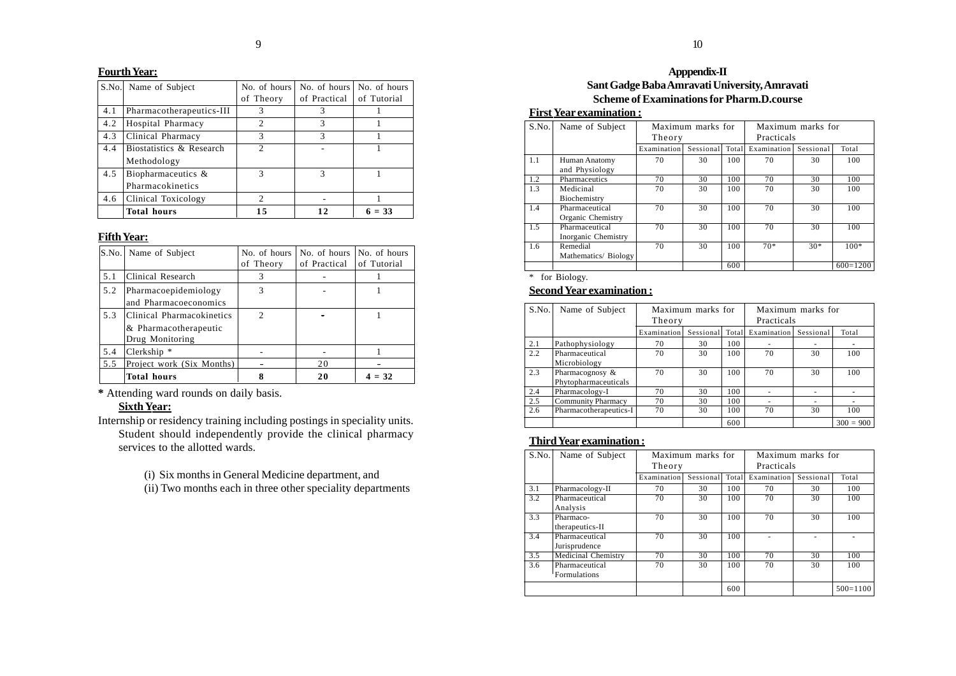### **Fourth Year:**

|     | S.No. Name of Subject    | No. of hours<br>of Theory | No. of hours<br>of Practical | No. of hours<br>of Tutorial |
|-----|--------------------------|---------------------------|------------------------------|-----------------------------|
| 4.1 | Pharmacotherapeutics-III | 3                         | 3                            |                             |
| 4.2 | Hospital Pharmacy        | $\mathfrak{D}$            | 3                            |                             |
| 4.3 | Clinical Pharmacy        | 3                         | 3                            |                             |
| 4.4 | Biostatistics & Research | 2                         |                              |                             |
|     | Methodology              |                           |                              |                             |
| 4.5 | Biopharmaceutics $\&$    | κ                         | 3                            |                             |
|     | Pharmacokinetics         |                           |                              |                             |
| 4.6 | Clinical Toxicology      | 2                         |                              |                             |
|     | <b>Total hours</b>       | 15                        | 12.                          | $6 = 33$                    |

### **Fifth Year:**

|     | S.No.   Name of Subject                                               | No. of hours<br>of Theory | No. of hours<br>of Practical | No. of hours<br>of Tutorial |
|-----|-----------------------------------------------------------------------|---------------------------|------------------------------|-----------------------------|
| 5.1 | Clinical Research                                                     |                           |                              |                             |
| 5.2 | Pharmacoepidemiology<br>and Pharmacoeconomics                         | 3                         |                              |                             |
| 5.3 | Clinical Pharmacokinetics<br>& Pharmacotherapeutic<br>Drug Monitoring | $\mathcal{D}$             | ÷                            |                             |
| 5.4 | Clerkship $*$                                                         |                           |                              |                             |
| 5.5 | Project work (Six Months)                                             | ÷                         | 20                           | ÷                           |
|     | <b>Total hours</b>                                                    | 8                         | 20                           | $= 32$                      |

**\*** Attending ward rounds on daily basis.

# **Sixth Year:**

- Internship or residency training including postings in speciality units. Student should independently provide the clinical pharmacy services to the allotted wards.
	- (i) Six months in General Medicine department, and
	- (ii) Two months each in three other speciality departments

### **Apppendix-II Sant Gadge Baba Amravati University, Amravati Scheme of Examinations for Pharm.D.course**

# **First Year examination :**

| S.No. | Name of Subject     | Maximum marks for<br>Theory |           | Maximum marks for<br>Practicals |             |           |            |
|-------|---------------------|-----------------------------|-----------|---------------------------------|-------------|-----------|------------|
|       |                     | Examination                 | Sessional | Total                           | Examination | Sessional | Total      |
| 1.1   | Human Anatomy       | 70                          | 30        | 100                             | 70          | 30        | 100        |
|       | and Physiology      |                             |           |                                 |             |           |            |
| 1.2   | Pharmaceutics       | 70                          | 30        | 100                             | 70          | 30        | 100        |
| 1.3   | Medicinal           | 70                          | 30        | 100                             | 70          | 30        | 100        |
|       | Biochemistry        |                             |           |                                 |             |           |            |
| 1.4   | Pharmaceutical      | 70                          | 30        | 100                             | 70          | 30        | 100        |
|       | Organic Chemistry   |                             |           |                                 |             |           |            |
| 1.5   | Pharmaceutical      | 70                          | 30        | 100                             | 70          | 30        | 100        |
|       | Inorganic Chemistry |                             |           |                                 |             |           |            |
| 1.6   | Remedial            | 70                          | 30        | 100                             | $70*$       | $30*$     | $100*$     |
|       | Mathematics/Biology |                             |           |                                 |             |           |            |
|       |                     |                             |           | 600                             |             |           | $600=1200$ |

\* for Biology.

# **Second Year examination :**

| S.No. | Name of Subject           | Maximum marks for<br>Theory |           | Maximum marks for<br>Practicals |             |           |             |
|-------|---------------------------|-----------------------------|-----------|---------------------------------|-------------|-----------|-------------|
|       |                           | Examination                 | Sessional | Total                           | Examination | Sessional | Total       |
| 2.1   | Pathophysiology           | 70                          | 30        | 100                             |             |           |             |
| 2.2   | Pharmaceutical            | 70                          | 30        | 100                             | 70          | 30        | 100         |
|       | Microbiology              |                             |           |                                 |             |           |             |
| 2.3   | Pharmacognosy &           | 70                          | 30        | 100                             | 70          | 30        | 100         |
|       | Phytopharmaceuticals      |                             |           |                                 |             |           |             |
| 2.4   | Pharmacology-I            | 70                          | 30        | 100                             |             |           |             |
| 2.5   | <b>Community Pharmacy</b> | 70                          | 30        | 100                             |             |           |             |
| 2.6   | Pharmacotherapeutics-I    | 70                          | 30        | 100                             | 70          | 30        | 100         |
|       |                           |                             |           | 600                             |             |           | $300 = 900$ |

# **Third Year examination :**

| S.No. | Name of Subject            |             | Maximum marks for |       | Maximum marks for |           |            |
|-------|----------------------------|-------------|-------------------|-------|-------------------|-----------|------------|
|       |                            | Theory      |                   |       | Practicals        |           |            |
|       |                            | Examination | Sessional         | Total | Examination       | Sessional | Total      |
| 3.1   | Pharmacology-II            | 70          | 30                | 100   | 70                | 30        | 100        |
| 3.2   | Pharmaceutical             | 70          | 30                | 100   | 70                | 30        | 100        |
|       | Analysis                   |             |                   |       |                   |           |            |
| 3.3   | Pharmaco-                  | 70          | 30                | 100   | 70                | 30        | 100        |
|       | therapeutics-II            |             |                   |       |                   |           |            |
| 3.4   | Pharmaceutical             | 70          | 30                | 100   |                   |           |            |
|       | Jurisprudence              |             |                   |       |                   |           |            |
| 3.5   | <b>Medicinal Chemistry</b> | 70          | 30                | 100   | 70                | 30        | 100        |
| 3.6   | Pharmaceutical             | 70          | 30                | 100   | 70                | 30        | 100        |
|       | <b>Formulations</b>        |             |                   |       |                   |           |            |
|       |                            |             |                   | 600   |                   |           | $500=1100$ |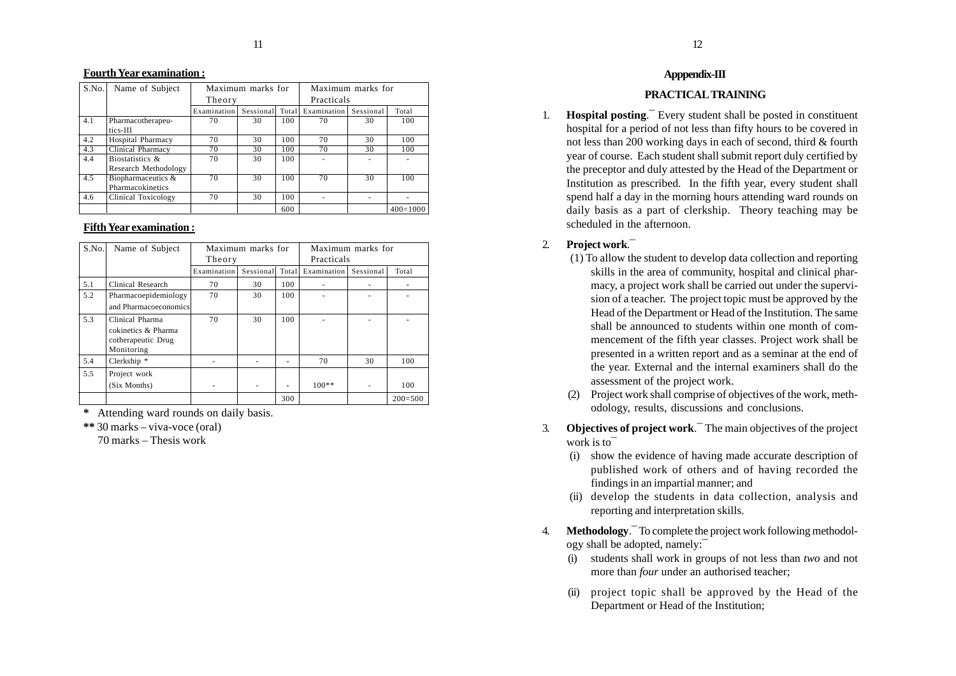#### **Fourth Year examination :**

| S.No. | Name of Subject          |             | Maximum marks for |       | Maximum marks for |           |            |
|-------|--------------------------|-------------|-------------------|-------|-------------------|-----------|------------|
|       |                          | Theory      |                   |       | Practicals        |           |            |
|       |                          | Examination | Sessional         | Total | Examination       | Sessional | Total      |
| 4.1   | Pharmacotherapeu-        | 70          | 30                | 100   | 70                | 30        | 100        |
|       | tics-III                 |             |                   |       |                   |           |            |
| 4.2   | Hospital Pharmacy        | 70          | 30                | 100   | 70                | 30        | 100        |
| 4.3   | <b>Clinical Pharmacy</b> | 70          | 30                | 100   | 70                | 30        | 100        |
| 4.4   | Biostatistics &          | 70          | 30                | 100   |                   |           |            |
|       | Research Methodology     |             |                   |       |                   |           |            |
| 4.5   | Biopharmaceutics &       | 70          | 30                | 100   | 70                | 30        | 100        |
|       | Pharmacokinetics         |             |                   |       |                   |           |            |
| 4.6   | Clinical Toxicology      | 70          | 30                | 100   |                   | ۰         |            |
|       |                          |             |                   | 600   |                   |           | $400=1000$ |

#### **Fifth Year examination :**

| S.No. | Name of Subject        | Maximum marks for |           | Maximum marks for |             |           |           |
|-------|------------------------|-------------------|-----------|-------------------|-------------|-----------|-----------|
|       |                        | Theory            |           |                   | Practicals  |           |           |
|       |                        | Examination       | Sessional | Total             | Examination | Sessional | Total     |
| 5.1   | Clinical Research      | 70                | 30        | 100               |             |           |           |
| 5.2   | Pharmacoepidemiology   | 70                | 30        | 100               |             |           |           |
|       | and Pharmacoeconomics  |                   |           |                   |             |           |           |
| 5.3   | Clinical Pharma        | 70                | 30        | 100               |             |           |           |
|       | cokinetics & Pharma    |                   |           |                   |             |           |           |
|       | cotherapeutic Drug     |                   |           |                   |             |           |           |
|       | Monitoring             |                   |           |                   |             |           |           |
| 5.4   | Clerkship <sup>*</sup> |                   |           |                   | 70          | 30        | 100       |
| 5.5   | Project work           |                   |           |                   |             |           |           |
|       | (Six Months)           |                   |           | $\blacksquare$    | $100**$     |           | 100       |
|       |                        |                   |           | 300               |             |           | $200=500$ |

Attending ward rounds on daily basis.

**\*\*** 30 marks – viva-voce (oral)

70 marks – Thesis work

### **Apppendix-III**

#### **PRACTICAL TRAINING**

1. **Hospital posting**.¯ Every student shall be posted in constituent hospital for a period of not less than fifty hours to be covered in not less than 200 working days in each of second, third & fourth year of course. Each student shall submit report duly certified by the preceptor and duly attested by the Head of the Department or Institution as prescribed. In the fifth year, every student shall spend half a day in the morning hours attending ward rounds on daily basis as a part of clerkship. Theory teaching may be scheduled in the afternoon.

#### 2. **Project work**.¯

- (1) To allow the student to develop data collection and reporting skills in the area of community, hospital and clinical pharmacy, a project work shall be carried out under the supervision of a teacher. The project topic must be approved by the Head of the Department or Head of the Institution. The same shall be announced to students within one month of commencement of the fifth year classes. Project work shall be presented in a written report and as a seminar at the end of the year. External and the internal examiners shall do the assessment of the project work.
- (2) Project work shall comprise of objectives of the work, methodology, results, discussions and conclusions.
- 3. **Objectives of project work**.¯ The main objectives of the project work is to
	- (i) show the evidence of having made accurate description of published work of others and of having recorded the findings in an impartial manner; and
	- (ii) develop the students in data collection, analysis and reporting and interpretation skills.
- 4. **Methodology**.¯ To complete the project work following methodology shall be adopted, namely:¯
	- (i) students shall work in groups of not less than *two* and not more than *four* under an authorised teacher;
	- (ii) project topic shall be approved by the Head of the Department or Head of the Institution;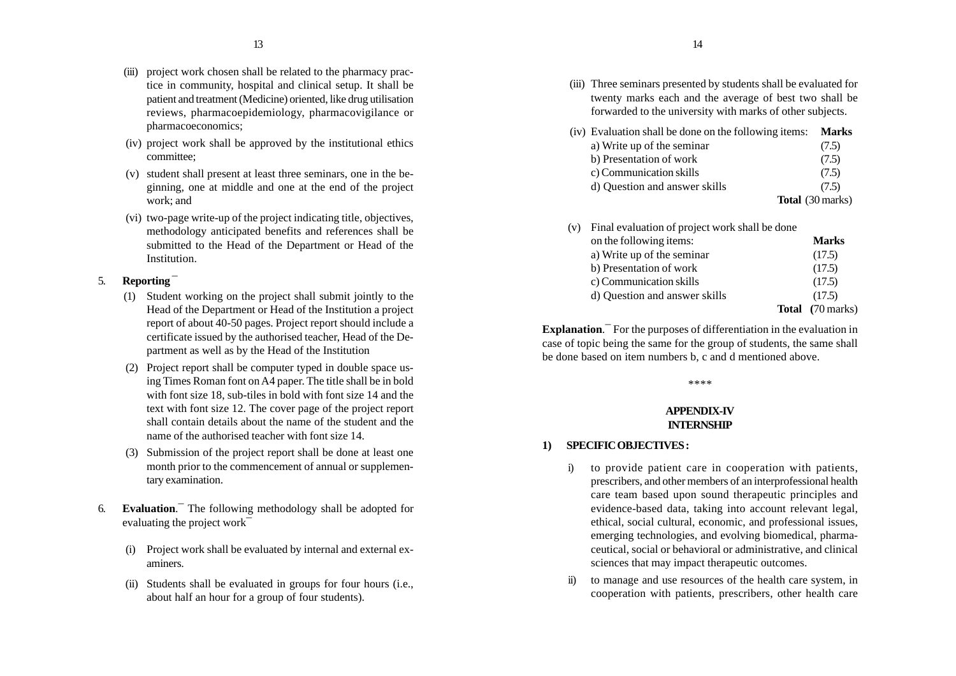- (iii) project work chosen shall be related to the pharmacy practice in community, hospital and clinical setup. It shall be patient and treatment (Medicine) oriented, like drug utilisation reviews, pharmacoepidemiology, pharmacovigilance or pharmacoeconomics;
- (iv) project work shall be approved by the institutional ethics committee;
- (v) student shall present at least three seminars, one in the beginning, one at middle and one at the end of the project work; and
- (vi) two-page write-up of the project indicating title, objectives, methodology anticipated benefits and references shall be submitted to the Head of the Department or Head of the Institution.

#### 5. **Reporting** ¯

- (1) Student working on the project shall submit jointly to the Head of the Department or Head of the Institution a project report of about 40-50 pages. Project report should include a certificate issued by the authorised teacher, Head of the Department as well as by the Head of the Institution
- (2) Project report shall be computer typed in double space using Times Roman font on A4 paper. The title shall be in bold with font size 18, sub-tiles in bold with font size 14 and the text with font size 12. The cover page of the project report shall contain details about the name of the student and the name of the authorised teacher with font size 14.
- (3) Submission of the project report shall be done at least one month prior to the commencement of annual or supplementary examination.
- 6. **Evaluation**.¯ The following methodology shall be adopted for evaluating the project work¯
	- (i) Project work shall be evaluated by internal and external examiners.
	- (ii) Students shall be evaluated in groups for four hours (i.e., about half an hour for a group of four students).
- (iii) Three seminars presented by students shall be evaluated for twenty marks each and the average of best two shall be forwarded to the university with marks of other subjects.
- (iv) Evaluation shall be done on the following items: **Marks**
	- a) Write up of the seminar (7.5) b) Presentation of work (7.5)
	- c) Communication skills (7.5) d) Question and answer skills (7.5)
		- **Total** (30 marks)
- (v) Final evaluation of project work shall be done on the following items: **Marks** a) Write up of the seminar (17.5) b) Presentation of work (17.5) c) Communication skills (17.5) d) Question and answer skills (17.5) **Total (**70 marks)

**Explanation.** For the purposes of differentiation in the evaluation in case of topic being the same for the group of students, the same shall be done based on item numbers b, c and d mentioned above.

#### \*\*\*\*

### **APPENDIX-IV INTERNSHIP**

#### **1) SPECIFIC OBJECTIVES :**

- i) to provide patient care in cooperation with patients, prescribers, and other members of an interprofessional health care team based upon sound therapeutic principles and evidence-based data, taking into account relevant legal, ethical, social cultural, economic, and professional issues, emerging technologies, and evolving biomedical, pharmaceutical, social or behavioral or administrative, and clinical sciences that may impact therapeutic outcomes.
- ii) to manage and use resources of the health care system, in cooperation with patients, prescribers, other health care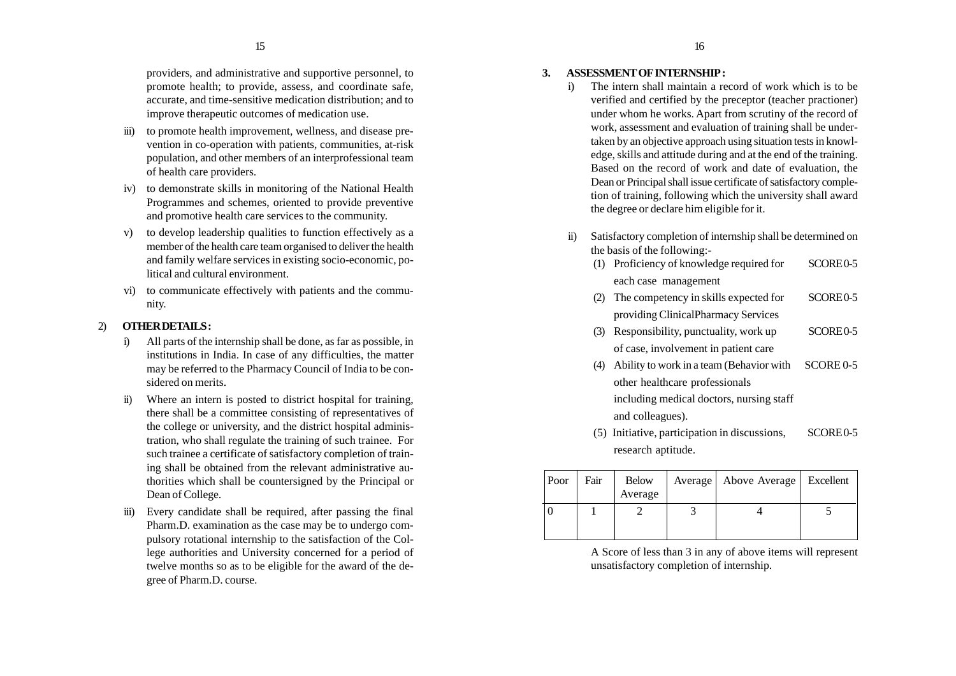providers, and administrative and supportive personnel, to promote health; to provide, assess, and coordinate safe, accurate, and time-sensitive medication distribution; and to improve therapeutic outcomes of medication use.

- iii) to promote health improvement, wellness, and disease prevention in co-operation with patients, communities, at-risk population, and other members of an interprofessional team of health care providers.
- iv) to demonstrate skills in monitoring of the National Health Programmes and schemes, oriented to provide preventive and promotive health care services to the community.
- v) to develop leadership qualities to function effectively as a member of the health care team organised to deliver the health and family welfare services in existing socio-economic, political and cultural environment.
- vi) to communicate effectively with patients and the community.

#### 2) **OTHER DETAILS :**

- i) All parts of the internship shall be done, as far as possible, in institutions in India. In case of any difficulties, the matter may be referred to the Pharmacy Council of India to be considered on merits.
- ii) Where an intern is posted to district hospital for training, there shall be a committee consisting of representatives of the college or university, and the district hospital administration, who shall regulate the training of such trainee. For such trainee a certificate of satisfactory completion of training shall be obtained from the relevant administrative authorities which shall be countersigned by the Principal or Dean of College.
- iii) Every candidate shall be required, after passing the final Pharm.D. examination as the case may be to undergo compulsory rotational internship to the satisfaction of the College authorities and University concerned for a period of twelve months so as to be eligible for the award of the degree of Pharm.D. course.

### **3. ASSESSMENT OF INTERNSHIP :**

- i) The intern shall maintain a record of work which is to be verified and certified by the preceptor (teacher practioner) under whom he works. Apart from scrutiny of the record of work, assessment and evaluation of training shall be undertaken by an objective approach using situation tests in knowledge, skills and attitude during and at the end of the training. Based on the record of work and date of evaluation, the Dean or Principal shall issue certificate of satisfactory completion of training, following which the university shall award the degree or declare him eligible for it.
- ii) Satisfactory completion of internship shall be determined on the basis of the following:-
	- (1) Proficiency of knowledge required for SCORE 0-5 each case management
	- (2) The competency in skills expected for SCORE 0-5 providing ClinicalPharmacy Services
	- (3) Responsibility, punctuality, work up SCORE 0-5 of case, involvement in patient care
	- (4) Ability to work in a team (Behavior with SCORE 0-5 other healthcare professionals including medical doctors, nursing staff and colleagues).
	- (5) Initiative, participation in discussions, SCORE 0-5 research aptitude.

| Poor | Fair | <b>Below</b><br>Average | Average   Above Average   Excellent |  |
|------|------|-------------------------|-------------------------------------|--|
|      |      |                         |                                     |  |

A Score of less than 3 in any of above items will represent unsatisfactory completion of internship.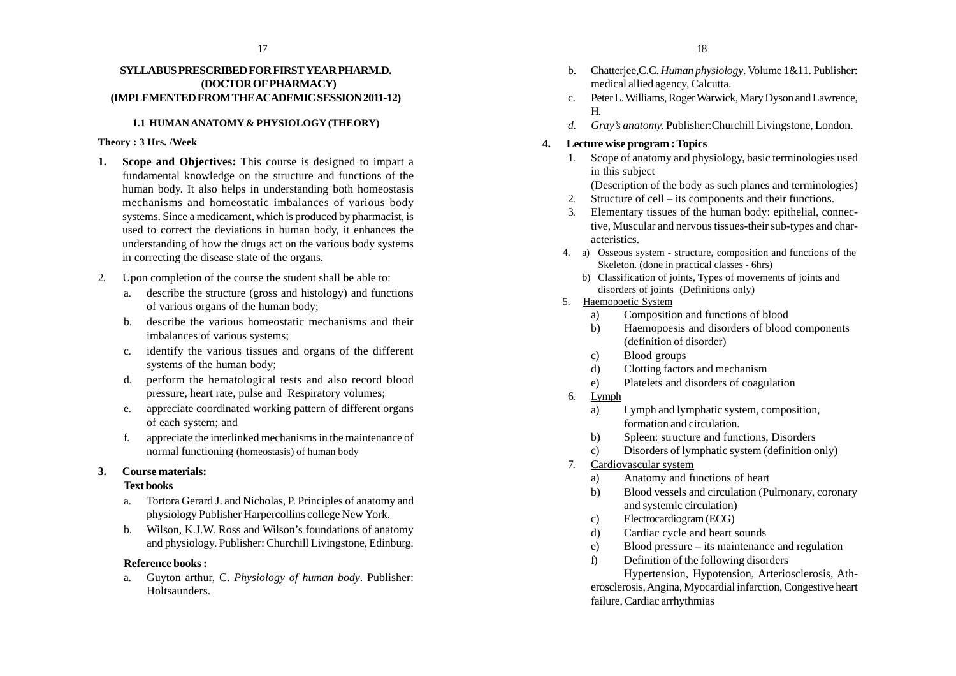### **SYLLABUS PRESCRIBED FOR FIRST YEAR PHARM.D. (DOCTOR OF PHARMACY) (IMPLEMENTED FROM THE ACADEMIC SESSION 2011-12)**

### **1.1 HUMAN ANATOMY & PHYSIOLOGY (THEORY)**

### **Theory : 3 Hrs. /Week**

- **1. Scope and Objectives:** This course is designed to impart a fundamental knowledge on the structure and functions of the human body. It also helps in understanding both homeostasis mechanisms and homeostatic imbalances of various body systems. Since a medicament, which is produced by pharmacist, is used to correct the deviations in human body, it enhances the understanding of how the drugs act on the various body systems in correcting the disease state of the organs.
- 2. Upon completion of the course the student shall be able to:
	- a. describe the structure (gross and histology) and functions of various organs of the human body;
	- b. describe the various homeostatic mechanisms and their imbalances of various systems;
	- c. identify the various tissues and organs of the different systems of the human body;
	- d. perform the hematological tests and also record blood pressure, heart rate, pulse and Respiratory volumes;
	- e. appreciate coordinated working pattern of different organs of each system; and
	- f. appreciate the interlinked mechanisms in the maintenance of normal functioning (homeostasis) of human body

### **3. Course materials:**

### **Text books**

- a. Tortora Gerard J. and Nicholas, P. Principles of anatomy and physiology Publisher Harpercollins college New York.
- b. Wilson, K.J.W. Ross and Wilson's foundations of anatomy and physiology. Publisher: Churchill Livingstone, Edinburg.

### **Reference books :**

a. Guyton arthur, C. *Physiology of human body*. Publisher: Holtsaunders.

- b. Chatterjee,C.C. *Human physiology*. Volume 1&11. Publisher: medical allied agency, Calcutta.
- c. Peter L. Williams, Roger Warwick, Mary Dyson and Lawrence, H.
- *d. Gray's anatomy.* Publisher:Churchill Livingstone, London.

# **4. Lecture wise program : Topics**

- 1. Scope of anatomy and physiology, basic terminologies used in this subject
	- (Description of the body as such planes and terminologies)
- 2. Structure of cell its components and their functions.
- 3. Elementary tissues of the human body: epithelial, connective, Muscular and nervous tissues-their sub-types and characteristics.
- 4. a) Osseous system structure, composition and functions of the Skeleton. (done in practical classes - 6hrs)
	- b) Classification of joints, Types of movements of joints and disorders of joints (Definitions only)
- 5. Haemopoetic System
	- a) Composition and functions of blood
	- b) Haemopoesis and disorders of blood components (definition of disorder)
	- c) Blood groups
	- d) Clotting factors and mechanism
	- e) Platelets and disorders of coagulation
- 6. Lymph
	- a) Lymph and lymphatic system, composition, formation and circulation.
	- b) Spleen: structure and functions, Disorders
	- c) Disorders of lymphatic system (definition only)
- 7. Cardiovascular system
	- a) Anatomy and functions of heart
	- b) Blood vessels and circulation (Pulmonary, coronary and systemic circulation)
	- c) Electrocardiogram (ECG)
	- d) Cardiac cycle and heart sounds
	- e) Blood pressure its maintenance and regulation
	- f) Definition of the following disorders

Hypertension, Hypotension, Arteriosclerosis, Atherosclerosis, Angina, Myocardial infarction, Congestive heart failure, Cardiac arrhythmias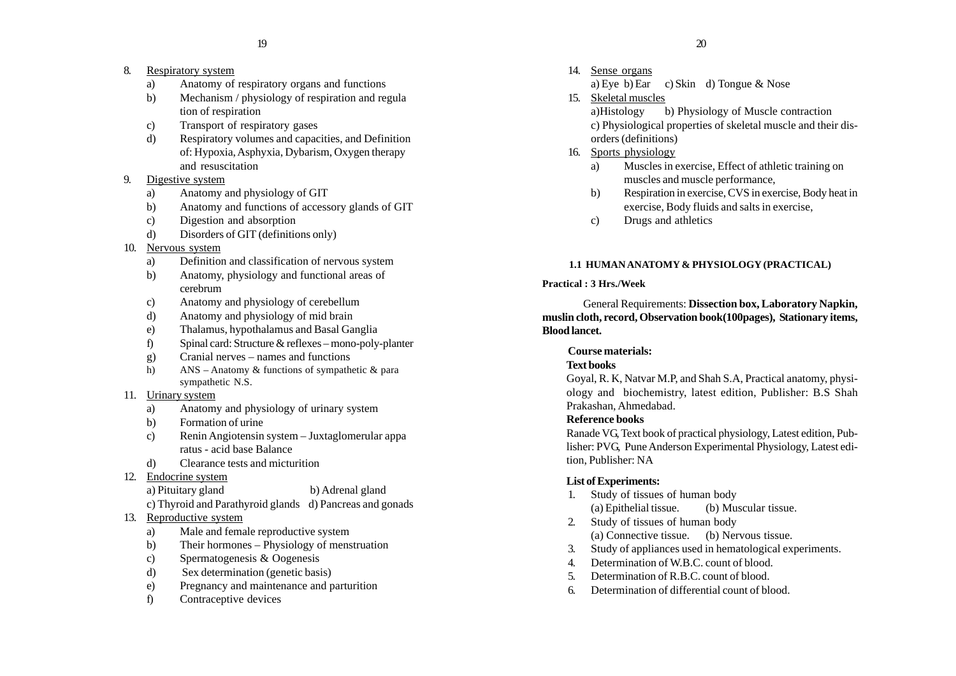- 8. Respiratory system
	- a) Anatomy of respiratory organs and functions
	- b) Mechanism / physiology of respiration and regula tion of respiration
	- c) Transport of respiratory gases
	- d) Respiratory volumes and capacities, and Definition of: Hypoxia, Asphyxia, Dybarism, Oxygen therapy and resuscitation

# 9. Digestive system

- a) Anatomy and physiology of GIT
- b) Anatomy and functions of accessory glands of GIT
- c) Digestion and absorption
- d) Disorders of GIT (definitions only)
- 10. Nervous system
	- a) Definition and classification of nervous system
	- b) Anatomy, physiology and functional areas of cerebrum
	- c) Anatomy and physiology of cerebellum
	- d) Anatomy and physiology of mid brain
	- e) Thalamus, hypothalamus and Basal Ganglia
	- f) Spinal card: Structure & reflexes mono-poly-planter
	- g) Cranial nerves names and functions
	- h) ANS Anatomy & functions of sympathetic & para sympathetic N.S.
- 11. Urinary system
	- a) Anatomy and physiology of urinary system
	- b) Formation of urine
	- c) Renin Angiotensin system Juxtaglomerular appa ratus - acid base Balance
	- d) Clearance tests and micturition
- 12. Endocrine system

a) Pituitary gland b) Adrenal gland

c) Thyroid and Parathyroid glands d) Pancreas and gonads

- 13. Reproductive system
	- a) Male and female reproductive system
	- b) Their hormones Physiology of menstruation
	- c) Spermatogenesis & Oogenesis
	- d) Sex determination (genetic basis)
	- e) Pregnancy and maintenance and parturition
	- f) Contraceptive devices
- 14. Sense organs
	- a) Eye b) Ear c) Skin d) Tongue & Nose
- 15. Skeletal muscles a)Histology b) Physiology of Muscle contraction c) Physiological properties of skeletal muscle and their disorders (definitions)
- 16. Sports physiology
	- a) Muscles in exercise, Effect of athletic training on muscles and muscle performance,
	- b) Respiration in exercise, CVS in exercise, Body heat in exercise, Body fluids and salts in exercise,
	- c) Drugs and athletics

### **1.1 HUMAN ANATOMY & PHYSIOLOGY (PRACTICAL)**

### **Practical : 3 Hrs./Week**

General Requirements: **Dissection box, Laboratory Napkin, muslin cloth, record, Observation book(100pages), Stationary items, Blood lancet.**

### **Course materials:**

### **Text books**

Goyal, R. K, Natvar M.P, and Shah S.A, Practical anatomy, physiology and biochemistry, latest edition, Publisher: B.S Shah Prakashan, Ahmedabad.

### **Reference books**

Ranade VG, Text book of practical physiology, Latest edition, Publisher: PVG, Pune Anderson Experimental Physiology, Latest edition, Publisher: NA

### **List of Experiments:**

- 1. Study of tissues of human body (a) Epithelial tissue. (b) Muscular tissue.
- 2. Study of tissues of human body (a) Connective tissue. (b) Nervous tissue.
- 3. Study of appliances used in hematological experiments.
- 4. Determination of W.B.C. count of blood.
- 5. Determination of R.B.C. count of blood.
- 6. Determination of differential count of blood.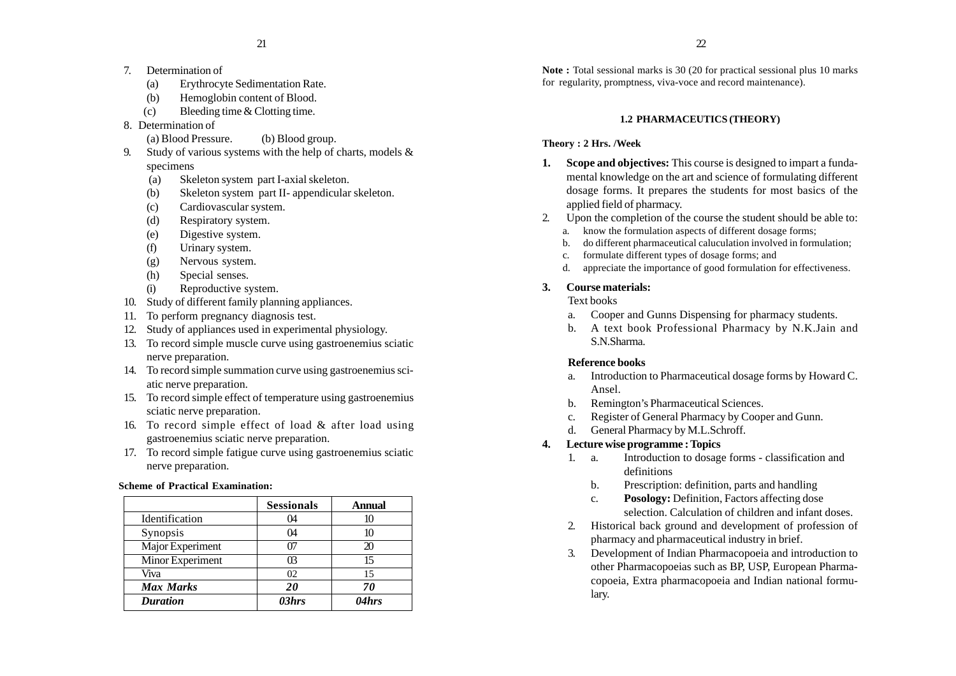- 7. Determination of
	- (a) Erythrocyte Sedimentation Rate.
	- (b) Hemoglobin content of Blood.
	- (c) Bleeding time & Clotting time.
- 8. Determination of
	- (a) Blood Pressure. (b) Blood group.
- 9. Study of various systems with the help of charts, models & specimens
	- (a) Skeleton system part I-axial skeleton.
	- (b) Skeleton system part II- appendicular skeleton.
	- (c) Cardiovascular system.
	- (d) Respiratory system.
	- (e) Digestive system.
	- (f) Urinary system.
	- (g) Nervous system.
	- (h) Special senses.
	- (i) Reproductive system.
- 10. Study of different family planning appliances.
- 11. To perform pregnancy diagnosis test.
- 12. Study of appliances used in experimental physiology.
- 13. To record simple muscle curve using gastroenemius sciatic nerve preparation.
- 14. To record simple summation curve using gastroenemius sciatic nerve preparation.
- 15. To record simple effect of temperature using gastroenemius sciatic nerve preparation.
- 16. To record simple effect of load & after load using gastroenemius sciatic nerve preparation.
- 17. To record simple fatigue curve using gastroenemius sciatic nerve preparation.

### **Scheme of Practical Examination:**

|                  | <b>Sessionals</b> | <b>Annual</b>  |
|------------------|-------------------|----------------|
| Identification   | (И                | 10             |
| Synopsis         | ſМ.               | 10             |
| Major Experiment |                   | $\mathfrak{D}$ |
| Minor Experiment | ß                 | 15             |
| Viva             | 02                | 15             |
| <b>Max Marks</b> | 20                | 70             |
| <b>Duration</b>  | 0.3hrs            | 04hrs          |

**Note :** Total sessional marks is 30 (20 for practical sessional plus 10 marks for regularity, promptness, viva-voce and record maintenance).

### **1.2 PHARMACEUTICS (THEORY)**

### **Theory : 2 Hrs. /Week**

- **1. Scope and objectives:** This course is designed to impart a fundamental knowledge on the art and science of formulating different dosage forms. It prepares the students for most basics of the applied field of pharmacy.
- 2. Upon the completion of the course the student should be able to:
	- a. know the formulation aspects of different dosage forms;
	- b. do different pharmaceutical caluculation involved in formulation;
	- c. formulate different types of dosage forms; and
	- d. appreciate the importance of good formulation for effectiveness.

### **3. Course materials:**

### Text books

- a. Cooper and Gunns Dispensing for pharmacy students.
- b. A text book Professional Pharmacy by N.K.Jain and S.N.Sharma.

### **Reference books**

- a. Introduction to Pharmaceutical dosage forms by Howard C. Ansel.
- b. Remington's Pharmaceutical Sciences.
- c. Register of General Pharmacy by Cooper and Gunn.
- d. General Pharmacy by M.L.Schroff.

### **4. Lecture wise programme : Topics**

- 1. a. Introduction to dosage forms classification and definitions
	- b. Prescription: definition, parts and handling
	- c. **Posology:** Definition, Factors affecting dose selection. Calculation of children and infant doses.
- 2. Historical back ground and development of profession of pharmacy and pharmaceutical industry in brief.
- 3. Development of Indian Pharmacopoeia and introduction to other Pharmacopoeias such as BP, USP, European Pharmacopoeia, Extra pharmacopoeia and Indian national formulary.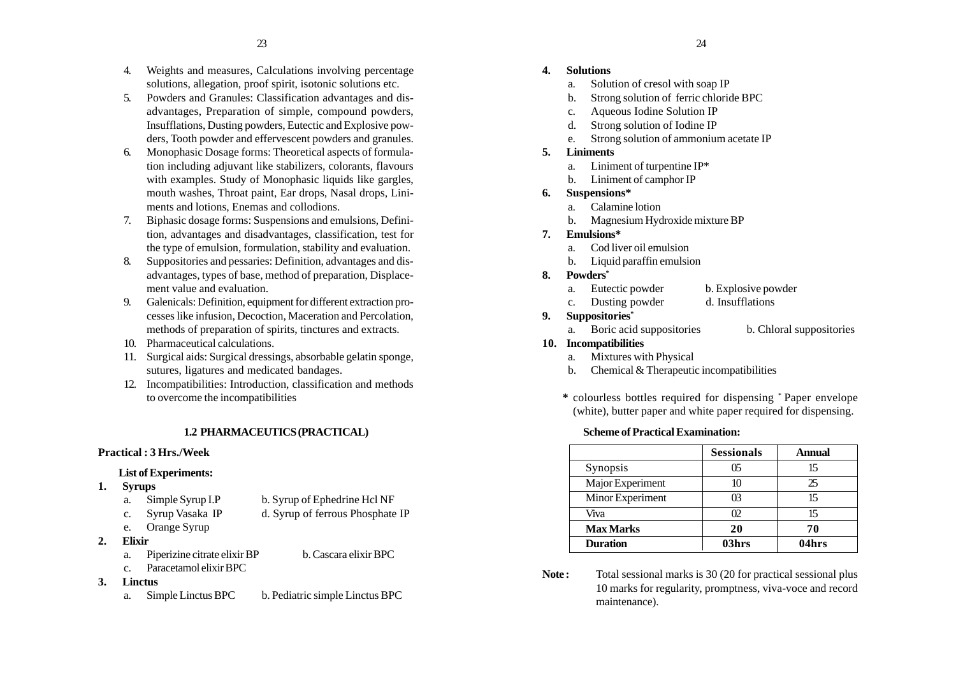- 4. Weights and measures, Calculations involving percentage solutions, allegation, proof spirit, isotonic solutions etc.
- 5. Powders and Granules: Classification advantages and disadvantages, Preparation of simple, compound powders, Insufflations, Dusting powders, Eutectic and Explosive powders, Tooth powder and effervescent powders and granules.
- 6. Monophasic Dosage forms: Theoretical aspects of formulation including adjuvant like stabilizers, colorants, flavours with examples. Study of Monophasic liquids like gargles, mouth washes, Throat paint, Ear drops, Nasal drops, Liniments and lotions, Enemas and collodions.
- 7. Biphasic dosage forms: Suspensions and emulsions, Definition, advantages and disadvantages, classification, test for the type of emulsion, formulation, stability and evaluation.
- 8. Suppositories and pessaries: Definition, advantages and disadvantages, types of base, method of preparation, Displacement value and evaluation.
- 9. Galenicals: Definition, equipment for different extraction processes like infusion, Decoction, Maceration and Percolation, methods of preparation of spirits, tinctures and extracts.
- 10. Pharmaceutical calculations.
- 11. Surgical aids: Surgical dressings, absorbable gelatin sponge, sutures, ligatures and medicated bandages.
- 12. Incompatibilities: Introduction, classification and methods to overcome the incompatibilities

### **1.2 PHARMACEUTICS (PRACTICAL)**

#### **Practical : 3 Hrs./Week**

#### **List of Experiments:**

- **1. Syrups**
	- a. Simple Syrup I.P b. Syrup of Ephedrine Hcl NF
	- c. Syrup Vasaka IP d. Syrup of ferrous Phosphate IP
	- e. Orange Syrup
- **2. Elixir**
	- a. Piperizine citrate elixir BP b. Cascara elixir BPC
	- c. Paracetamol elixir BPC

### **3. Linctus**

a. Simple Linctus BPC b. Pediatric simple Linctus BPC

### **4. Solutions**

- a. Solution of cresol with soap IP
- b. Strong solution of ferric chloride BPC
- c. Aqueous Iodine Solution IP
- d. Strong solution of Iodine IP
- e. Strong solution of ammonium acetate IP

### **5. Liniments**

- a. Liniment of turpentine IP\*
- b. Liniment of camphor IP
- **6. Suspensions\***
	- a. Calamine lotion
	- b. Magnesium Hydroxide mixture BP
- **7. Emulsions\***
	- a. Cod liver oil emulsion
	- b. Liquid paraffin emulsion
- **8. Powders\***
	- a. Eutectic powder b. Explosive powder
	- c. Dusting powder d. Insufflations
- **9. Suppositories\***
	- a. Boric acid suppositories b. Chloral suppositories
		-
- **10. Incompatibilities**
	- a. Mixtures with Physical
	- b. Chemical & Therapeutic incompatibilities
	- **\*** colourless bottles required for dispensing \* Paper envelope (white), butter paper and white paper required for dispensing.

### **Scheme of Practical Examination:**

|                  | <b>Sessionals</b> | Annual |
|------------------|-------------------|--------|
| Synopsis         |                   | 15     |
| Major Experiment |                   | 25     |
| Minor Experiment |                   | 15     |
| Viva             |                   | 15     |
| <b>Max Marks</b> | 20                | 70     |
| <b>Duration</b>  | 03hrs             | 04hrs  |

Note: Total sessional marks is 30 (20 for practical sessional plus 10 marks for regularity, promptness, viva-voce and record maintenance).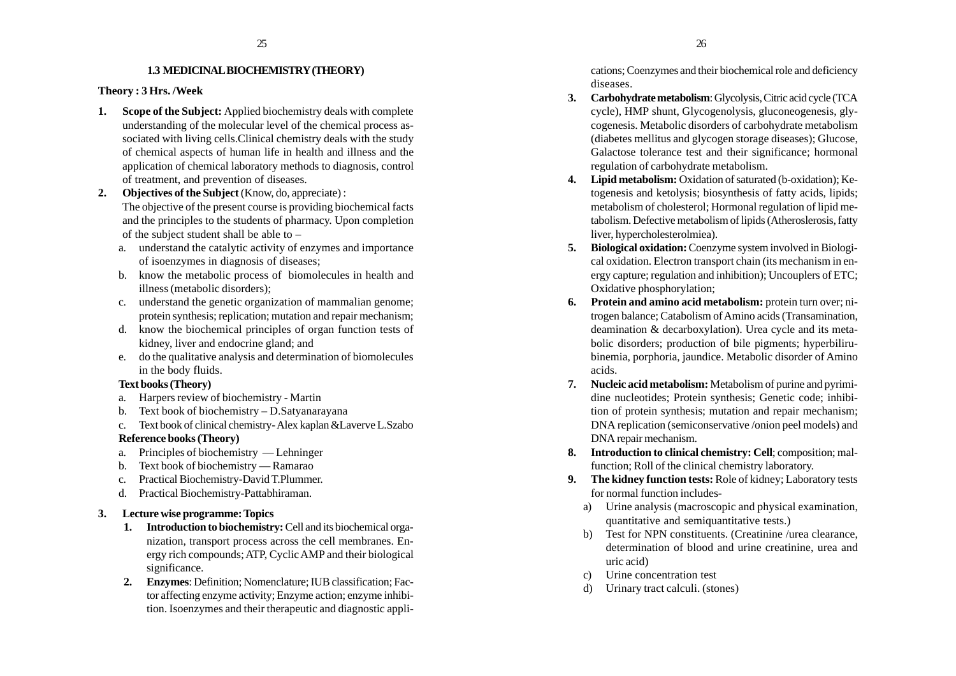#### **1.3 MEDICINAL BIOCHEMISTRY (THEORY)**

#### **Theory : 3 Hrs. /Week**

- **1. Scope of the Subject:** Applied biochemistry deals with complete understanding of the molecular level of the chemical process associated with living cells.Clinical chemistry deals with the study of chemical aspects of human life in health and illness and the application of chemical laboratory methods to diagnosis, control of treatment, and prevention of diseases.
- **2. Objectives of the Subject** (Know, do, appreciate) : The objective of the present course is providing biochemical facts and the principles to the students of pharmacy. Upon completion of the subject student shall be able to –
	- a. understand the catalytic activity of enzymes and importance of isoenzymes in diagnosis of diseases;
	- b. know the metabolic process of biomolecules in health and illness (metabolic disorders);
	- c. understand the genetic organization of mammalian genome; protein synthesis; replication; mutation and repair mechanism;
	- d. know the biochemical principles of organ function tests of kidney, liver and endocrine gland; and
	- e. do the qualitative analysis and determination of biomolecules in the body fluids.

### **Text books (Theory)**

- a. Harpers review of biochemistry Martin
- b. Text book of biochemistry D.Satyanarayana
- c. Text book of clinical chemistry- Alex kaplan &Laverve L.Szabo

#### **Reference books (Theory)**

- a. Principles of biochemistry Lehninger
- b. Text book of biochemistry Ramarao
- c. Practical Biochemistry-David T.Plummer.
- d. Practical Biochemistry-Pattabhiraman.

#### **3. Lecture wise programme: Topics**

- **1. Introduction to biochemistry:** Cell and its biochemical organization, transport process across the cell membranes. Energy rich compounds; ATP, Cyclic AMP and their biological significance.
- **2. Enzymes**: Definition; Nomenclature; IUB classification; Factor affecting enzyme activity; Enzyme action; enzyme inhibition. Isoenzymes and their therapeutic and diagnostic appli-

cations; Coenzymes and their biochemical role and deficiency diseases.

- **3. Carbohydrate metabolism**: Glycolysis, Citric acid cycle (TCA cycle), HMP shunt, Glycogenolysis, gluconeogenesis, gly cogenesis. Metabolic disorders of carbohydrate metabolism (diabetes mellitus and glycogen storage diseases); Glucose, Galactose tolerance test and their significance; hormonal regulation of carbohydrate metabolism.
- **4. Lipid metabolism:** Oxidation of saturated (b-oxidation); Ke togenesis and ketolysis; biosynthesis of fatty acids, lipids; metabolism of cholesterol; Hormonal regulation of lipid me tabolism. Defective metabolism of lipids (Atheroslerosis, fatty liver, hypercholesterolmiea).
- **5. Biological oxidation:** Coenzyme system involved in Biologi cal oxidation. Electron transport chain (its mechanism in en ergy capture; regulation and inhibition); Uncouplers of ETC; Oxidative phosphorylation;
- **6. Protein and amino acid metabolism:** protein turn over; ni trogen balance; Catabolism of Amino acids (Transamination, deamination & decarboxylation). Urea cycle and its meta bolic disorders; production of bile pigments; hyperbiliru binemia, porphoria, jaundice. Metabolic disorder of Amino acids.
- **7. Nucleic acid metabolism:** Metabolism of purine and pyrimi dine nucleotides; Protein synthesis; Genetic code; inhibi tion of protein synthesis; mutation and repair mechanism; DNA replication (semiconservative /onion peel models) and DNA repair mechanism.
- **8. Introduction to clinical chemistry: Cell**; composition; mal function; Roll of the clinical chemistry laboratory.
- **9. The kidney function tests:** Role of kidney; Laboratory tests for normal function includes
	- a) Urine analysis (macroscopic and physical examination, quantitative and semiquantitative tests.)
	- b) Test for NPN constituents. (Creatinine /urea clearance, determination of blood and urine creatinine, urea and uric acid)
	- c) Urine concentration test
	- d) Urinary tract calculi. (stones)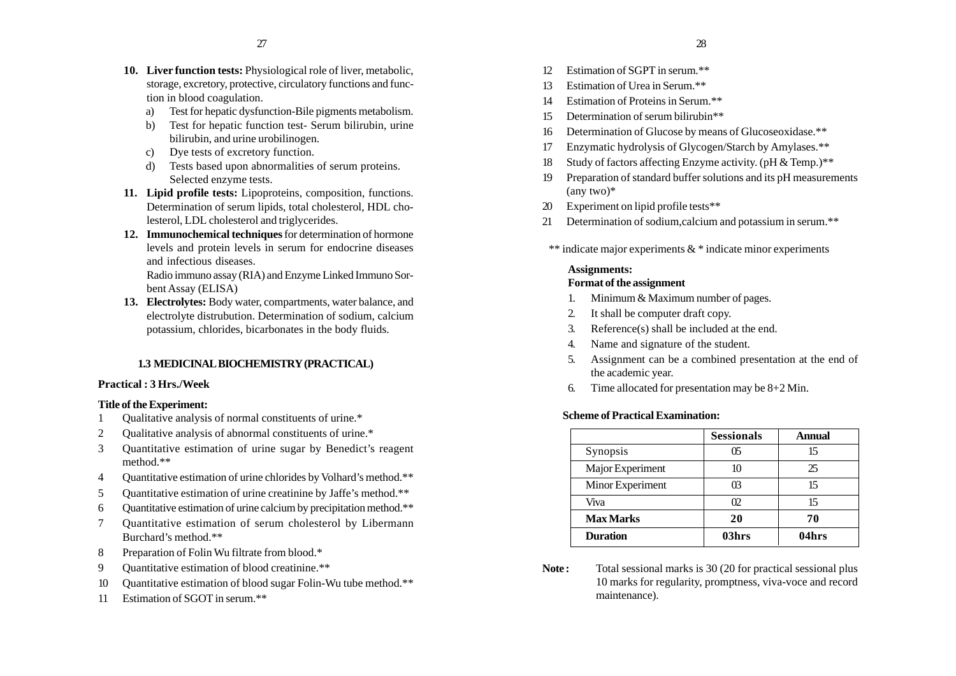- **10. Liver function tests:** Physiological role of liver, metabolic, storage, excretory, protective, circulatory functions and function in blood coagulation.
	- a) Test for hepatic dysfunction-Bile pigments metabolism.
	- b) Test for hepatic function test- Serum bilirubin, urine bilirubin, and urine urobilinogen.
	- c) Dye tests of excretory function.
	- d) Tests based upon abnormalities of serum proteins. Selected enzyme tests.
- **11. Lipid profile tests:** Lipoproteins, composition, functions. Determination of serum lipids, total cholesterol, HDL cholesterol, LDL cholesterol and triglycerides.
- **12. Immunochemical techniques** for determination of hormone levels and protein levels in serum for endocrine diseases and infectious diseases.

Radio immuno assay (RIA) and Enzyme Linked Immuno Sorbent Assay (ELISA)

**13. Electrolytes:** Body water, compartments, water balance, and electrolyte distrubution. Determination of sodium, calcium potassium, chlorides, bicarbonates in the body fluids.

#### **1.3 MEDICINAL BIOCHEMISTRY (PRACTICAL)**

### **Practical : 3 Hrs./Week**

#### **Title of the Experiment:**

- 1 Qualitative analysis of normal constituents of urine.\*
- 2 Qualitative analysis of abnormal constituents of urine.\*
- 3 Quantitative estimation of urine sugar by Benedict's reagent method.\*\*
- 4 Quantitative estimation of urine chlorides by Volhard's method.\*\*
- 5 Quantitative estimation of urine creatinine by Jaffe's method.\*\*
- 6 Quantitative estimation of urine calcium by precipitation method.\*\*
- 7 Quantitative estimation of serum cholesterol by Libermann Burchard's method.\*\*
- 8 Preparation of Folin Wu filtrate from blood.\*
- 9 Quantitative estimation of blood creatinine.\*\*
- 10 Quantitative estimation of blood sugar Folin-Wu tube method.\*\*
- 11 Estimation of SGOT in serum.\*\*
- 12 Estimation of SGPT in serum.\*\*
- 13 Estimation of Urea in Serum.\*\*
- 14 Estimation of Proteins in Serum.\*\*
- 15 Determination of serum bilirubin\*\*
- 16 Determination of Glucose by means of Glucoseoxidase.\*\*
- 17 Enzymatic hydrolysis of Glycogen/Starch by Amylases.\*\*
- 18 Study of factors affecting Enzyme activity. (pH & Temp.)\*\*
- 19 Preparation of standard buffer solutions and its pH measurements (any two)\*
- 20 Experiment on lipid profile tests\*\*
- 21 Determination of sodium,calcium and potassium in serum.\*\*
- \*\* indicate major experiments & \* indicate minor experiments

### **Assignments:**

### **Format of the assignment**

- 1. Minimum & Maximum number of pages.
- 2. It shall be computer draft copy.
- 3. Reference(s) shall be included at the end.
- 4. Name and signature of the student.
- 5. Assignment can be a combined presentation at the end of the academic year.
- 6. Time allocated for presentation may be 8+2 Min.

#### **Scheme of Practical Examination:**

|                  | <b>Sessionals</b> | <b>Annual</b> |
|------------------|-------------------|---------------|
| Synopsis         | 05                | 15            |
| Major Experiment | 10                | 25            |
| Minor Experiment | ß                 | 15            |
| Viva             | O2                | 15            |
| <b>Max Marks</b> | 20                | 70            |
| <b>Duration</b>  | 03hrs             | 04hrs         |

Note: Total sessional marks is 30 (20 for practical sessional plus 10 marks for regularity, promptness, viva-voce and record maintenance).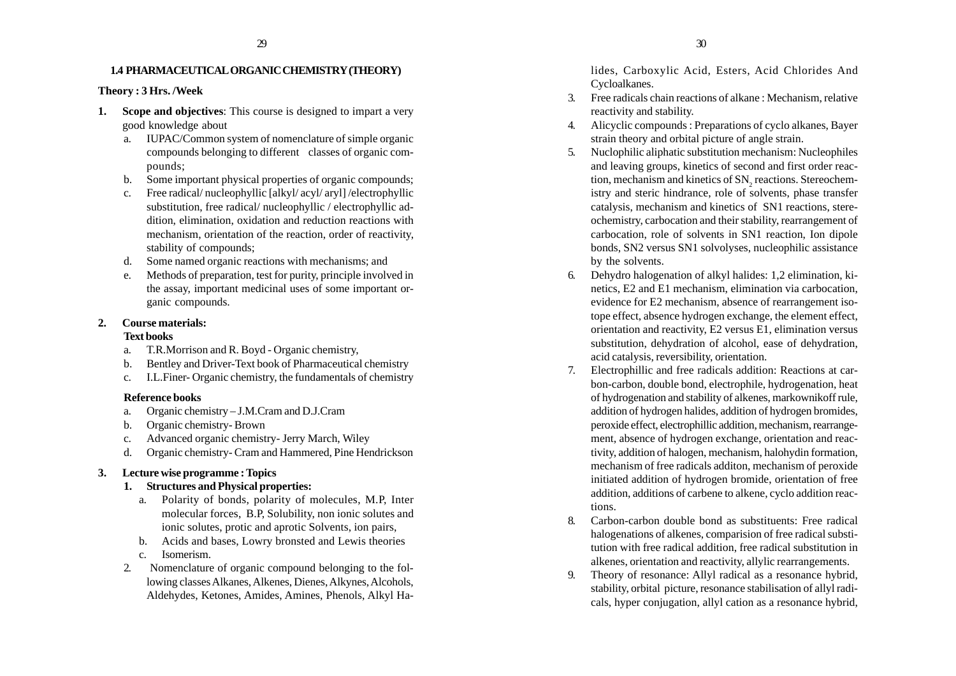#### **1.4 PHARMACEUTICAL ORGANIC CHEMISTRY (THEORY)**

#### **Theory : 3 Hrs. /Week**

- **1. Scope and objectives**: This course is designed to impart a very good knowledge about
	- a. IUPAC/Common system of nomenclature of simple organic compounds belonging to different classes of organic compounds;
	- b. Some important physical properties of organic compounds;
	- c. Free radical/ nucleophyllic [alkyl/ acyl/ aryl] /electrophyllic substitution, free radical/ nucleophyllic / electrophyllic addition, elimination, oxidation and reduction reactions with mechanism, orientation of the reaction, order of reactivity, stability of compounds;
	- d. Some named organic reactions with mechanisms; and
	- e. Methods of preparation, test for purity, principle involved in the assay, important medicinal uses of some important organic compounds.

#### **2. Course materials:**

#### **Text books**

- a. T.R.Morrison and R. Boyd Organic chemistry,
- b. Bentley and Driver-Text book of Pharmaceutical chemistry
- c. I.L.Finer- Organic chemistry, the fundamentals of chemistry

#### **Reference books**

- a. Organic chemistry J.M.Cram and D.J.Cram
- b. Organic chemistry- Brown
- c. Advanced organic chemistry- Jerry March, Wiley
- d. Organic chemistry- Cram and Hammered, Pine Hendrickson

### **3. Lecture wise programme : Topics**

- **1. Structures and Physical properties:**
	- a. Polarity of bonds, polarity of molecules, M.P, Inter molecular forces, B.P, Solubility, non ionic solutes and ionic solutes, protic and aprotic Solvents, ion pairs,
	- b. Acids and bases, Lowry bronsted and Lewis theories
	- c. Isomerism.
- 2. Nomenclature of organic compound belonging to the following classes Alkanes, Alkenes, Dienes, Alkynes, Alcohols, Aldehydes, Ketones, Amides, Amines, Phenols, Alkyl Ha-

lides, Carboxylic Acid, Esters, Acid Chlorides And Cycloalkanes.

- 3. Free radicals chain reactions of alkane : Mechanism, relative reactivity and stability.
- 4. Alicyclic compounds : Preparations of cyclo alkanes, Bayer strain theory and orbital picture of angle strain.
- 5. Nuclophilic aliphatic substitution mechanism: Nucleophiles and leaving groups, kinetics of second and first order reac tion, mechanism and kinetics of SN<sub>2</sub> reactions. Stereochemistry and steric hindrance, role of solvents, phase transfer catalysis, mechanism and kinetics of SN1 reactions, stere ochemistry, carbocation and their stability, rearrangement of carbocation, role of solvents in SN1 reaction, Ion dipole bonds, SN2 versus SN1 solvolyses, nucleophilic assistance by the solvents.
- 6. Dehydro halogenation of alkyl halides: 1,2 elimination, ki netics, E2 and E1 mechanism, elimination via carbocation, evidence for E2 mechanism, absence of rearrangement iso tope effect, absence hydrogen exchange, the element effect, orientation and reactivity, E2 versus E1, elimination versus substitution, dehydration of alcohol, ease of dehydration, acid catalysis, reversibility, orientation.
- 7. Electrophillic and free radicals addition: Reactions at car bon-carbon, double bond, electrophile, hydrogenation, heat of hydrogenation and stability of alkenes, markownikoff rule, addition of hydrogen halides, addition of hydrogen bromides, peroxide effect, electrophillic addition, mechanism, rearrange ment, absence of hydrogen exchange, orientation and reac tivity, addition of halogen, mechanism, halohydin formation, mechanism of free radicals additon, mechanism of peroxide initiated addition of hydrogen bromide, orientation of free addition, additions of carbene to alkene, cyclo addition reac tions.
- 8. Carbon-carbon double bond as substituents: Free radical halogenations of alkenes, comparision of free radical substi tution with free radical addition, free radical substitution in alkenes, orientation and reactivity, allylic rearrangements.
- 9. Theory of resonance: Allyl radical as a resonance hybrid, stability, orbital picture, resonance stabilisation of allyl radi cals, hyper conjugation, allyl cation as a resonance hybrid,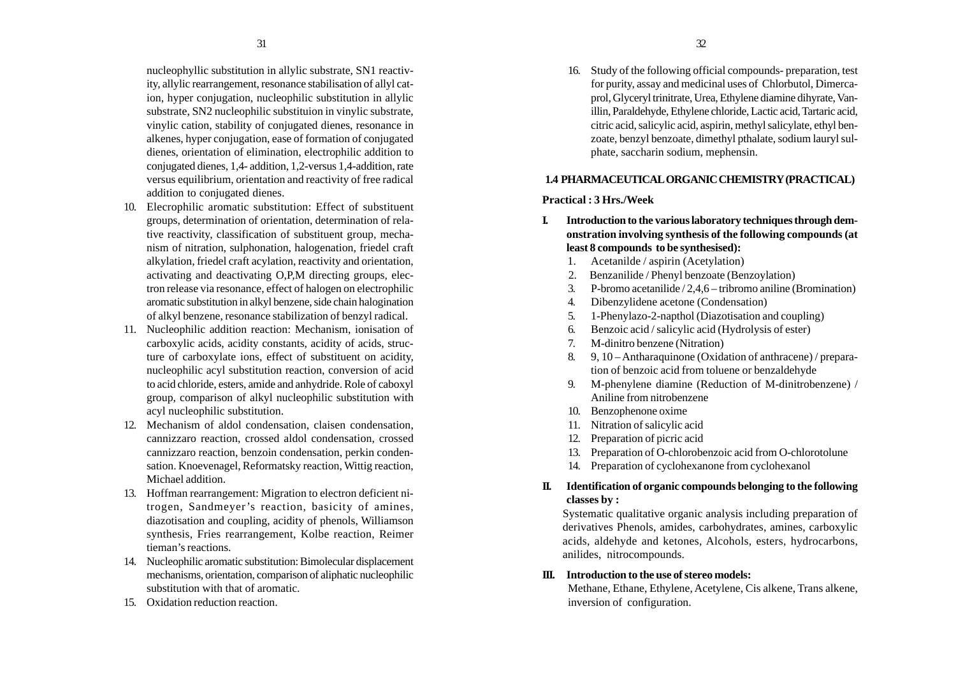nucleophyllic substitution in allylic substrate, SN1 reactivity, allylic rearrangement, resonance stabilisation of allyl cation, hyper conjugation, nucleophilic substitution in allylic substrate, SN2 nucleophilic substituion in vinylic substrate, vinylic cation, stability of conjugated dienes, resonance in alkenes, hyper conjugation, ease of formation of conjugated dienes, orientation of elimination, electrophilic addition to conjugated dienes, 1,4- addition, 1,2-versus 1,4-addition, rate versus equilibrium, orientation and reactivity of free radical addition to conjugated dienes.

- 10. Elecrophilic aromatic substitution: Effect of substituent groups, determination of orientation, determination of relative reactivity, classification of substituent group, mechanism of nitration, sulphonation, halogenation, friedel craft alkylation, friedel craft acylation, reactivity and orientation, activating and deactivating O,P,M directing groups, electron release via resonance, effect of halogen on electrophilic aromatic substitution in alkyl benzene, side chain halogination of alkyl benzene, resonance stabilization of benzyl radical.
- 11. Nucleophilic addition reaction: Mechanism, ionisation of carboxylic acids, acidity constants, acidity of acids, structure of carboxylate ions, effect of substituent on acidity, nucleophilic acyl substitution reaction, conversion of acid to acid chloride, esters, amide and anhydride. Role of caboxyl group, comparison of alkyl nucleophilic substitution with acyl nucleophilic substitution.
- 12. Mechanism of aldol condensation, claisen condensation, cannizzaro reaction, crossed aldol condensation, crossed cannizzaro reaction, benzoin condensation, perkin condensation. Knoevenagel, Reformatsky reaction, Wittig reaction, Michael addition.
- 13. Hoffman rearrangement: Migration to electron deficient nitrogen, Sandmeyer's reaction, basicity of amines, diazotisation and coupling, acidity of phenols, Williamson synthesis, Fries rearrangement, Kolbe reaction, Reimer tieman's reactions.
- 14. Nucleophilic aromatic substitution: Bimolecular displacement mechanisms, orientation, comparison of aliphatic nucleophilic substitution with that of aromatic.
- 15. Oxidation reduction reaction.

16. Study of the following official compounds- preparation, test for purity, assay and medicinal uses of Chlorbutol, Dimercaprol, Glyceryl trinitrate, Urea, Ethylene diamine dihyrate, Vanillin, Paraldehyde, Ethylene chloride, Lactic acid, Tartaric acid, citric acid, salicylic acid, aspirin, methyl salicylate, ethyl benzoate, benzyl benzoate, dimethyl pthalate, sodium lauryl sul-

#### **1.4 PHARMACEUTICAL ORGANIC CHEMISTRY (PRACTICAL)**

#### **Practical : 3 Hrs./Week**

- **I. Introduction to the various laboratory techniques through demonstration involving synthesis of the following compounds (at least 8 compounds to be synthesised):**
	- 1. Acetanilde / aspirin (Acetylation)
	- 2. Benzanilide / Phenyl benzoate (Benzoylation)

phate, saccharin sodium, mephensin.

- 3. P-bromo acetanilide / 2,4,6 tribromo aniline (Bromination)
- 4. Dibenzylidene acetone (Condensation)
- 5. 1-Phenylazo-2-napthol (Diazotisation and coupling)
- 6. Benzoic acid / salicylic acid (Hydrolysis of ester)
- 7. M-dinitro benzene (Nitration)
- 8. 9, 10 Antharaquinone (Oxidation of anthracene) / preparation of benzoic acid from toluene or benzaldehyde
- 9. M-phenylene diamine (Reduction of M-dinitrobenzene) / Aniline from nitrobenzene
- 10. Benzophenone oxime
- 11. Nitration of salicylic acid
- 12. Preparation of picric acid
- 13. Preparation of O-chlorobenzoic acid from O-chlorotolune
- 14. Preparation of cyclohexanone from cyclohexanol

### **II. Identification of organic compounds belonging to the following classes by :**

Systematic qualitative organic analysis including preparation of derivatives Phenols, amides, carbohydrates, amines, carboxylic acids, aldehyde and ketones, Alcohols, esters, hydrocarbons, anilides, nitrocompounds.

#### **III. Introduction to the use of stereo models:**

Methane, Ethane, Ethylene, Acetylene, Cis alkene, Trans alkene, inversion of configuration.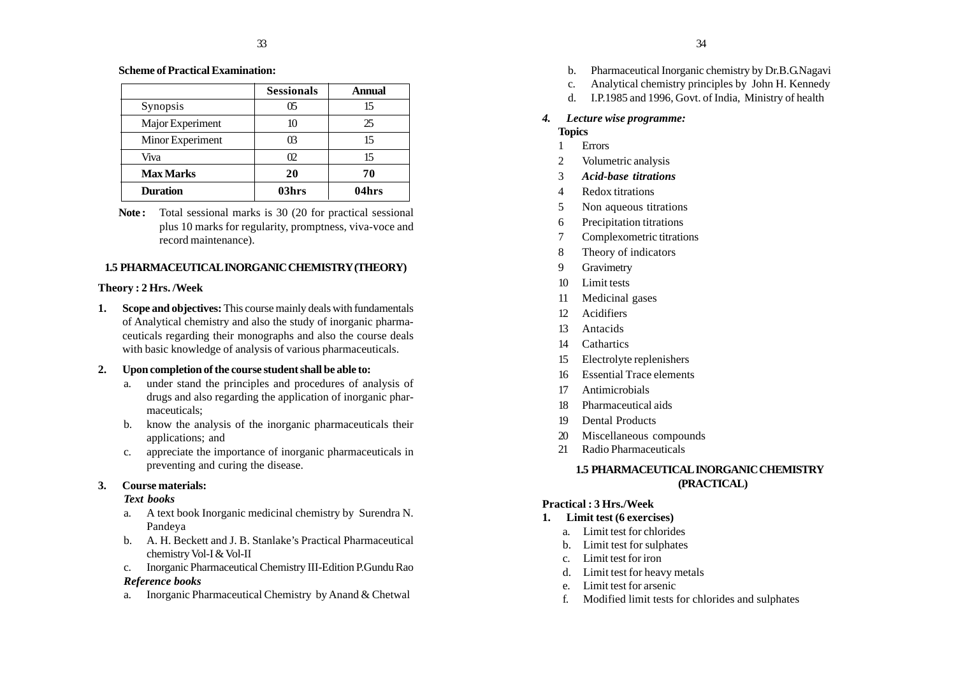### **Scheme of Practical Examination:**

|                  | <b>Sessionals</b> | <b>Annual</b> |
|------------------|-------------------|---------------|
| Synopsis         | 05                | 15            |
| Major Experiment | 10                | 25            |
| Minor Experiment | œ                 | 15            |
| Viva             | $\Omega$          | 15            |
| <b>Max Marks</b> | 20                | 70            |
| <b>Duration</b>  | 03hrs             | 04hrs         |

Note: Total sessional marks is 30 (20 for practical sessional plus 10 marks for regularity, promptness, viva-voce and record maintenance).

### **1.5 PHARMACEUTICAL INORGANIC CHEMISTRY (THEORY)**

### **Theory : 2 Hrs. /Week**

**1. Scope and objectives:** This course mainly deals with fundamentals of Analytical chemistry and also the study of inorganic pharmaceuticals regarding their monographs and also the course deals with basic knowledge of analysis of various pharmaceuticals.

### **2. Upon completion of the course student shall be able to:**

- a. under stand the principles and procedures of analysis of drugs and also regarding the application of inorganic pharmaceuticals;
- b. know the analysis of the inorganic pharmaceuticals their applications; and
- c. appreciate the importance of inorganic pharmaceuticals in preventing and curing the disease.

### **3. Course materials:**

### *Text books*

- a. A text book Inorganic medicinal chemistry by Surendra N. Pandeya
- b. A. H. Beckett and J. B. Stanlake's Practical Pharmaceutical chemistry Vol-I & Vol-II
- c. Inorganic Pharmaceutical Chemistry III-Edition P.Gundu Rao

### *Reference books*

a. Inorganic Pharmaceutical Chemistry by Anand & Chetwal

- b. Pharmaceutical Inorganic chemistry by Dr.B.G.Nagavi
- c. Analytical chemistry principles by John H. Kennedy
- d. I.P.1985 and 1996, Govt. of India, Ministry of health

### *4. Lecture wise programme:*

### **Topics**

- 1 Errors
- 2 Volumetric analysis
- 3 *Acid-base titrations*
- 4 Redox titrations
- 5 Non aqueous titrations
- 6 Precipitation titrations
- Complexometric titrations
- 8 Theory of indicators
- 9 Gravimetry
- 10 Limit tests
- 11 Medicinal gases
- 12 Acidifiers
- 13 Antacids
- 14 Cathartics
- 15 Electrolyte replenishers
- 16 Essential Trace elements
- 17 Antimicrobials
- 18 Pharmaceutical aids
- 19 Dental Products
- 20 Miscellaneous compounds
- 21 Radio Pharmaceuticals

# **1.5 PHARMACEUTICAL INORGANIC CHEMISTRY (PRACTICAL)**

### **Practical : 3 Hrs./Week**

# **1. Limit test (6 exercises)**

- a. Limit test for chlorides
- b. Limit test for sulphates
- c. Limit test for iron
- d. Limit test for heavy metals
- e. Limit test for arsenic
- f. Modified limit tests for chlorides and sulphates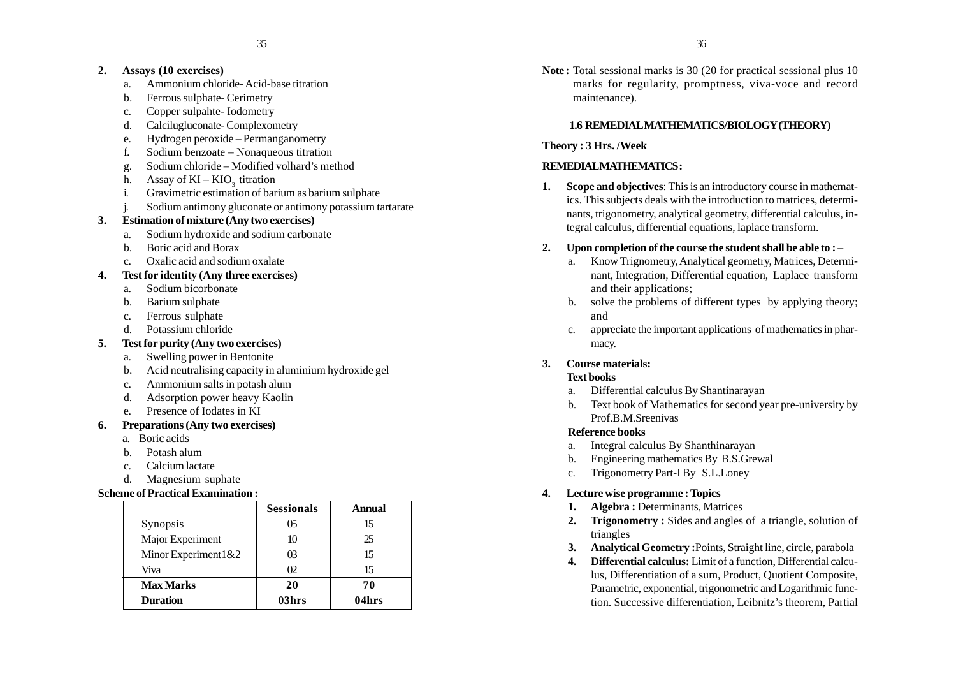### **2. Assays (10 exercises)**

- a. Ammonium chloride- Acid-base titration
- b. Ferrous sulphate- Cerimetry
- c. Copper sulpahte- Iodometry
- d. Calcilugluconate- Complexometry
- e. Hydrogen peroxide Permanganometry
- f. Sodium benzoate Nonaqueous titration
- g. Sodium chloride Modified volhard's method
- h. Assay of  $KI KIO$ <sub>2</sub> titration
- i. Gravimetric estimation of barium as barium sulphate
- j. Sodium antimony gluconate or antimony potassium tartarate

### **3. Estimation of mixture (Any two exercises)**

- a. Sodium hydroxide and sodium carbonate
- b. Boric acid and Borax
- c. Oxalic acid and sodium oxalate

### **4. Test for identity (Any three exercises)**

- a. Sodium bicorbonate
- b. Barium sulphate
- c. Ferrous sulphate
- d. Potassium chloride

### **5. Test for purity (Any two exercises)**

- a. Swelling power in Bentonite
- b. Acid neutralising capacity in aluminium hydroxide gel
- c. Ammonium salts in potash alum
- d. Adsorption power heavy Kaolin
- e. Presence of Iodates in KI

### **6. Preparations (Any two exercises)**

- a. Boric acids
- b. Potash alum
- c. Calcium lactate
- d. Magnesium suphate

#### **Scheme of Practical Examination :**

|                     | <b>Sessionals</b> | <b>Annual</b> |
|---------------------|-------------------|---------------|
| Synopsis            |                   | 15            |
| Major Experiment    |                   | 25            |
| Minor Experiment1&2 |                   | 15            |
| Viva                | œ                 | 15            |
| <b>Max Marks</b>    | 20                | 70            |
| <b>Duration</b>     | 03hrs             | 04hrs         |

**Note :** Total sessional marks is 30 (20 for practical sessional plus 10 marks for regularity, promptness, viva-voce and record maintenance).

### **1.6 REMEDIAL MATHEMATICS/BIOLOGY (THEORY)**

#### **Theory : 3 Hrs. /Week**

### **REMEDIAL MATHEMATICS :**

- **1. Scope and objectives**: This is an introductory course in mathematics. This subjects deals with the introduction to matrices, determinants, trigonometry, analytical geometry, differential calculus, integral calculus, differential equations, laplace transform.
- **2. Upon completion of the course the student shall be able to :** 
	- a. Know Trignometry, Analytical geometry, Matrices, Determinant, Integration, Differential equation, Laplace transform and their applications;
	- b. solve the problems of different types by applying theory; and
	- c. appreciate the important applications of mathematics in pharmacy.

### **3. Course materials:**

#### **Text books**

- a. Differential calculus By Shantinarayan
- b. Text book of Mathematics for second year pre-university by Prof.B.M.Sreenivas

#### **Reference books**

- a. Integral calculus By Shanthinarayan
- b. Engineering mathematics By B.S.Grewal
- c. Trigonometry Part-I By S.L.Loney

### **4. Lecture wise programme : Topics**

- **1. Algebra :** Determinants, Matrices
- **2. Trigonometry :** Sides and angles of a triangle, solution of triangles
- **3. Analytical Geometry :**Points, Straight line, circle, parabola
- **4. Differential calculus:** Limit of a function, Differential calculus, Differentiation of a sum, Product, Quotient Composite, Parametric, exponential, trigonometric and Logarithmic function. Successive differentiation, Leibnitz's theorem, Partial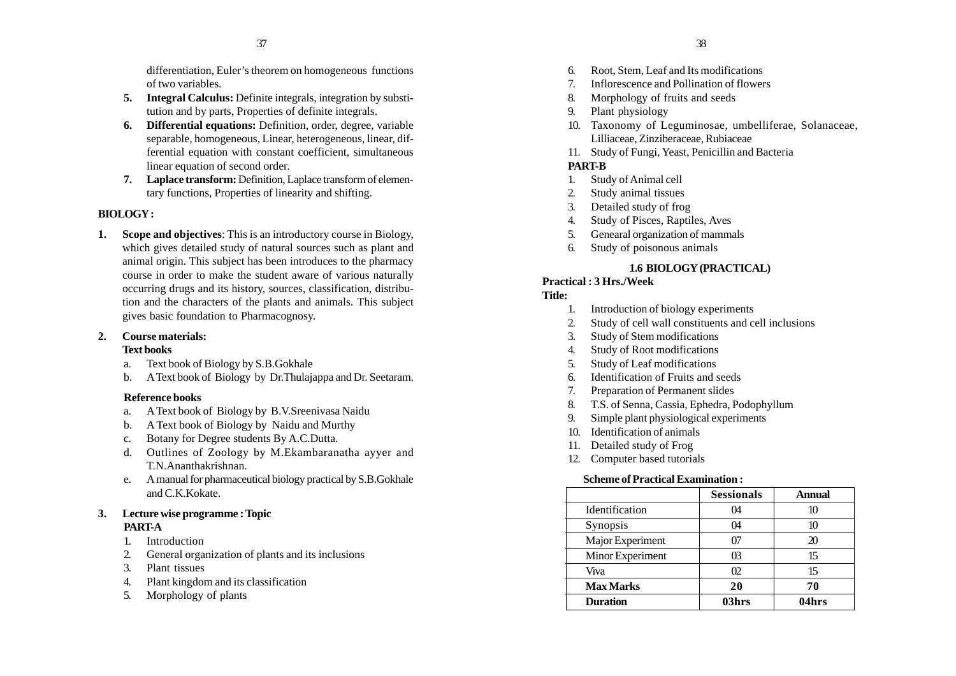differentiation, Euler's theorem on homogeneous functions of two variables.

- **5. Integral Calculus:** Definite integrals, integration by substitution and by parts, Properties of definite integrals.
- **6. Differential equations:** Definition, order, degree, variable separable, homogeneous, Linear, heterogeneous, linear, differential equation with constant coefficient, simultaneous linear equation of second order.
- **7. Laplace transform:** Definition, Laplace transform of elementary functions, Properties of linearity and shifting.

#### **BIOLOGY :**

**1. Scope and objectives**: This is an introductory course in Biology, which gives detailed study of natural sources such as plant and animal origin. This subject has been introduces to the pharmacy course in order to make the student aware of various naturally occurring drugs and its history, sources, classification, distribution and the characters of the plants and animals. This subject gives basic foundation to Pharmacognosy.

#### **2. Course materials:**

#### **Text books**

- a. Text book of Biology by S.B.Gokhale
- b. A Text book of Biology by Dr.Thulajappa and Dr. Seetaram.

### **Reference books**

- a. A Text book of Biology by B.V.Sreenivasa Naidu
- b. A Text book of Biology by Naidu and Murthy
- c. Botany for Degree students By A.C.Dutta.
- d. Outlines of Zoology by M.Ekambaranatha ayyer and T.N.Ananthakrishnan.
- e. A manual for pharmaceutical biology practical by S.B.Gokhale and C.K.Kokate.

### **3. Lecture wise programme : Topic PART-A**

- 1. Introduction
- 2. General organization of plants and its inclusions
- 3. Plant tissues
- 4. Plant kingdom and its classification
- 5. Morphology of plants
- 6. Root, Stem, Leaf and Its modifications
- 7. Inflorescence and Pollination of flowers
- 8. Morphology of fruits and seeds
- 9. Plant physiology
- 10. Taxonomy of Leguminosae, umbelliferae, Solanaceae, Lilliaceae, Zinziberaceae, Rubiaceae
- 11. Study of Fungi, Yeast, Penicillin and Bacteria

# **PART-B**

- 1. Study of Animal cell
- 2. Study animal tissues
- 3. Detailed study of frog
- 4. Study of Pisces, Raptiles, Aves
- 5. Genearal organization of mammals
- 6. Study of poisonous animals

### **1.6 BIOLOGY (PRACTICAL)**

#### **Practical : 3 Hrs./Week**

#### **Title:**

- 1. Introduction of biology experiments
- 2. Study of cell wall constituents and cell inclusions
- 3. Study of Stem modifications
- 4. Study of Root modifications
- 5. Study of Leaf modifications
- 6. Identification of Fruits and seeds
- 7. Preparation of Permanent slides
- 8. T.S. of Senna, Cassia, Ephedra, Podophyllum
- 9. Simple plant physiological experiments
- 10. Identification of animals
- 11. Detailed study of Frog
- 12. Computer based tutorials

#### **Scheme of Practical Examination :**

|                  | <b>Sessionals</b> | Annual |
|------------------|-------------------|--------|
| Identification   | 04                | 10     |
| Synopsis         | 04                | 10     |
| Major Experiment | 07                | 20     |
| Minor Experiment | ß                 | 15     |
| Viva             | O2                | 15     |
| <b>Max Marks</b> | 20                | 70     |
| <b>Duration</b>  | 03hrs             | 04hrs  |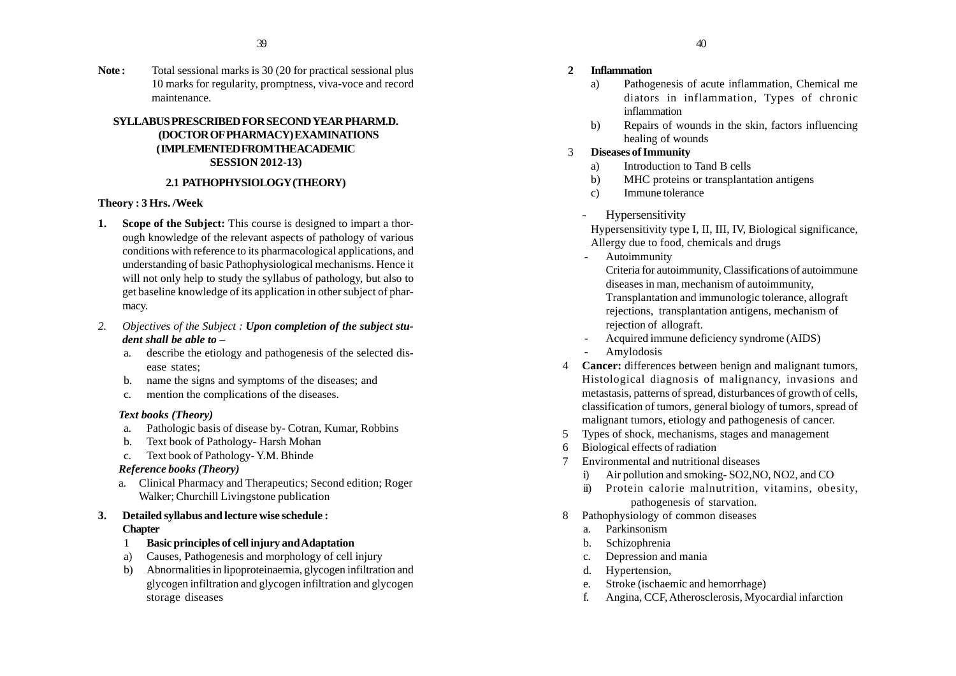Note: Total sessional marks is 30 (20 for practical sessional plus 10 marks for regularity, promptness, viva-voce and record maintenance.

### **SYLLABUS PRESCRIBED FOR SECOND YEAR PHARM.D. (DOCTOR OF PHARMACY) EXAMINATIONS ( IMPLEMENTED FROM THE ACADEMIC SESSION 2012-13)**

### **2.1 PATHOPHYSIOLOGY (THEORY)**

#### **Theory : 3 Hrs. /Week**

- **1. Scope of the Subject:** This course is designed to impart a thorough knowledge of the relevant aspects of pathology of various conditions with reference to its pharmacological applications, and understanding of basic Pathophysiological mechanisms. Hence it will not only help to study the syllabus of pathology, but also to get baseline knowledge of its application in other subject of pharmacy.
- *2. Objectives of the Subject : Upon completion of the subject student shall be able to*  **–**
	- a. describe the etiology and pathogenesis of the selected disease states;
	- b. name the signs and symptoms of the diseases; and
	- c. mention the complications of the diseases.

### *Text books (Theory)*

- a. Pathologic basis of disease by- Cotran, Kumar, Robbins
- b. Text book of Pathology- Harsh Mohan
- c. Text book of Pathology- Y.M. Bhinde

### *Reference books (Theory)*

a. Clinical Pharmacy and Therapeutics; Second edition; Roger Walker; Churchill Livingstone publication

### **3. Detailed syllabus and lecture wise schedule : Chapter**

- 1 **Basic principles of cell injury and Adaptation**
- a) Causes, Pathogenesis and morphology of cell injury
- b) Abnormalities in lipoproteinaemia, glycogen infiltration and glycogen infiltration and glycogen infiltration and glycogen storage diseases

### **2 Inflammation**

- a) Pathogenesis of acute inflammation, Chemical me diators in inflammation, Types of chronic inflammation
- b) Repairs of wounds in the skin, factors influencing healing of wounds

### 3 **Diseases of Immunity**

- a) Introduction to Tand B cells
- b) MHC proteins or transplantation antigens
- c) Immune tolerance
- Hypersensitivity

Hypersensitivity type I, II, III, IV, Biological significance, Allergy due to food, chemicals and drugs

- Autoimmunity

Criteria for autoimmunity, Classifications of autoimmune diseases in man, mechanism of autoimmunity, Transplantation and immunologic tolerance, allograft rejections, transplantation antigens, mechanism of rejection of allograft.

- Acquired immune deficiency syndrome (AIDS)
- Amylodosis
- 4 **Cancer:** differences between benign and malignant tumors, Histological diagnosis of malignancy, invasions and metastasis, patterns of spread, disturbances of growth of cells, classification of tumors, general biology of tumors, spread of malignant tumors, etiology and pathogenesis of cancer.
- 5 Types of shock, mechanisms, stages and management
- 6 Biological effects of radiation
- 7 Environmental and nutritional diseases
	- i) Air pollution and smoking- SO2,NO, NO2, and CO
	- ii) Protein calorie malnutrition, vitamins, obesity, pathogenesis of starvation.
- 8 Pathophysiology of common diseases
	- a. Parkinsonism
	- b. Schizophrenia
	- c. Depression and mania
	- d. Hypertension,
	- e. Stroke (ischaemic and hemorrhage)
	- f. Angina, CCF, Atherosclerosis, Myocardial infarction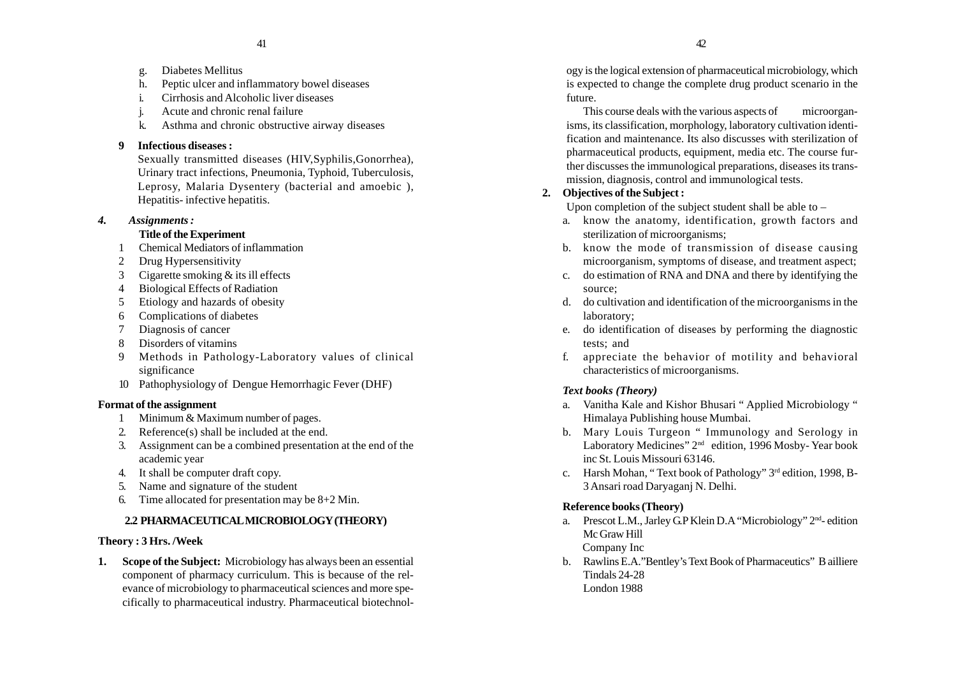- g. Diabetes Mellitus
- h. Peptic ulcer and inflammatory bowel diseases
- i. Cirrhosis and Alcoholic liver diseases
- Acute and chronic renal failure
- k. Asthma and chronic obstructive airway diseases

# **9 Infectious diseases :**

Sexually transmitted diseases (HIV,Syphilis,Gonorrhea), Urinary tract infections, Pneumonia, Typhoid, Tuberculosis, Leprosy, Malaria Dysentery (bacterial and amoebic ), Hepatitis- infective hepatitis.

# *4. Assignments :*

# **Title of the Experiment**

- 1 Chemical Mediators of inflammation
- 2 Drug Hypersensitivity
- 3 Cigarette smoking & its ill effects
- 4 Biological Effects of Radiation
- 5 Etiology and hazards of obesity
- 6 Complications of diabetes
- 7 Diagnosis of cancer
- 8 Disorders of vitamins
- 9 Methods in Pathology-Laboratory values of clinical significance
- 10 Pathophysiology of Dengue Hemorrhagic Fever (DHF)

# **Format of the assignment**

- 1 Minimum & Maximum number of pages.
- 2. Reference(s) shall be included at the end.
- 3. Assignment can be a combined presentation at the end of the academic year
- 4. It shall be computer draft copy.
- 5. Name and signature of the student
- 6. Time allocated for presentation may be 8+2 Min.

# **2.2 PHARMACEUTICAL MICROBIOLOGY (THEORY)**

# **Theory : 3 Hrs. /Week**

**1. Scope of the Subject:** Microbiology has always been an essential component of pharmacy curriculum. This is because of the relevance of microbiology to pharmaceutical sciences and more specifically to pharmaceutical industry. Pharmaceutical biotechnol-

ogy is the logical extension of pharmaceutical microbiology, which is expected to change the complete drug product scenario in the future.

This course deals with the various aspects of microorgan isms, its classification, morphology, laboratory cultivation identi fication and maintenance. Its also discusses with sterilization of pharmaceutical products, equipment, media etc. The course fur ther discusses the immunological preparations, diseases its trans mission, diagnosis, control and immunological tests.

# **2. Objectives of the Subject :**

Upon completion of the subject student shall be able to  $-$ 

- a. know the anatomy, identification, growth factors and sterilization of microorganisms;
- b. know the mode of transmission of disease causing microorganism, symptoms of disease, and treatment aspect;
- c. do estimation of RNA and DNA and there by identifying the source;
- d. do cultivation and identification of the microorganisms in the laboratory;
- e. do identification of diseases by performing the diagnostic tests; and
- f. appreciate the behavior of motility and behavioral characteristics of microorganisms.

# *Text books (Theory)*

- Vanitha Kale and Kishor Bhusari " Applied Microbiology " Himalaya Publishing house Mumbai.
- b. Mary Louis Turgeon " Immunology and Serology in Laboratory Medicines" 2nd edition, 1996 Mosby- Year book inc St. Louis Missouri 63146.
- c. Harsh Mohan, " Text book of Pathology" 3rd edition, 1998, B- 3 Ansari road Daryaganj N. Delhi.

# **Reference books (Theory)**

- a. Prescot L.M., Jarley G.P Klein D.A "Microbiology" 2nd- edition Mc Graw Hill Company Inc
- b. Rawlins E.A."Bentley's Text Book of Pharmaceutics" B ailliere Tindals 24-28 London 1988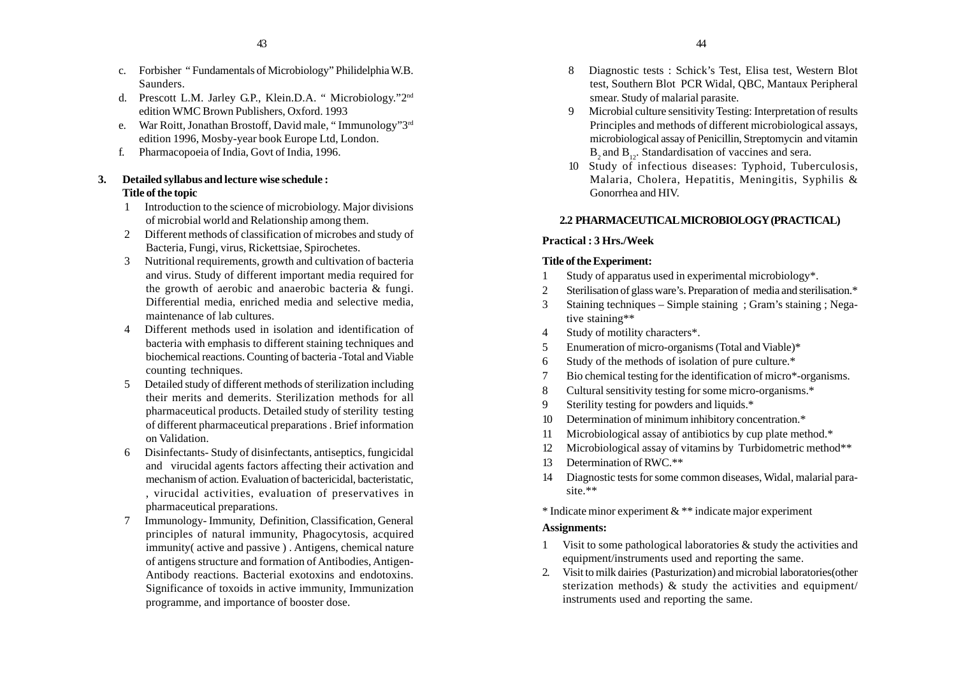- c. Forbisher " Fundamentals of Microbiology" Philidelphia W.B. Saunders.
- d. Prescott L.M. Jarley G.P., Klein.D.A. " Microbiology."2nd edition WMC Brown Publishers, Oxford. 1993
- e. War Roitt, Jonathan Brostoff, David male, " Immunology"3rd edition 1996, Mosby-year book Europe Ltd, London.
- f. Pharmacopoeia of India, Govt of India, 1996.

### **3. Detailed syllabus and lecture wise schedule : Title of the topic**

- 1 Introduction to the science of microbiology. Major divisions of microbial world and Relationship among them.
- 2 Different methods of classification of microbes and study of Bacteria, Fungi, virus, Rickettsiae, Spirochetes.
- 3 Nutritional requirements, growth and cultivation of bacteria and virus. Study of different important media required for the growth of aerobic and anaerobic bacteria & fungi. Differential media, enriched media and selective media, maintenance of lab cultures.
- 4 Different methods used in isolation and identification of bacteria with emphasis to different staining techniques and biochemical reactions. Counting of bacteria -Total and Viable counting techniques.
- 5 Detailed study of different methods of sterilization including their merits and demerits. Sterilization methods for all pharmaceutical products. Detailed study of sterility testing of different pharmaceutical preparations . Brief information on Validation.
- 6 Disinfectants- Study of disinfectants, antiseptics, fungicidal and virucidal agents factors affecting their activation and mechanism of action. Evaluation of bactericidal, bacteristatic, , virucidal activities, evaluation of preservatives in pharmaceutical preparations.
- 7 Immunology- Immunity, Definition, Classification, General principles of natural immunity, Phagocytosis, acquired immunity( active and passive ) . Antigens, chemical nature of antigens structure and formation of Antibodies, Antigen-Antibody reactions. Bacterial exotoxins and endotoxins. Significance of toxoids in active immunity, Immunization programme, and importance of booster dose.
- 8 Diagnostic tests : Schick's Test, Elisa test, Western Blot test, Southern Blot PCR Widal, QBC, Mantaux Peripheral smear. Study of malarial parasite.
- 9 Microbial culture sensitivity Testing: Interpretation of results Principles and methods of different microbiological assays, microbiological assay of Penicillin, Streptomycin and vitamin B<sub>2</sub> and B<sub>12</sub>. Standardisation of vaccines and sera.
- 10 Study of infectious diseases: Typhoid, Tuberculosis, Malaria, Cholera, Hepatitis, Meningitis, Syphilis & Gonorrhea and HIV.

### **2.2 PHARMACEUTICAL MICROBIOLOGY (PRACTICAL)**

### **Practical : 3 Hrs./Week**

### **Title of the Experiment:**

- 1 Study of apparatus used in experimental microbiology\*.
- 2 Sterilisation of glass ware's. Preparation of media and sterilisation.\*
- 3 Staining techniques Simple staining ; Gram's staining ; Negative staining\*\*
- 4 Study of motility characters\*.
- 5 Enumeration of micro-organisms (Total and Viable)\*
- 6 Study of the methods of isolation of pure culture.\*
- 7 Bio chemical testing for the identification of micro\*-organisms.
- 8 Cultural sensitivity testing for some micro-organisms.\*
- 9 Sterility testing for powders and liquids.\*
- 10 Determination of minimum inhibitory concentration.\*
- 11 Microbiological assay of antibiotics by cup plate method.\*
- 12 Microbiological assay of vitamins by Turbidometric method\*\*
- 13 Determination of RWC.\*\*
- 14 Diagnostic tests for some common diseases, Widal, malarial parasite.\*\*

\* Indicate minor experiment & \*\* indicate major experiment

### **Assignments:**

- 1 Visit to some pathological laboratories & study the activities and equipment/instruments used and reporting the same.
- 2. Visit to milk dairies (Pasturization) and microbial laboratories(other sterization methods)  $\&$  study the activities and equipment/ instruments used and reporting the same.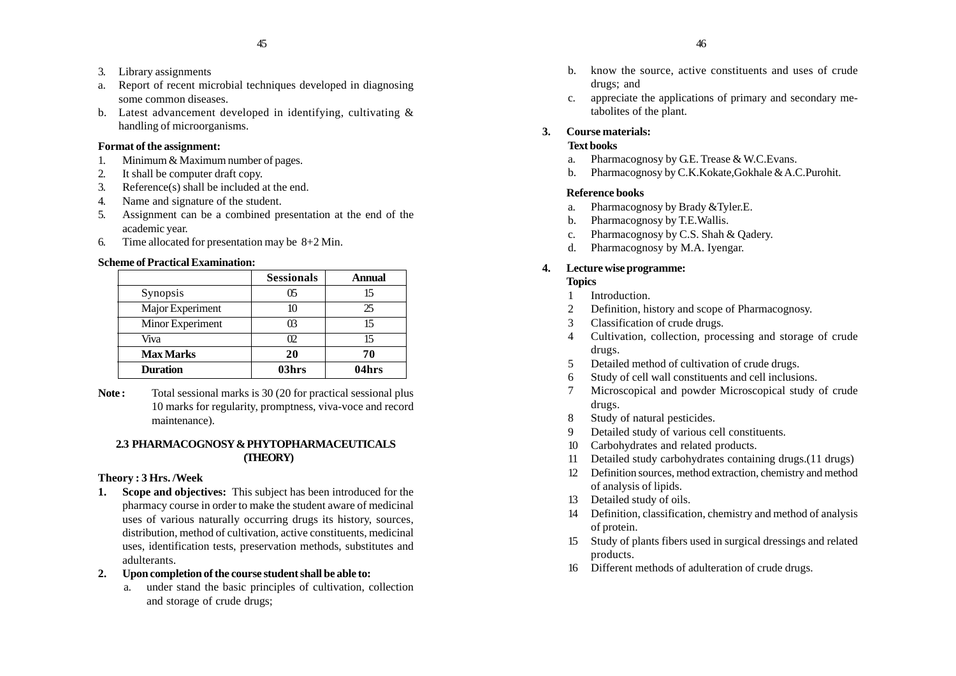- 3. Library assignments
- a. Report of recent microbial techniques developed in diagnosing some common diseases.
- b. Latest advancement developed in identifying, cultivating & handling of microorganisms.

#### **Format of the assignment:**

- 1. Minimum & Maximum number of pages.
- 2. It shall be computer draft copy.
- 3. Reference(s) shall be included at the end.
- 4. Name and signature of the student.
- 5. Assignment can be a combined presentation at the end of the academic year.
- 6. Time allocated for presentation may be 8+2 Min.

#### **Scheme of Practical Examination:**

|                  | <b>Sessionals</b> | <b>Annual</b> |
|------------------|-------------------|---------------|
| Synopsis         |                   | 15            |
| Major Experiment |                   | 25            |
| Minor Experiment |                   |               |
| Viva             |                   | 15            |
| <b>Max Marks</b> | 20                | 70            |
| <b>Duration</b>  | 03hrs             | 04hrs         |

Note: Total sessional marks is 30 (20 for practical sessional plus 10 marks for regularity, promptness, viva-voce and record maintenance).

### **2.3 PHARMACOGNOSY & PHYTOPHARMACEUTICALS (THEORY)**

### **Theory : 3 Hrs. /Week**

- **1. Scope and objectives:** This subject has been introduced for the pharmacy course in order to make the student aware of medicinal uses of various naturally occurring drugs its history, sources, distribution, method of cultivation, active constituents, medicinal uses, identification tests, preservation methods, substitutes and adulterants.
- **2. Upon completion of the course student shall be able to:**
	- a. under stand the basic principles of cultivation, collection and storage of crude drugs;
- b. know the source, active constituents and uses of crude drugs; and
- c. appreciate the applications of primary and secondary metabolites of the plant.

### **3. Course materials:**

### **Text books**

- a. Pharmacognosy by G.E. Trease & W.C.Evans.
- b. Pharmacognosy by C.K.Kokate,Gokhale & A.C.Purohit.

### **Reference books**

- a. Pharmacognosy by Brady &Tyler.E.
- b. Pharmacognosy by T.E.Wallis.
- c. Pharmacognosy by C.S. Shah & Qadery.
- d. Pharmacognosy by M.A. Iyengar.

### **4. Lecture wise programme:**

### **Topics**

- 1 Introduction.
- 2 Definition, history and scope of Pharmacognosy.
- 3 Classification of crude drugs.
- 4 Cultivation, collection, processing and storage of crude drugs.
- 5 Detailed method of cultivation of crude drugs.
- 6 Study of cell wall constituents and cell inclusions.
- 7 Microscopical and powder Microscopical study of crude drugs.
- 8 Study of natural pesticides.
- 9 Detailed study of various cell constituents.
- 10 Carbohydrates and related products.
- 11 Detailed study carbohydrates containing drugs.(11 drugs)
- 12 Definition sources, method extraction, chemistry and method of analysis of lipids.
- 13 Detailed study of oils.
- 14 Definition, classification, chemistry and method of analysis of protein.
- 15 Study of plants fibers used in surgical dressings and related products.
- 16 Different methods of adulteration of crude drugs.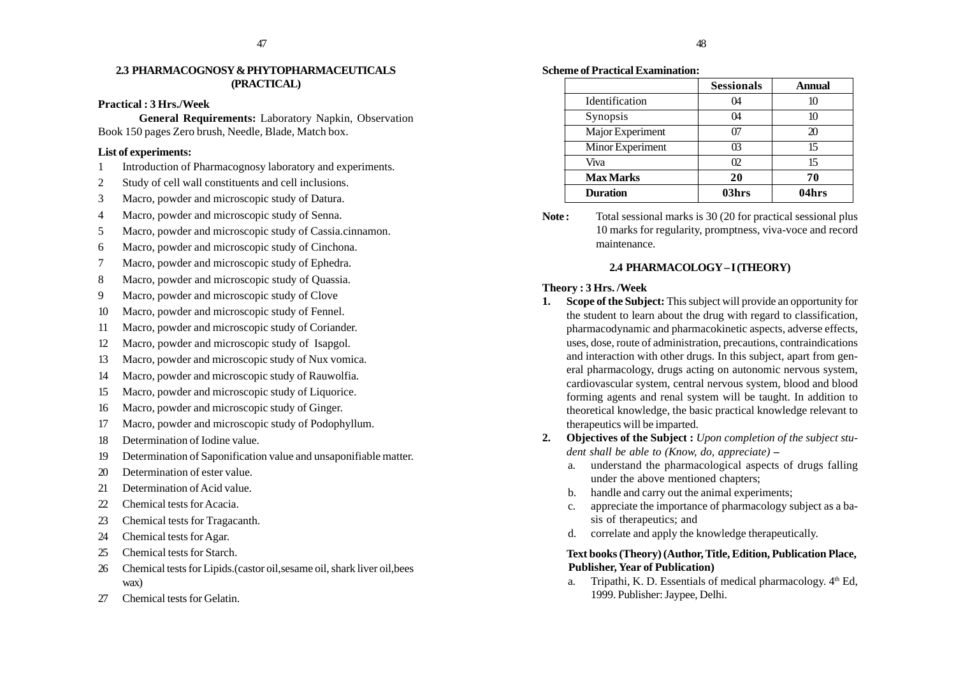#### **2.3 PHARMACOGNOSY & PHYTOPHARMACEUTICALS (PRACTICAL)**

#### **Practical : 3 Hrs./Week**

**General Requirements:** Laboratory Napkin, Observation Book 150 pages Zero brush, Needle, Blade, Match box.

#### **List of experiments:**

- 1 Introduction of Pharmacognosy laboratory and experiments.
- 2 Study of cell wall constituents and cell inclusions.
- 3 Macro, powder and microscopic study of Datura.
- 4 Macro, powder and microscopic study of Senna.
- 5 Macro, powder and microscopic study of Cassia.cinnamon.
- 6 Macro, powder and microscopic study of Cinchona.
- 7 Macro, powder and microscopic study of Ephedra.
- 8 Macro, powder and microscopic study of Quassia.
- 9 Macro, powder and microscopic study of Clove
- 10 Macro, powder and microscopic study of Fennel.
- 11 Macro, powder and microscopic study of Coriander.
- 12 Macro, powder and microscopic study of Isapgol.
- 13 Macro, powder and microscopic study of Nux vomica.
- 14 Macro, powder and microscopic study of Rauwolfia.
- 15 Macro, powder and microscopic study of Liquorice.
- 16 Macro, powder and microscopic study of Ginger.
- 17 Macro, powder and microscopic study of Podophyllum.
- 18 Determination of Iodine value.
- 19 Determination of Saponification value and unsaponifiable matter.
- 20 Determination of ester value.
- 21 Determination of Acid value.
- 22 Chemical tests for Acacia.
- 23 Chemical tests for Tragacanth.
- 24 Chemical tests for Agar.
- 25 Chemical tests for Starch.
- 26 Chemical tests for Lipids.(castor oil,sesame oil, shark liver oil,bees wax)
- 27 Chemical tests for Gelatin.

#### **Scheme of Practical Examination:**

|                  | <b>Sessionals</b> | <b>Annual</b> |
|------------------|-------------------|---------------|
| Identification   | 04                |               |
| Synopsis         | 04                | 10            |
| Major Experiment |                   | 20            |
| Minor Experiment | ß                 | 15            |
| Viva             | $\Omega$          | 15            |
| <b>Max Marks</b> | 20                | 70            |
| <b>Duration</b>  | 03hrs             | 04hrs         |

Note: Total sessional marks is 30 (20 for practical sessional plus 10 marks for regularity, promptness, viva-voce and record maintenance.

### **2.4 PHARMACOLOGY – I (THEORY)**

### **Theory : 3 Hrs. /Week**

- **1. Scope of the Subject:** This subject will provide an opportunity for the student to learn about the drug with regard to classification, pharmacodynamic and pharmacokinetic aspects, adverse effects, uses, dose, route of administration, precautions, contraindications and interaction with other drugs. In this subject, apart from general pharmacology, drugs acting on autonomic nervous system, cardiovascular system, central nervous system, blood and blood forming agents and renal system will be taught. In addition to theoretical knowledge, the basic practical knowledge relevant to therapeutics will be imparted.
- **2. Objectives of the Subject :** *Upon completion of the subject student shall be able to (Know, do, appreciate) –*
	- a. understand the pharmacological aspects of drugs falling under the above mentioned chapters;
	- b. handle and carry out the animal experiments;
	- c. appreciate the importance of pharmacology subject as a basis of therapeutics; and
	- d. correlate and apply the knowledge therapeutically.

### **Text books (Theory) (Author, Title, Edition, Publication Place, Publisher, Year of Publication)**

a. Tripathi, K. D. Essentials of medical pharmacology.  $4<sup>th</sup>$  Ed, 1999. Publisher: Jaypee, Delhi.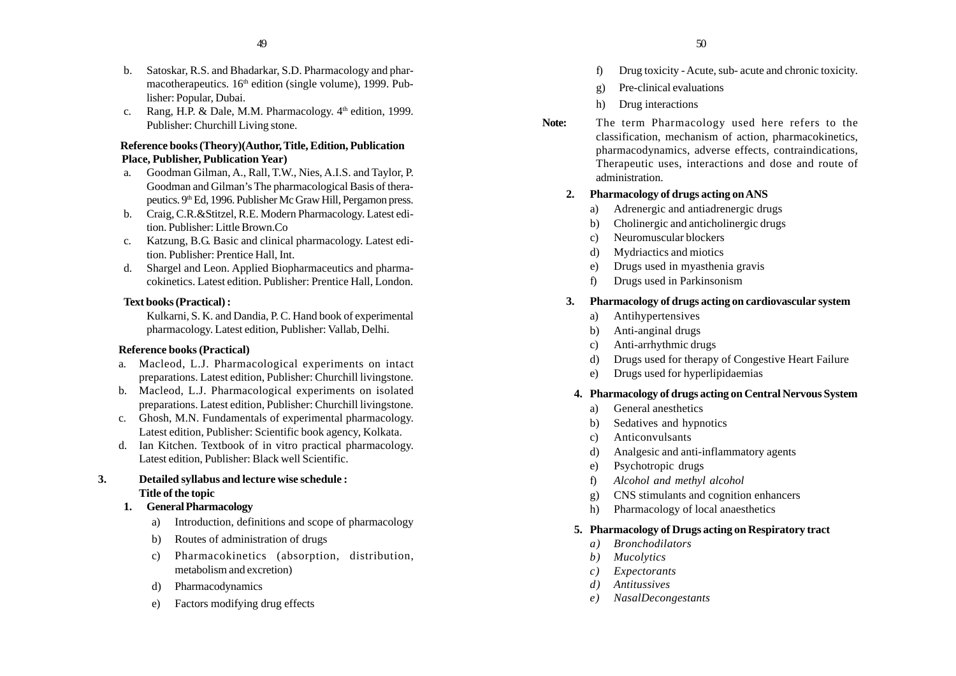- b. Satoskar, R.S. and Bhadarkar, S.D. Pharmacology and pharmacotherapeutics.  $16<sup>th</sup>$  edition (single volume), 1999. Publisher: Popular, Dubai.
- c. Rang, H.P. & Dale, M.M. Pharmacology. 4<sup>th</sup> edition, 1999. Publisher: Churchill Living stone.

### **Reference books (Theory)(Author, Title, Edition, Publication Place, Publisher, Publication Year)**

- a. Goodman Gilman, A., Rall, T.W., Nies, A.I.S. and Taylor, P. Goodman and Gilman's The pharmacological Basis of therapeutics. 9<sup>th</sup> Ed, 1996. Publisher Mc Graw Hill, Pergamon press.
- b. Craig, C.R.&Stitzel, R.E. Modern Pharmacology. Latest edition. Publisher: Little Brown.Co
- c. Katzung, B.G. Basic and clinical pharmacology. Latest edition. Publisher: Prentice Hall, Int.
- d. Shargel and Leon. Applied Biopharmaceutics and pharmacokinetics. Latest edition. Publisher: Prentice Hall, London.

### **Text books (Practical) :**

Kulkarni, S. K. and Dandia, P. C. Hand book of experimental pharmacology. Latest edition, Publisher: Vallab, Delhi.

### **Reference books (Practical)**

- a. Macleod, L.J. Pharmacological experiments on intact preparations. Latest edition, Publisher: Churchill livingstone.
- b. Macleod, L.J. Pharmacological experiments on isolated preparations. Latest edition, Publisher: Churchill livingstone.
- c. Ghosh, M.N. Fundamentals of experimental pharmacology. Latest edition, Publisher: Scientific book agency, Kolkata.
- d. Ian Kitchen. Textbook of in vitro practical pharmacology. Latest edition, Publisher: Black well Scientific.

### **3. Detailed syllabus and lecture wise schedule : Title of the topic**

- **1. General Pharmacology**
	- a) Introduction, definitions and scope of pharmacology
	- b) Routes of administration of drugs
	- c) Pharmacokinetics (absorption, distribution, metabolism and excretion)
	- d) Pharmacodynamics
	- e) Factors modifying drug effects
- f) Drug toxicity Acute, sub- acute and chronic toxicity.
- g) Pre-clinical evaluations
- h) Drug interactions
- **Note:** The term Pharmacology used here refers to the classification, mechanism of action, pharmacokinetics, pharmacodynamics, adverse effects, contraindications, Therapeutic uses, interactions and dose and route of administration.

### **2. Pharmacology of drugs acting on ANS**

- a) Adrenergic and antiadrenergic drugs
- b) Cholinergic and anticholinergic drugs
- c) Neuromuscular blockers
- d) Mydriactics and miotics
- e) Drugs used in myasthenia gravis
- f) Drugs used in Parkinsonism

### **3. Pharmacology of drugs acting on cardiovascular system**

- a) Antihypertensives
- b) Anti-anginal drugs
- c) Anti-arrhythmic drugs
- d) Drugs used for therapy of Congestive Heart Failure
- e) Drugs used for hyperlipidaemias

# **4. Pharmacology of drugs acting on Central Nervous System**

- a) General anesthetics
- b) Sedatives and hypnotics
- c) Anticonvulsants
- d) Analgesic and anti-inflammatory agents
- e) Psychotropic drugs
- f) *Alcohol and methyl alcohol*
- g) CNS stimulants and cognition enhancers
- h) Pharmacology of local anaesthetics

### **5. Pharmacology of Drugs acting on Respiratory tract**

- *a) Bronchodilators*
- *b) Mucolytics*
- *c) Expectorants*
- *d) Antitussives*
- *e) NasalDecongestants*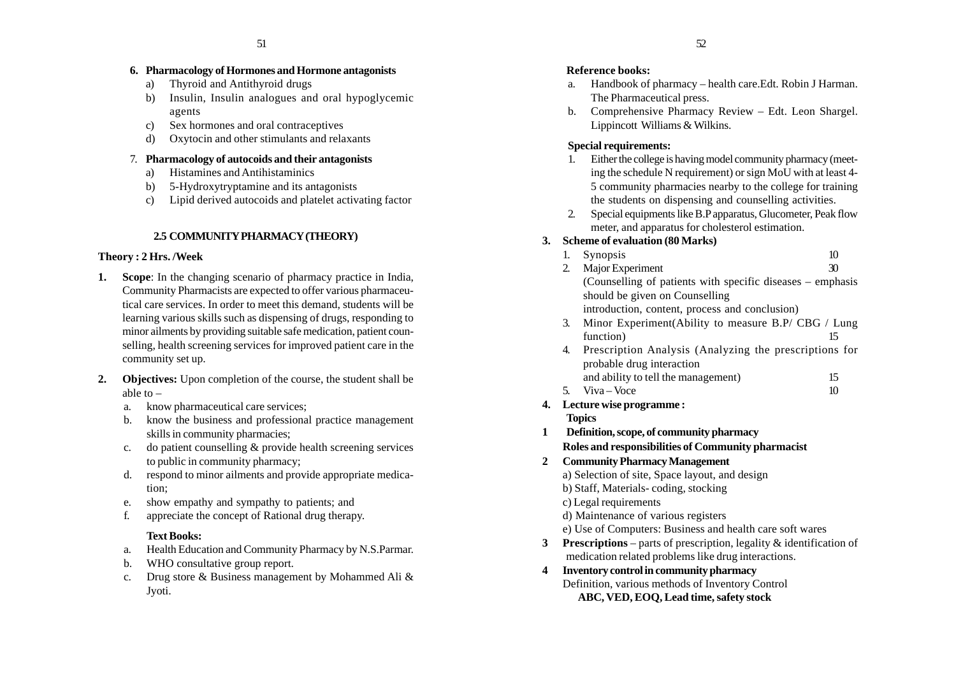### **6. Pharmacology of Hormones and Hormone antagonists**

- a) Thyroid and Antithyroid drugs
- b) Insulin, Insulin analogues and oral hypoglycemic agents
- c) Sex hormones and oral contraceptives
- d) Oxytocin and other stimulants and relaxants

#### 7. **Pharmacology of autocoids and their antagonists**

- a) Histamines and Antihistaminics
- b) 5-Hydroxytryptamine and its antagonists
- c) Lipid derived autocoids and platelet activating factor

### **2.5 COMMUNITY PHARMACY (THEORY)**

#### **Theory : 2 Hrs. /Week**

- **1. Scope**: In the changing scenario of pharmacy practice in India, Community Pharmacists are expected to offer various pharmaceutical care services. In order to meet this demand, students will be learning various skills such as dispensing of drugs, responding to minor ailments by providing suitable safe medication, patient counselling, health screening services for improved patient care in the community set up.
- **2. Objectives:** Upon completion of the course, the student shall be able to –
	- a. know pharmaceutical care services;
	- b. know the business and professional practice management skills in community pharmacies;
	- c. do patient counselling & provide health screening services to public in community pharmacy;
	- d. respond to minor ailments and provide appropriate medication;
	- e. show empathy and sympathy to patients; and
	- f. appreciate the concept of Rational drug therapy.

#### **Text Books:**

- a. Health Education and Community Pharmacy by N.S.Parmar.
- b. WHO consultative group report.
- c. Drug store & Business management by Mohammed Ali & Jyoti.

#### **Reference books:**

- a. Handbook of pharmacy health care.Edt. Robin J Harman. The Pharmaceutical press.
- b. Comprehensive Pharmacy Review Edt. Leon Shargel. Lippincott Williams & Wilkins.

### **Special requirements:**

- 1. Either the college is having model community pharmacy (meeting the schedule N requirement) or sign MoU with at least 4- 5 community pharmacies nearby to the college for training the students on dispensing and counselling activities.
- 2. Special equipments like B.P apparatus, Glucometer, Peak flow meter, and apparatus for cholesterol estimation.

### **3. Scheme of evaluation (80 Marks)**

|                                                           | 1.                                                                            | Synopsis                                                   | 10 |
|-----------------------------------------------------------|-------------------------------------------------------------------------------|------------------------------------------------------------|----|
|                                                           | 2.                                                                            | Major Experiment                                           | 30 |
|                                                           |                                                                               | (Counselling of patients with specific diseases - emphasis |    |
|                                                           |                                                                               | should be given on Counselling                             |    |
|                                                           |                                                                               | introduction, content, process and conclusion)             |    |
| Minor Experiment(Ability to measure B.P/ CBG / Lung<br>3. |                                                                               |                                                            |    |
|                                                           |                                                                               | function)                                                  | 15 |
|                                                           | 4.                                                                            | Prescription Analysis (Analyzing the prescriptions for     |    |
|                                                           |                                                                               | probable drug interaction                                  |    |
|                                                           |                                                                               | and ability to tell the management)                        | 15 |
|                                                           | 5.                                                                            | Viva – Voce                                                | 10 |
| 4.                                                        | Lecture wise programme :                                                      |                                                            |    |
|                                                           |                                                                               | <b>Topics</b>                                              |    |
| 1                                                         |                                                                               | Definition, scope, of community pharmacy                   |    |
|                                                           |                                                                               | Roles and responsibilities of Community pharmacist         |    |
| 2<br><b>Community Pharmacy Management</b>                 |                                                                               |                                                            |    |
|                                                           |                                                                               | a) Selection of site, Space layout, and design             |    |
|                                                           |                                                                               | b) Staff, Materials-coding, stocking                       |    |
|                                                           |                                                                               | c) Legal requirements                                      |    |
|                                                           |                                                                               | d) Maintenance of various registers                        |    |
|                                                           |                                                                               | e) Use of Computers: Business and health care soft wares   |    |
| 3                                                         | <b>Prescriptions</b> – parts of prescription, legality $\&$ identification of |                                                            |    |
|                                                           |                                                                               | medication related problems like drug interactions.        |    |
| 4                                                         | Inventory control in community pharmacy                                       |                                                            |    |
|                                                           |                                                                               | Definition, various methods of Inventory Control           |    |

 **ABC, VED, EOQ, Lead time, safety stock**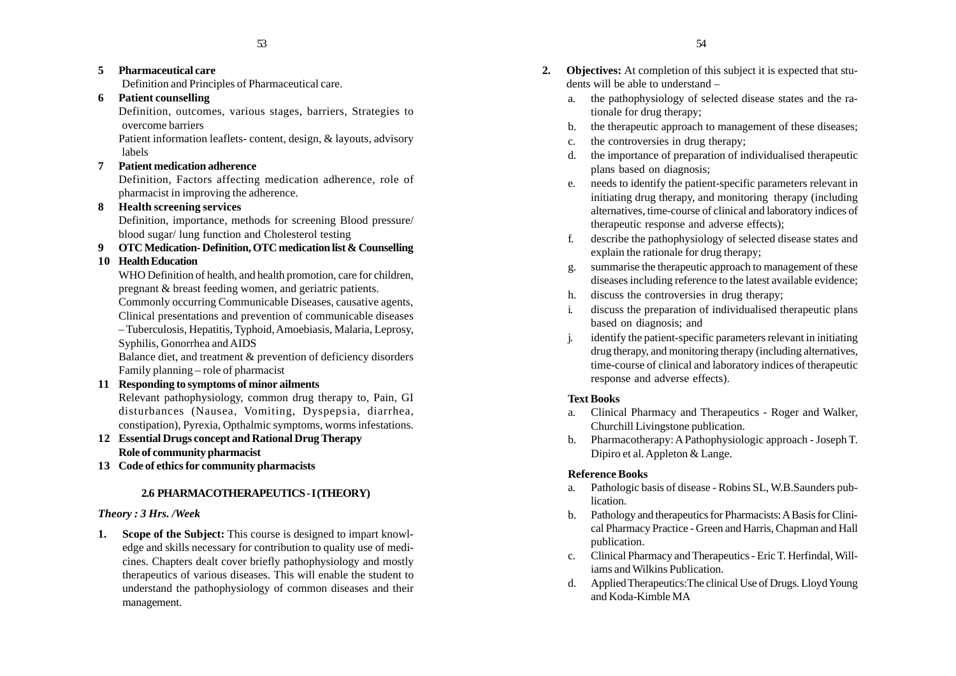### **5 Pharmaceutical care**

Definition and Principles of Pharmaceutical care.

# **6 Patient counselling**

Definition, outcomes, various stages, barriers, Strategies to overcome barriers

Patient information leaflets- content, design, & layouts, advisory labels

# **7 Patient medication adherence**

Definition, Factors affecting medication adherence, role of pharmacist in improving the adherence.

# **8 Health screening services**

Definition, importance, methods for screening Blood pressure/ blood sugar/ lung function and Cholesterol testing

# **9 OTC Medication- Definition, OTC medication list & Counselling**

# **10 Health Education**

WHO Definition of health, and health promotion, care for children, pregnant & breast feeding women, and geriatric patients.

Commonly occurring Communicable Diseases, causative agents, Clinical presentations and prevention of communicable diseases

– Tuberculosis, Hepatitis, Typhoid, Amoebiasis, Malaria, Leprosy, Syphilis, Gonorrhea and AIDS

Balance diet, and treatment & prevention of deficiency disorders Family planning – role of pharmacist

# **11 Responding to symptoms of minor ailments**

Relevant pathophysiology, common drug therapy to, Pain, GI disturbances (Nausea, Vomiting, Dyspepsia, diarrhea, constipation), Pyrexia, Opthalmic symptoms, worms infestations.

- **12 Essential Drugs concept and Rational Drug Therapy Role of community pharmacist**
- **13 Code of ethics for community pharmacists**

# **2.6 PHARMACOTHERAPEUTICS - I (THEORY)**

### *Theory : 3 Hrs. /Week*

**1. Scope of the Subject:** This course is designed to impart knowledge and skills necessary for contribution to quality use of medicines. Chapters dealt cover briefly pathophysiology and mostly therapeutics of various diseases. This will enable the student to understand the pathophysiology of common diseases and their management.

- **2. Objectives:** At completion of this subject it is expected that students will be able to understand –
	- the pathophysiology of selected disease states and the rationale for drug therapy;
	- b. the therapeutic approach to management of these diseases;
	- c. the controversies in drug therapy;
	- d. the importance of preparation of individualised therapeutic plans based on diagnosis;
	- e. needs to identify the patient-specific parameters relevant in initiating drug therapy, and monitoring therapy (including alternatives, time-course of clinical and laboratory indices of therapeutic response and adverse effects);
	- f. describe the pathophysiology of selected disease states and explain the rationale for drug therapy;
	- g. summarise the therapeutic approach to management of these diseases including reference to the latest available evidence;
	- h. discuss the controversies in drug therapy;
	- i. discuss the preparation of individualised therapeutic plans based on diagnosis; and
	- j. identify the patient-specific parameters relevant in initiating drug therapy, and monitoring therapy (including alternatives, time-course of clinical and laboratory indices of therapeutic response and adverse effects).

# **Text Books**

- a. Clinical Pharmacy and Therapeutics Roger and Walker, Churchill Livingstone publication.
- b. Pharmacotherapy: A Pathophysiologic approach Joseph T. Dipiro et al. Appleton & Lange.

# **Reference Books**

- a. Pathologic basis of disease Robins SL, W.B.Saunders publication.
- b. Pathology and therapeutics for Pharmacists: A Basis for Clinical Pharmacy Practice - Green and Harris, Chapman and Hall publication.
- c. Clinical Pharmacy and Therapeutics Eric T. Herfindal, Williams and Wilkins Publication.
- d. Applied Therapeutics:The clinical Use of Drugs. Lloyd Young and Koda-Kimble MA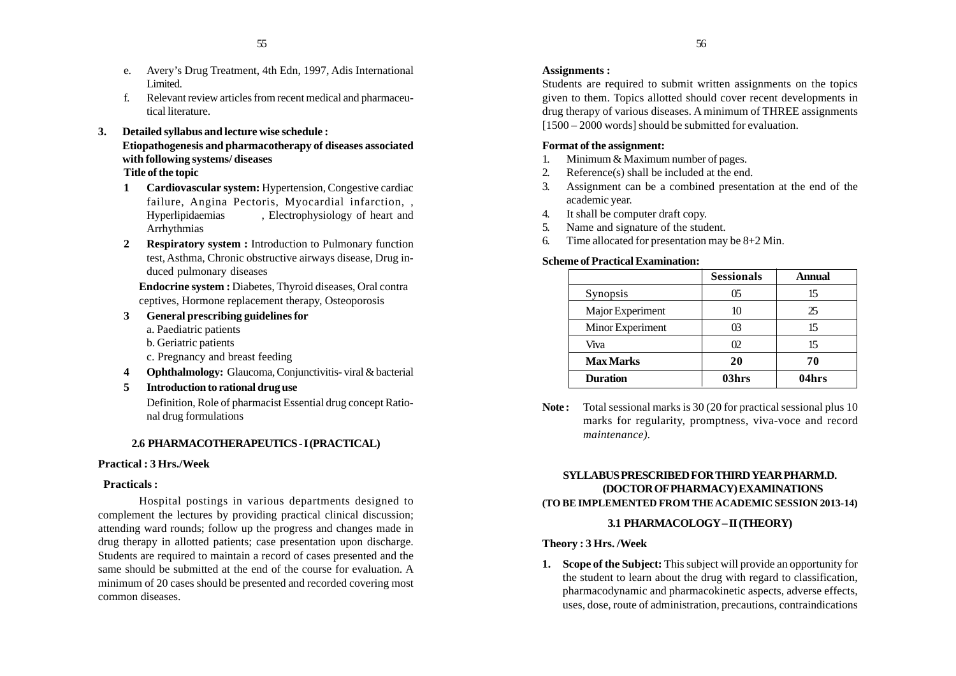- e. Avery's Drug Treatment, 4th Edn, 1997, Adis International Limited.
- f. Relevant review articles from recent medical and pharmaceutical literature.
- **3. Detailed syllabus and lecture wise schedule : Etiopathogenesis and pharmacotherapy of diseases associated with following systems/ diseases Title of the topic**
	- **1 Cardiovascular system:** Hypertension, Congestive cardiac failure, Angina Pectoris, Myocardial infarction, , Hyperlipidaemias , Electrophysiology of heart and Arrhythmias
	- **2 Respiratory system :** Introduction to Pulmonary function test, Asthma, Chronic obstructive airways disease, Drug induced pulmonary diseases

**Endocrine system :** Diabetes, Thyroid diseases, Oral contra ceptives, Hormone replacement therapy, Osteoporosis

# **3 General prescribing guidelines for**

- a. Paediatric patients
- b. Geriatric patients
- c. Pregnancy and breast feeding
- **4 Ophthalmology:** Glaucoma, Conjunctivitis- viral & bacterial
- **5 Introduction to rational drug use**

Definition, Role of pharmacist Essential drug concept Rational drug formulations

#### **2.6 PHARMACOTHERAPEUTICS - I (PRACTICAL)**

#### **Practical : 3 Hrs./Week**

#### **Practicals :**

Hospital postings in various departments designed to complement the lectures by providing practical clinical discussion; attending ward rounds; follow up the progress and changes made in drug therapy in allotted patients; case presentation upon discharge. Students are required to maintain a record of cases presented and the same should be submitted at the end of the course for evaluation. A minimum of 20 cases should be presented and recorded covering most common diseases.

#### **Assignments :**

Students are required to submit written assignments on the topics given to them. Topics allotted should cover recent developments in drug therapy of various diseases. A minimum of THREE assignments  $[1500 - 2000$  words] should be submitted for evaluation.

#### **Format of the assignment:**

- 1. Minimum & Maximum number of pages.
- 2. Reference(s) shall be included at the end.
- 3. Assignment can be a combined presentation at the end of the academic year.
- 4. It shall be computer draft copy.
- 5. Name and signature of the student.
- 6. Time allocated for presentation may be 8+2 Min.

#### **Scheme of Practical Examination:**

|                  | <b>Sessionals</b> | Annual |
|------------------|-------------------|--------|
| Synopsis         | 65                | 15     |
| Major Experiment | 10                | 25     |
| Minor Experiment | ß                 | 15     |
| Viva             | œ                 | 15     |
| <b>Max Marks</b> | 20                | 70     |
| <b>Duration</b>  | 03hrs             | 04hrs  |

Note: Total sessional marks is 30 (20 for practical sessional plus 10) marks for regularity, promptness, viva-voce and record *maintenance).*

### **SYLLABUS PRESCRIBED FOR THIRD YEAR PHARM.D. (DOCTOR OF PHARMACY) EXAMINATIONS (TO BE IMPLEMENTED FROM THE ACADEMIC SESSION 2013-14)**

#### **3.1 PHARMACOLOGY – II (THEORY)**

#### **Theory : 3 Hrs. /Week**

**1. Scope of the Subject:** This subject will provide an opportunity for the student to learn about the drug with regard to classification, pharmacodynamic and pharmacokinetic aspects, adverse effects, uses, dose, route of administration, precautions, contraindications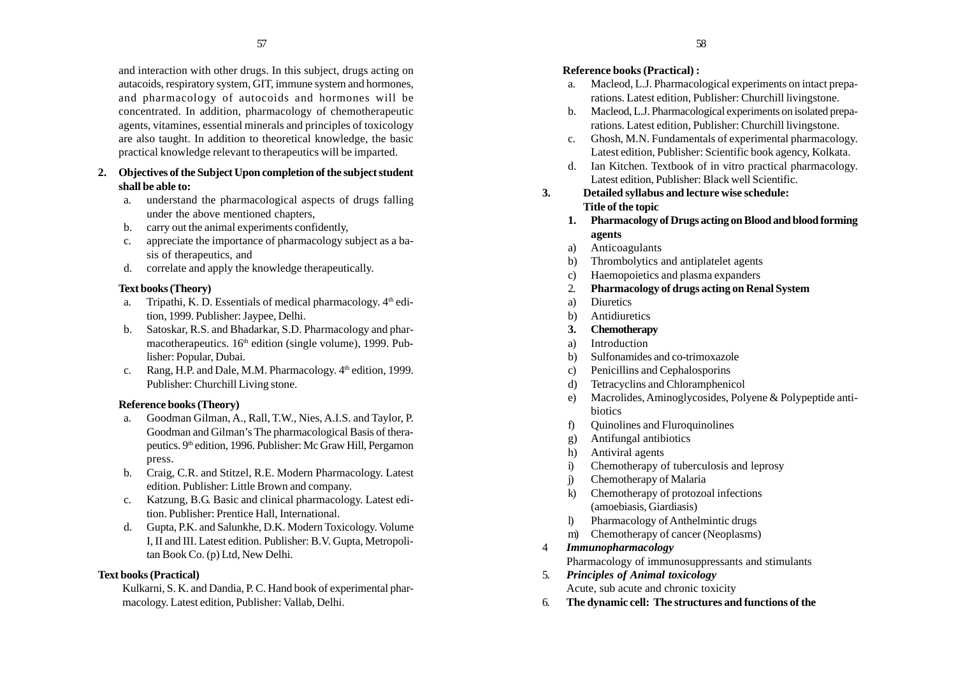and interaction with other drugs. In this subject, drugs acting on autacoids, respiratory system, GIT, immune system and hormones, and pharmacology of autocoids and hormones will be concentrated. In addition, pharmacology of chemotherapeutic agents, vitamines, essential minerals and principles of toxicology are also taught. In addition to theoretical knowledge, the basic practical knowledge relevant to therapeutics will be imparted.

### **2. Objectives of the Subject Upon completion of the subject student shall be able to:**

- a. understand the pharmacological aspects of drugs falling under the above mentioned chapters,
- b. carry out the animal experiments confidently,
- c. appreciate the importance of pharmacology subject as a basis of therapeutics, and
- d. correlate and apply the knowledge therapeutically.

### **Text books (Theory)**

- a. Tripathi, K. D. Essentials of medical pharmacology.  $4<sup>th</sup>$  edition, 1999. Publisher: Jaypee, Delhi.
- b. Satoskar, R.S. and Bhadarkar, S.D. Pharmacology and pharmacotherapeutics.  $16<sup>th</sup>$  edition (single volume), 1999. Publisher: Popular, Dubai.
- c. Rang, H.P. and Dale, M.M. Pharmacology.  $4<sup>th</sup>$  edition, 1999. Publisher: Churchill Living stone.

### **Reference books (Theory)**

- a. Goodman Gilman, A., Rall, T.W., Nies, A.I.S. and Taylor, P. Goodman and Gilman's The pharmacological Basis of therapeutics. 9th edition, 1996. Publisher: Mc Graw Hill, Pergamon press.
- b. Craig, C.R. and Stitzel, R.E. Modern Pharmacology. Latest edition. Publisher: Little Brown and company.
- c. Katzung, B.G. Basic and clinical pharmacology. Latest edition. Publisher: Prentice Hall, International.
- d. Gupta, P.K. and Salunkhe, D.K. Modern Toxicology. Volume I, II and III. Latest edition. Publisher: B.V. Gupta, Metropolitan Book Co. (p) Ltd, New Delhi.

### **Text books (Practical)**

Kulkarni, S. K. and Dandia, P. C. Hand book of experimental pharmacology. Latest edition, Publisher: Vallab, Delhi.

### **Reference books (Practical) :**

- a. Macleod, L.J. Pharmacological experiments on intact preparations. Latest edition, Publisher: Churchill livingstone.
- b. Macleod, L.J. Pharmacological experiments on isolated preparations. Latest edition, Publisher: Churchill livingstone.
- c. Ghosh, M.N. Fundamentals of experimental pharmacology. Latest edition, Publisher: Scientific book agency, Kolkata.
- d. Ian Kitchen. Textbook of in vitro practical pharmacology. Latest edition, Publisher: Black well Scientific.
- **3. Detailed syllabus and lecture wise schedule: Title of the topic**
	- **1. Pharmacology of Drugs acting on Blood and blood forming agents**
	- a) Anticoagulants
	- b) Thrombolytics and antiplatelet agents
	- c) Haemopoietics and plasma expanders
	- 2. **Pharmacology of drugs acting on Renal System**
	- a) Diuretics
	- b) Antidiuretics
	- **3. Chemotherapy**
	- a) Introduction
	- b) Sulfonamides and co-trimoxazole
	- c) Penicillins and Cephalosporins
	- d) Tetracyclins and Chloramphenicol
	- e) Macrolides, Aminoglycosides, Polyene & Polypeptide antibiotics
	- f) Quinolines and Fluroquinolines
	- g) Antifungal antibiotics
	- h) Antiviral agents
	- i) Chemotherapy of tuberculosis and leprosy
	- j) Chemotherapy of Malaria
	- k) Chemotherapy of protozoal infections (amoebiasis, Giardiasis)
	- l) Pharmacology of Anthelmintic drugs
	- m) Chemotherapy of cancer (Neoplasms)
- 4 *Immunopharmacology*
	- Pharmacology of immunosuppressants and stimulants
- 5. *Principles of Animal toxicology* Acute, sub acute and chronic toxicity
- 6. **The dynamic cell: The structures and functions of the**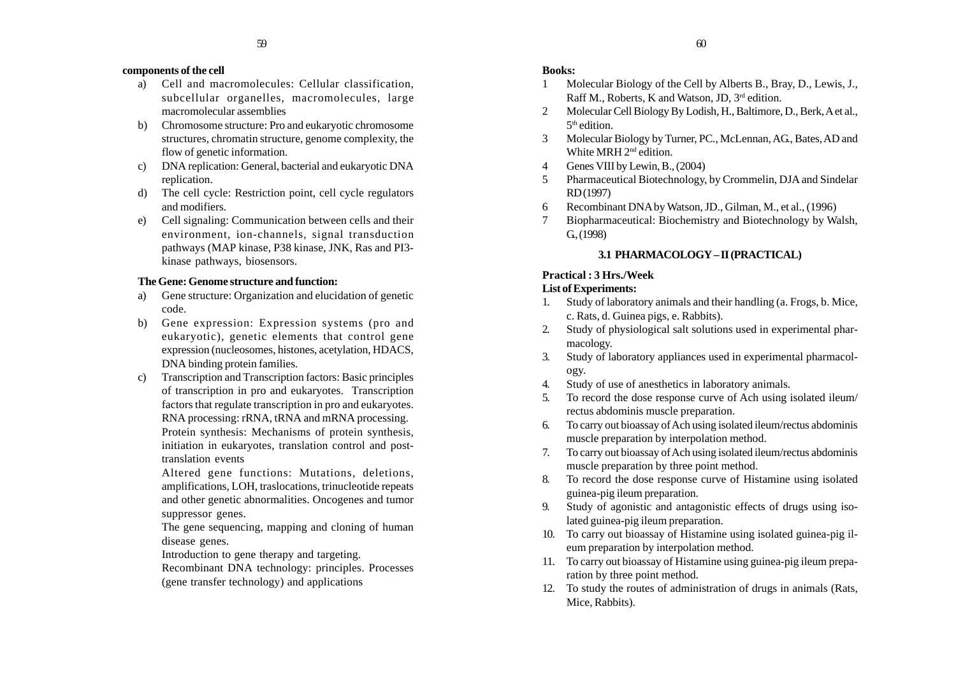#### **components of the cell**

- a) Cell and macromolecules: Cellular classification, subcellular organelles, macromolecules, large macromolecular assemblies
- b) Chromosome structure: Pro and eukaryotic chromosome structures, chromatin structure, genome complexity, the flow of genetic information.
- c) DNA replication: General, bacterial and eukaryotic DNA replication.
- d) The cell cycle: Restriction point, cell cycle regulators and modifiers.
- e) Cell signaling: Communication between cells and their environment, ion-channels, signal transduction pathways (MAP kinase, P38 kinase, JNK, Ras and PI3 kinase pathways, biosensors.

#### **The Gene: Genome structure and function:**

- a) Gene structure: Organization and elucidation of genetic code.
- b) Gene expression: Expression systems (pro and eukaryotic), genetic elements that control gene expression (nucleosomes, histones, acetylation, HDACS, DNA binding protein families.
- c) Transcription and Transcription factors: Basic principles of transcription in pro and eukaryotes. Transcription factors that regulate transcription in pro and eukaryotes. RNA processing: rRNA, tRNA and mRNA processing. Protein synthesis: Mechanisms of protein synthesis, initiation in eukaryotes, translation control and posttranslation events

Altered gene functions: Mutations, deletions, amplifications, LOH, traslocations, trinucleotide repeats and other genetic abnormalities. Oncogenes and tumor suppressor genes.

The gene sequencing, mapping and cloning of human disease genes.

Introduction to gene therapy and targeting.

Recombinant DNA technology: principles. Processes (gene transfer technology) and applications

### **Books:**

- 1 Molecular Biology of the Cell by Alberts B., Bray, D., Lewis, J., Raff M., Roberts, K and Watson, JD, 3<sup>rd</sup> edition.
- 2 Molecular Cell Biology By Lodish, H., Baltimore, D., Berk, A et al., 5<sup>th</sup> edition.
- 3 Molecular Biology by Turner, PC., McLennan, AG., Bates, AD and White MRH 2<sup>nd</sup> edition.
- 4 Genes VIII by Lewin, B., (2004)
- 5 Pharmaceutical Biotechnology, by Crommelin, DJA and Sindelar RD (1997)
- 6 Recombinant DNA by Watson, JD., Gilman, M., et al., (1996)
- 7 Biopharmaceutical: Biochemistry and Biotechnology by Walsh, G. (1998)

### **3.1 PHARMACOLOGY – II (PRACTICAL)**

### **Practical : 3 Hrs./Week**

### **List of Experiments:**

- 1. Study of laboratory animals and their handling (a. Frogs, b. Mice, c. Rats, d. Guinea pigs, e. Rabbits).
- 2. Study of physiological salt solutions used in experimental pharmacology.
- 3. Study of laboratory appliances used in experimental pharmacology.
- 4. Study of use of anesthetics in laboratory animals.
- 5. To record the dose response curve of Ach using isolated ileum/ rectus abdominis muscle preparation.
- 6. To carry out bioassay of Ach using isolated ileum/rectus abdominis muscle preparation by interpolation method.
- 7. To carry out bioassay of Ach using isolated ileum/rectus abdominis muscle preparation by three point method.
- 8. To record the dose response curve of Histamine using isolated guinea-pig ileum preparation.
- 9. Study of agonistic and antagonistic effects of drugs using isolated guinea-pig ileum preparation.
- 10. To carry out bioassay of Histamine using isolated guinea-pig ileum preparation by interpolation method.
- 11. To carry out bioassay of Histamine using guinea-pig ileum preparation by three point method.
- 12. To study the routes of administration of drugs in animals (Rats, Mice, Rabbits).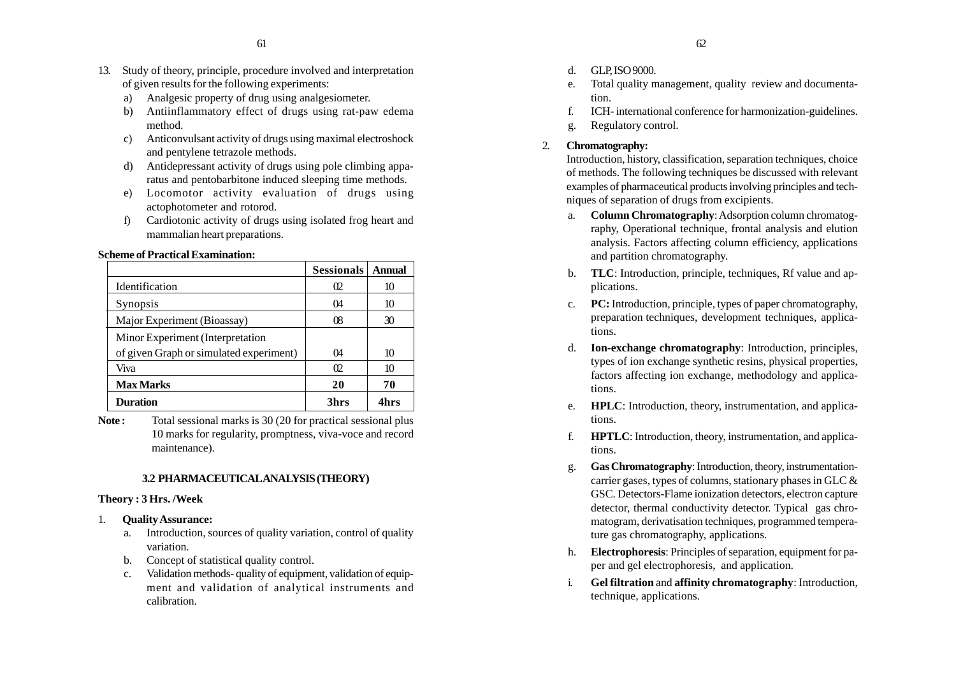- 13. Study of theory, principle, procedure involved and interpretation of given results for the following experiments:
	- a) Analgesic property of drug using analgesiometer.
	- b) Antiinflammatory effect of drugs using rat-paw edema method.
	- c) Anticonvulsant activity of drugs using maximal electroshock and pentylene tetrazole methods.
	- d) Antidepressant activity of drugs using pole climbing apparatus and pentobarbitone induced sleeping time methods.
	- e) Locomotor activity evaluation of drugs using actophotometer and rotorod.
	- f) Cardiotonic activity of drugs using isolated frog heart and mammalian heart preparations.

#### **Scheme of Practical Examination:**

|                                         | <b>Sessionals</b> | Annual |
|-----------------------------------------|-------------------|--------|
| Identification                          | O <sub>2</sub>    | 10     |
| Synopsis                                | 04                | 10     |
| Major Experiment (Bioassay)             | 08                | 30     |
| Minor Experiment (Interpretation        |                   |        |
| of given Graph or simulated experiment) | 04                | 10     |
| Viva                                    | <sub>02</sub>     | 10     |
| <b>Max Marks</b>                        | 20                | 70     |
| <b>Duration</b>                         | 3hrs              | 4hrs   |

Note: Total sessional marks is 30 (20 for practical sessional plus 10 marks for regularity, promptness, viva-voce and record maintenance).

#### **3.2 PHARMACEUTICAL ANALYSIS (THEORY)**

#### **Theory : 3 Hrs. /Week**

- 1. **Quality Assurance:**
	- a. Introduction, sources of quality variation, control of quality variation.
	- b. Concept of statistical quality control.
	- c. Validation methods- quality of equipment, validation of equipment and validation of analytical instruments and calibration.
- d. GLP, ISO 9000.
- e. Total quality management, quality review and documentation.
- f. ICH- international conference for harmonization-guidelines.
- g. Regulatory control.

### 2. **Chromatography:**

Introduction, history, classification, separation techniques, choice of methods. The following techniques be discussed with relevant examples of pharmaceutical products involving principles and techniques of separation of drugs from excipients.

- a. **Column Chromatography**: Adsorption column chromatography, Operational technique, frontal analysis and elution analysis. Factors affecting column efficiency, applications and partition chromatography.
- b. **TLC**: Introduction, principle, techniques, Rf value and applications.
- c. **PC:** Introduction, principle, types of paper chromatography, preparation techniques, development techniques, applications.
- d. **Ion-exchange chromatography**: Introduction, principles, types of ion exchange synthetic resins, physical properties, factors affecting ion exchange, methodology and applications.
- e. **HPLC**: Introduction, theory, instrumentation, and applications.
- f. **HPTLC**: Introduction, theory, instrumentation, and applications.
- g. **Gas Chromatography**: Introduction, theory, instrumentationcarrier gases, types of columns, stationary phases in GLC & GSC. Detectors-Flame ionization detectors, electron capture detector, thermal conductivity detector. Typical gas chromatogram, derivatisation techniques, programmed temperature gas chromatography, applications.
- h. **Electrophoresis**: Principles of separation, equipment for paper and gel electrophoresis, and application.
- i. **Gel filtration** and **affinity chromatography**: Introduction, technique, applications.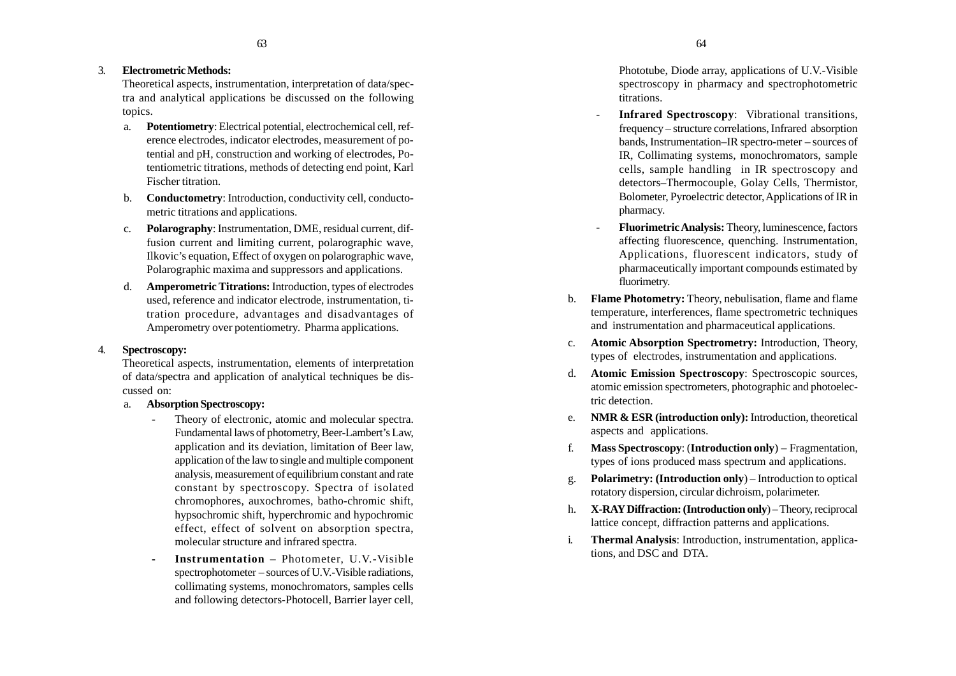#### 3. **Electrometric Methods:**

Theoretical aspects, instrumentation, interpretation of data/spectra and analytical applications be discussed on the following topics.

- a. **Potentiometry**: Electrical potential, electrochemical cell, reference electrodes, indicator electrodes, measurement of potential and pH, construction and working of electrodes, Potentiometric titrations, methods of detecting end point, Karl Fischer titration.
- b. **Conductometry**: Introduction, conductivity cell, conductometric titrations and applications.
- c. **Polarography**: Instrumentation, DME, residual current, diffusion current and limiting current, polarographic wave, Ilkovic's equation, Effect of oxygen on polarographic wave, Polarographic maxima and suppressors and applications.
- d. **Amperometric Titrations:** Introduction, types of electrodes used, reference and indicator electrode, instrumentation, titration procedure, advantages and disadvantages of Amperometry over potentiometry. Pharma applications.

#### 4. **Spectroscopy:**

Theoretical aspects, instrumentation, elements of interpretation of data/spectra and application of analytical techniques be discussed on:

### a. **Absorption Spectroscopy:**

- Theory of electronic, atomic and molecular spectra. Fundamental laws of photometry, Beer-Lambert's Law, application and its deviation, limitation of Beer law, application of the law to single and multiple component analysis, measurement of equilibrium constant and rate constant by spectroscopy. Spectra of isolated chromophores, auxochromes, batho-chromic shift, hypsochromic shift, hyperchromic and hypochromic effect, effect of solvent on absorption spectra, molecular structure and infrared spectra.
- **Instrumentation** Photometer, U.V.-Visible spectrophotometer – sources of U.V.-Visible radiations, collimating systems, monochromators, samples cells and following detectors-Photocell, Barrier layer cell,

Phototube, Diode array, applications of U.V.-Visible spectroscopy in pharmacy and spectrophotometric titrations.

- **Infrared Spectroscopy**: Vibrational transitions, frequency – structure correlations, Infrared absorption bands, Instrumentation–IR spectro-meter – sources of IR, Collimating systems, monochromators, sample cells, sample handling in IR spectroscopy and detectors–Thermocouple, Golay Cells, Thermistor, Bolometer, Pyroelectric detector, Applications of IR in pharmacy.
- **Fluorimetric Analysis:** Theory, luminescence, factors affecting fluorescence, quenching. Instrumentation, Applications, fluorescent indicators, study of pharmaceutically important compounds estimated by fluorimetry.
- b. **Flame Photometry:** Theory, nebulisation, flame and flame temperature, interferences, flame spectrometric techniques and instrumentation and pharmaceutical applications.
- c. **Atomic Absorption Spectrometry:** Introduction, Theory, types of electrodes, instrumentation and applications.
- d. **Atomic Emission Spectroscopy**: Spectroscopic sources, atomic emission spectrometers, photographic and photoelectric detection.
- e. **NMR & ESR (introduction only):** Introduction, theoretical aspects and applications.
- f. **Mass Spectroscopy**: (**Introduction only**) Fragmentation, types of ions produced mass spectrum and applications.
- g. **Polarimetry: (Introduction only**) Introduction to optical rotatory dispersion, circular dichroism, polarimeter.
- h. **X-RAY Diffraction: (Introduction only**) Theory, reciprocal lattice concept, diffraction patterns and applications.
- i. **Thermal Analysis**: Introduction, instrumentation, applications, and DSC and DTA.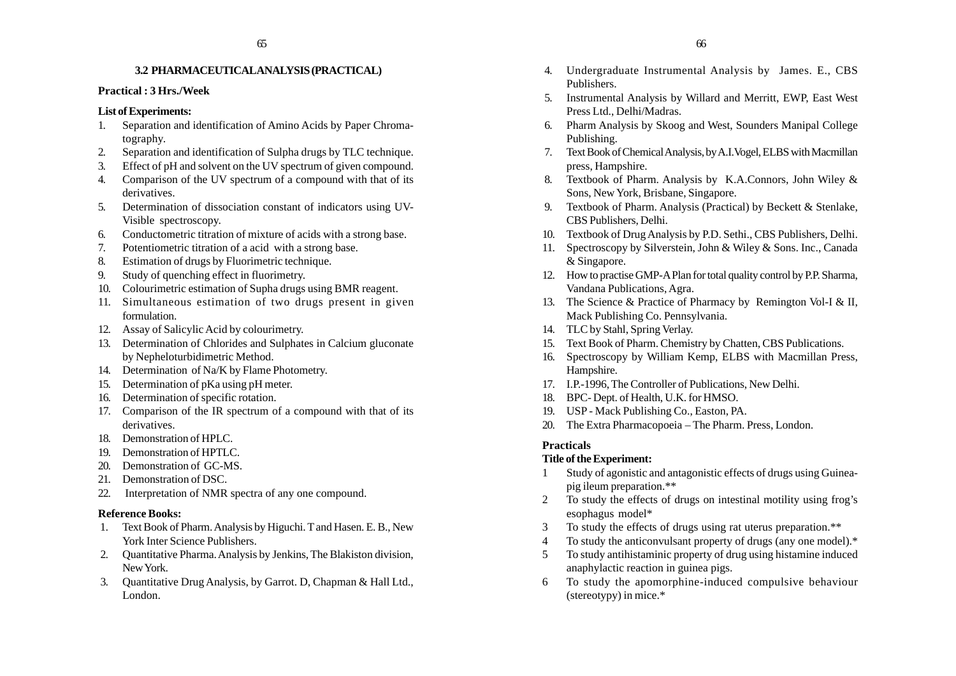#### **3.2 PHARMACEUTICAL ANALYSIS (PRACTICAL)**

#### **Practical : 3 Hrs./Week**

#### **List of Experiments:**

- 1. Separation and identification of Amino Acids by Paper Chromatography.
- 2. Separation and identification of Sulpha drugs by TLC technique.
- 3. Effect of pH and solvent on the UV spectrum of given compound.
- 4. Comparison of the UV spectrum of a compound with that of its derivatives.
- 5. Determination of dissociation constant of indicators using UV-Visible spectroscopy.
- 6. Conductometric titration of mixture of acids with a strong base.
- 7. Potentiometric titration of a acid with a strong base.
- 8. Estimation of drugs by Fluorimetric technique.
- 9. Study of quenching effect in fluorimetry.
- 10. Colourimetric estimation of Supha drugs using BMR reagent.
- 11. Simultaneous estimation of two drugs present in given formulation.
- 12. Assay of Salicylic Acid by colourimetry.
- 13. Determination of Chlorides and Sulphates in Calcium gluconate by Nepheloturbidimetric Method.
- 14. Determination of Na/K by Flame Photometry.
- 15. Determination of pKa using pH meter.
- 16. Determination of specific rotation.
- 17. Comparison of the IR spectrum of a compound with that of its derivatives.
- 18. Demonstration of HPLC.
- 19. Demonstration of HPTLC.
- 20. Demonstration of GC-MS.
- 21. Demonstration of DSC.
- 22. Interpretation of NMR spectra of any one compound.

#### **Reference Books:**

- 1. Text Book of Pharm. Analysis by Higuchi. T and Hasen. E. B., New York Inter Science Publishers.
- 2. Quantitative Pharma. Analysis by Jenkins, The Blakiston division, New York.
- 3. Quantitative Drug Analysis, by Garrot. D, Chapman & Hall Ltd., London.
- 4. Undergraduate Instrumental Analysis by James. E., CBS Publishers.
- 5. Instrumental Analysis by Willard and Merritt, EWP, East West Press Ltd., Delhi/Madras.
- 6. Pharm Analysis by Skoog and West, Sounders Manipal College Publishing.
- 7. Text Book of Chemical Analysis, by A.I.Vogel, ELBS with Macmillan press, Hampshire.
- 8. Textbook of Pharm. Analysis by K.A.Connors, John Wiley & Sons, New York, Brisbane, Singapore.
- 9. Textbook of Pharm. Analysis (Practical) by Beckett & Stenlake, CBS Publishers, Delhi.
- 10. Textbook of Drug Analysis by P.D. Sethi., CBS Publishers, Delhi.
- 11. Spectroscopy by Silverstein, John & Wiley & Sons. Inc., Canada & Singapore.
- 12. How to practise GMP-A Plan for total quality control by P.P. Sharma, Vandana Publications, Agra.
- 13. The Science & Practice of Pharmacy by Remington Vol-I & II, Mack Publishing Co. Pennsylvania.
- 14. TLC by Stahl, Spring Verlay.
- 15. Text Book of Pharm. Chemistry by Chatten, CBS Publications.
- 16. Spectroscopy by William Kemp, ELBS with Macmillan Press, Hampshire.
- 17. I.P.-1996, The Controller of Publications, New Delhi.
- 18. BPC- Dept. of Health, U.K. for HMSO.
- 19. USP Mack Publishing Co., Easton, PA.
- 20. The Extra Pharmacopoeia The Pharm. Press, London.

#### **Practicals**

### **Title of the Experiment:**

- 1 Study of agonistic and antagonistic effects of drugs using Guineapig ileum preparation.\*\*
- 2 To study the effects of drugs on intestinal motility using frog's esophagus model\*
- 3 To study the effects of drugs using rat uterus preparation.\*\*
- 4 To study the anticonvulsant property of drugs (any one model).\*
- 5 To study antihistaminic property of drug using histamine induced anaphylactic reaction in guinea pigs.
- 6 To study the apomorphine-induced compulsive behaviour (stereotypy) in mice.\*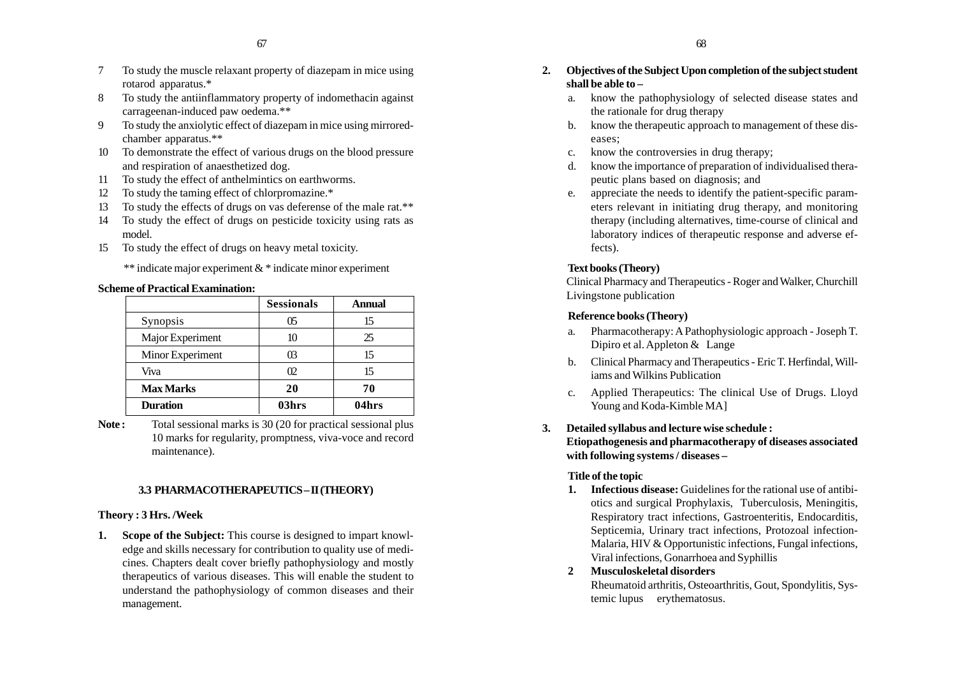- 67 68 and 50 km s to the contract of the contract of the contract of the contract of the contract of the contract of the contract of the contract of the contract of the contract of the contract of the contract of the contr
- 7 To study the muscle relaxant property of diazepam in mice using rotarod apparatus.\*
- 8 To study the antiinflammatory property of indomethacin against carrageenan-induced paw oedema.\*\*
- 9 To study the anxiolytic effect of diazepam in mice using mirroredchamber apparatus.\*\*
- 10 To demonstrate the effect of various drugs on the blood pressure and respiration of anaesthetized dog.
- 11 To study the effect of anthelmintics on earthworms.
- 12 To study the taming effect of chlorpromazine.\*
- 13 To study the effects of drugs on vas deferense of the male rat.\*\*
- 14 To study the effect of drugs on pesticide toxicity using rats as model.
- 15 To study the effect of drugs on heavy metal toxicity.

\*\* indicate major experiment  $&$  \* indicate minor experiment

#### **Scheme of Practical Examination:**

|                  | <b>Sessionals</b> | Annual |
|------------------|-------------------|--------|
| Synopsis         | 05                | 15     |
| Major Experiment | 10                | 25     |
| Minor Experiment | ß                 | 15     |
| Viva             | O2                | 15     |
| <b>Max Marks</b> | 20                | 70     |
| <b>Duration</b>  | 03hrs             | 04hrs  |

Note: Total sessional marks is 30 (20 for practical sessional plus 10 marks for regularity, promptness, viva-voce and record maintenance).

### **3.3 PHARMACOTHERAPEUTICS – II (THEORY)**

#### **Theory : 3 Hrs. /Week**

**1. Scope of the Subject:** This course is designed to impart knowledge and skills necessary for contribution to quality use of medicines. Chapters dealt cover briefly pathophysiology and mostly therapeutics of various diseases. This will enable the student to understand the pathophysiology of common diseases and their management.

- **2. Objectives of the Subject Upon completion of the subject student shall be able to –**
	- a. know the pathophysiology of selected disease states and the rationale for drug therapy
	- b. know the therapeutic approach to management of these diseases;
	- c. know the controversies in drug therapy;
	- d. know the importance of preparation of individualised therapeutic plans based on diagnosis; and
	- e. appreciate the needs to identify the patient-specific parameters relevant in initiating drug therapy, and monitoring therapy (including alternatives, time-course of clinical and laboratory indices of therapeutic response and adverse effects).

### **Text books (Theory)**

Clinical Pharmacy and Therapeutics - Roger and Walker, Churchill Livingstone publication

#### **Reference books (Theory)**

- a. Pharmacotherapy: A Pathophysiologic approach Joseph T. Dipiro et al. Appleton & Lange
- b. Clinical Pharmacy and Therapeutics Eric T. Herfindal, Williams and Wilkins Publication
- c. Applied Therapeutics: The clinical Use of Drugs. Lloyd Young and Koda-Kimble MA]

### **3. Detailed syllabus and lecture wise schedule :**

**Etiopathogenesis and pharmacotherapy of diseases associated with following systems / diseases –**

### **Title of the topic**

- **1. Infectious disease:** Guidelines for the rational use of antibiotics and surgical Prophylaxis, Tuberculosis, Meningitis, Respiratory tract infections, Gastroenteritis, Endocarditis, Septicemia, Urinary tract infections, Protozoal infection-Malaria, HIV & Opportunistic infections, Fungal infections, Viral infections, Gonarrhoea and Syphillis
- **2 Musculoskeletal disorders**

Rheumatoid arthritis, Osteoarthritis, Gout, Spondylitis, Systemic lupus erythematosus.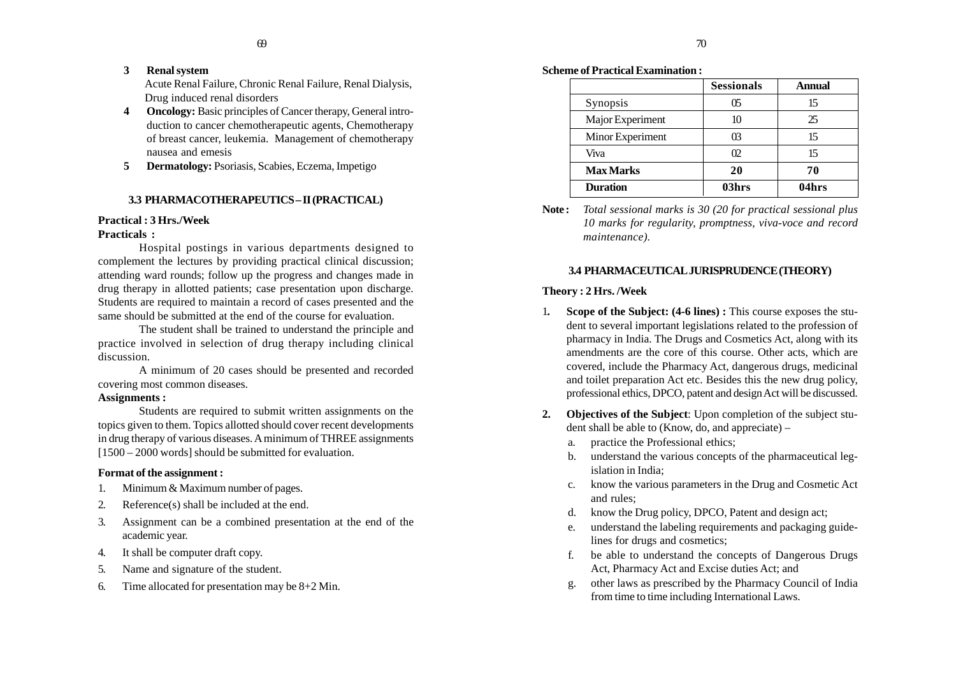#### **3 Renal system**

Acute Renal Failure, Chronic Renal Failure, Renal Dialysis, Drug induced renal disorders

- **4 Oncology:** Basic principles of Cancer therapy, General introduction to cancer chemotherapeutic agents, Chemotherapy of breast cancer, leukemia. Management of chemotherapy nausea and emesis
- **5 Dermatology:** Psoriasis, Scabies, Eczema, Impetigo

### **3.3 PHARMACOTHERAPEUTICS – II (PRACTICAL)**

### **Practical : 3 Hrs./Week**

#### **Practicals :**

Hospital postings in various departments designed to complement the lectures by providing practical clinical discussion; attending ward rounds; follow up the progress and changes made in drug therapy in allotted patients; case presentation upon discharge. Students are required to maintain a record of cases presented and the same should be submitted at the end of the course for evaluation.

The student shall be trained to understand the principle and practice involved in selection of drug therapy including clinical discussion.

A minimum of 20 cases should be presented and recorded covering most common diseases.

#### **Assignments :**

Students are required to submit written assignments on the topics given to them. Topics allotted should cover recent developments in drug therapy of various diseases. A minimum of THREE assignments [1500 – 2000 words] should be submitted for evaluation.

#### **Format of the assignment :**

- 1. Minimum & Maximum number of pages.
- 2. Reference(s) shall be included at the end.
- 3. Assignment can be a combined presentation at the end of the academic year.
- 4. It shall be computer draft copy.
- 5. Name and signature of the student.
- 6. Time allocated for presentation may be 8+2 Min.

#### **Scheme of Practical Examination :**

|                  | <b>Sessionals</b> | <b>Annual</b> |
|------------------|-------------------|---------------|
| Synopsis         |                   | 15            |
| Major Experiment |                   | 25            |
| Minor Experiment |                   | 15            |
| Viva             | O2                | 15            |
| <b>Max Marks</b> | 20                | 70            |
| <b>Duration</b>  | 03hrs             | 04hrs         |

**Note :** *Total sessional marks is 30 (20 for practical sessional plus 10 marks for regularity, promptness, viva-voce and record maintenance).*

#### **3.4 PHARMACEUTICAL JURISPRUDENCE (THEORY)**

#### **Theory : 2 Hrs. /Week**

- 1**. Scope of the Subject: (4-6 lines) :** This course exposes the student to several important legislations related to the profession of pharmacy in India. The Drugs and Cosmetics Act, along with its amendments are the core of this course. Other acts, which are covered, include the Pharmacy Act, dangerous drugs, medicinal and toilet preparation Act etc. Besides this the new drug policy, professional ethics, DPCO, patent and design Act will be discussed.
- **2. Objectives of the Subject**: Upon completion of the subject student shall be able to (Know, do, and appreciate) –
	- a. practice the Professional ethics;
	- b. understand the various concepts of the pharmaceutical legislation in India;
	- c. know the various parameters in the Drug and Cosmetic Act and rules;
	- d. know the Drug policy, DPCO, Patent and design act;
	- e. understand the labeling requirements and packaging guidelines for drugs and cosmetics;
	- f. be able to understand the concepts of Dangerous Drugs Act, Pharmacy Act and Excise duties Act; and
	- g. other laws as prescribed by the Pharmacy Council of India from time to time including International Laws.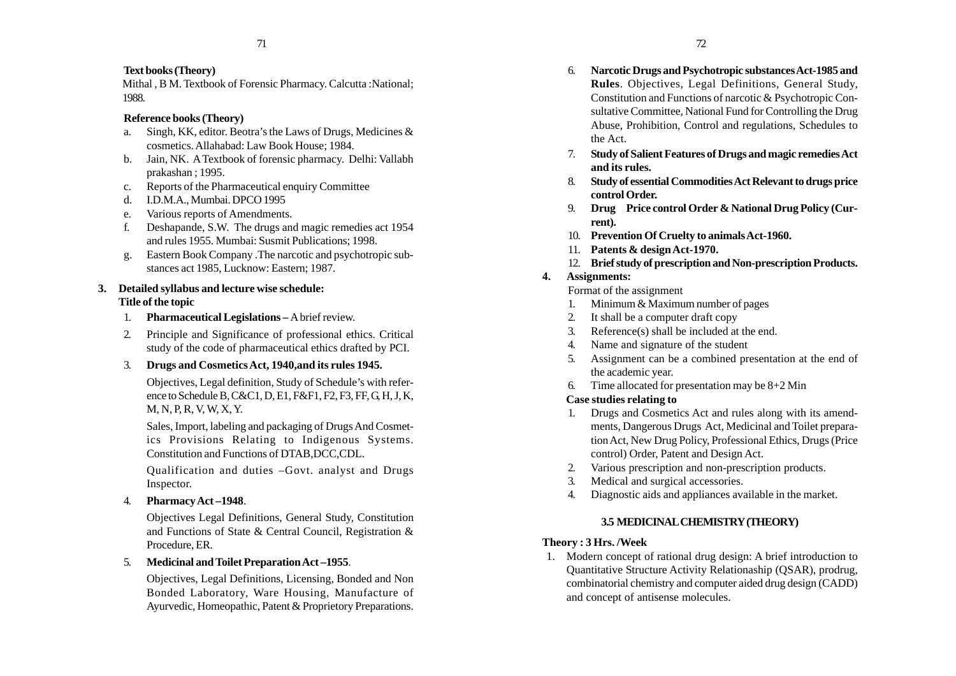# **Text books (Theory)**

Mithal , B M. Textbook of Forensic Pharmacy. Calcutta :National; 1988.

### **Reference books (Theory)**

- a. Singh, KK, editor. Beotra's the Laws of Drugs, Medicines & cosmetics. Allahabad: Law Book House; 1984.
- b. Jain, NK. A Textbook of forensic pharmacy. Delhi: Vallabh prakashan ; 1995.
- c. Reports of the Pharmaceutical enquiry Committee
- d. I.D.M.A., Mumbai. DPCO 1995
- e. Various reports of Amendments.
- f. Deshapande, S.W. The drugs and magic remedies act 1954 and rules 1955. Mumbai: Susmit Publications; 1998.
- g. Eastern Book Company .The narcotic and psychotropic substances act 1985, Lucknow: Eastern; 1987.

### **3. Detailed syllabus and lecture wise schedule: Title of the topic**

- 1. **Pharmaceutical Legislations** A brief review.
- 2. Principle and Significance of professional ethics. Critical study of the code of pharmaceutical ethics drafted by PCI.
- 3. **Drugs and Cosmetics Act, 1940,and its rules 1945.**

Objectives, Legal definition, Study of Schedule's with reference to Schedule B, C&C1, D, E1, F&F1, F2, F3, FF, G, H, J, K, M, N, P, R, V, W, X, Y.

Sales, Import, labeling and packaging of Drugs And Cosmetics Provisions Relating to Indigenous Systems. Constitution and Functions of DTAB,DCC,CDL.

Qualification and duties –Govt. analyst and Drugs Inspector.

4. **Pharmacy Act –1948**.

Objectives Legal Definitions, General Study, Constitution and Functions of State & Central Council, Registration & Procedure, ER.

5. **Medicinal and Toilet Preparation Act –1955**.

Objectives, Legal Definitions, Licensing, Bonded and Non Bonded Laboratory, Ware Housing, Manufacture of Ayurvedic, Homeopathic, Patent & Proprietory Preparations.

- 6. **Narcotic Drugs and Psychotropic substances Act-1985 and Rules**. Objectives, Legal Definitions, General Study, Constitution and Functions of narcotic & Psychotropic Consultative Committee, National Fund for Controlling the Drug Abuse, Prohibition, Control and regulations, Schedules to the Act.
- 7. **Study of Salient Features of Drugs and magic remedies Act and its rules.**
- 8. **Study of essential Commodities Act Relevant to drugs price control Order.**
- 9. **Drug Price control Order & National Drug Policy (Current).**
- 10. **Prevention Of Cruelty to animals Act-1960.**
- 11. **Patents & design Act-1970.**
- 12. **Brief study of prescription and Non-prescription Products.**
- **4. Assignments:**

Format of the assignment

- 1. Minimum & Maximum number of pages
- 2. It shall be a computer draft copy
- 3. Reference(s) shall be included at the end.
- 4. Name and signature of the student
- 5. Assignment can be a combined presentation at the end of the academic year.
- 6. Time allocated for presentation may be 8+2 Min

# **Case studies relating to**

- 1. Drugs and Cosmetics Act and rules along with its amendments, Dangerous Drugs Act, Medicinal and Toilet preparation Act, New Drug Policy, Professional Ethics, Drugs (Price control) Order, Patent and Design Act.
- 2. Various prescription and non-prescription products.
- 3. Medical and surgical accessories.
- 4. Diagnostic aids and appliances available in the market.

# **3.5 MEDICINAL CHEMISTRY (THEORY)**

# **Theory : 3 Hrs. /Week**

 1. Modern concept of rational drug design: A brief introduction to Quantitative Structure Activity Relationaship (QSAR), prodrug, combinatorial chemistry and computer aided drug design (CADD) and concept of antisense molecules.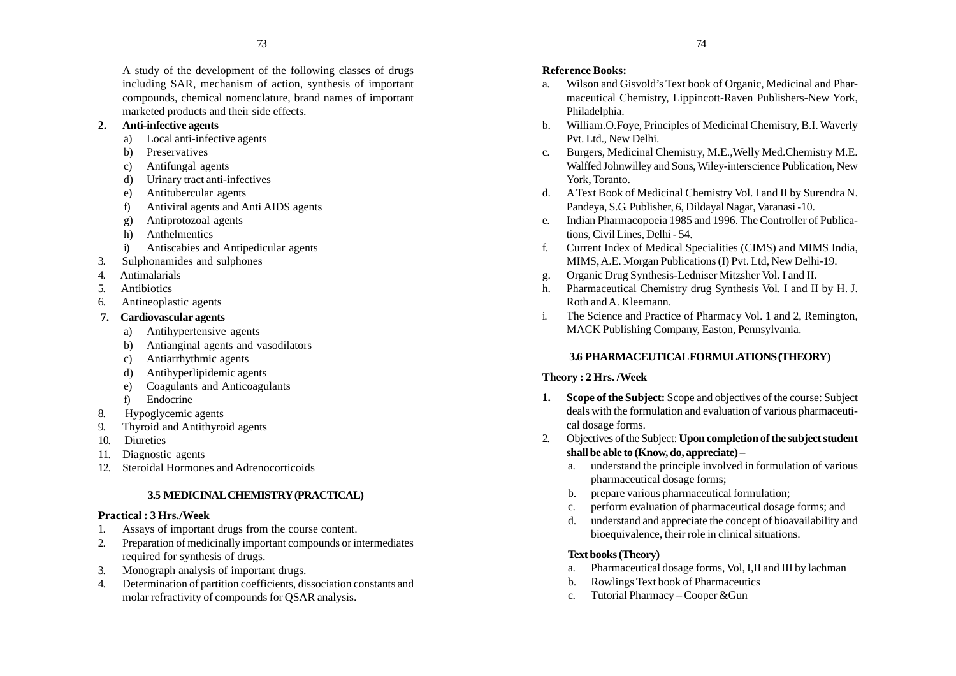A study of the development of the following classes of drugs including SAR, mechanism of action, synthesis of important compounds, chemical nomenclature, brand names of important marketed products and their side effects.

### **2. Anti-infective agents**

- a) Local anti-infective agents
- b) Preservatives
- c) Antifungal agents
- d) Urinary tract anti-infectives
- e) Antitubercular agents
- f) Antiviral agents and Anti AIDS agents
- g) Antiprotozoal agents
- h) Anthelmentics
- i) Antiscabies and Antipedicular agents
- 3. Sulphonamides and sulphones
- 4. Antimalarials
- 5. Antibiotics
- 6. Antineoplastic agents

### **7. Cardiovascular agents**

- a) Antihypertensive agents
- b) Antianginal agents and vasodilators
- c) Antiarrhythmic agents
- d) Antihyperlipidemic agents
- e) Coagulants and Anticoagulants
- f) Endocrine
- 8. Hypoglycemic agents
- 9. Thyroid and Antithyroid agents
- 10. Diureties
- 11. Diagnostic agents
- 12. Steroidal Hormones and Adrenocorticoids

### **3.5 MEDICINAL CHEMISTRY (PRACTICAL)**

### **Practical : 3 Hrs./Week**

- 1. Assays of important drugs from the course content.
- 2. Preparation of medicinally important compounds or intermediates required for synthesis of drugs.
- 3. Monograph analysis of important drugs.
- 4. Determination of partition coefficients, dissociation constants and molar refractivity of compounds for QSAR analysis.

### **Reference Books:**

- a. Wilson and Gisvold's Text book of Organic, Medicinal and Pharmaceutical Chemistry, Lippincott-Raven Publishers-New York, Philadelphia.
- b. William.O.Foye, Principles of Medicinal Chemistry, B.I. Waverly Pvt. Ltd., New Delhi.
- c. Burgers, Medicinal Chemistry, M.E.,Welly Med.Chemistry M.E. Walffed Johnwilley and Sons, Wiley-interscience Publication, New York, Toranto.
- d. A Text Book of Medicinal Chemistry Vol. I and II by Surendra N. Pandeya, S.G. Publisher, 6, Dildayal Nagar, Varanasi -10.
- e. Indian Pharmacopoeia 1985 and 1996. The Controller of Publications, Civil Lines, Delhi - 54.
- f. Current Index of Medical Specialities (CIMS) and MIMS India, MIMS, A.E. Morgan Publications (I) Pvt. Ltd, New Delhi-19.
- g. Organic Drug Synthesis-Ledniser Mitzsher Vol. I and II.
- h. Pharmaceutical Chemistry drug Synthesis Vol. I and II by H. J. Roth and A. Kleemann.
- i. The Science and Practice of Pharmacy Vol. 1 and 2, Remington, MACK Publishing Company, Easton, Pennsylvania.

### **3.6 PHARMACEUTICAL FORMULATIONS (THEORY)**

### **Theory : 2 Hrs. /Week**

- **1. Scope of the Subject:** Scope and objectives of the course: Subject deals with the formulation and evaluation of various pharmaceutical dosage forms.
- 2. Objectives of the Subject: **Upon completion of the subject student shall be able to (Know, do, appreciate) –**
	- a. understand the principle involved in formulation of various pharmaceutical dosage forms;
	- b. prepare various pharmaceutical formulation;
	- c. perform evaluation of pharmaceutical dosage forms; and
	- d. understand and appreciate the concept of bioavailability and bioequivalence, their role in clinical situations.

### **Text books (Theory)**

- a. Pharmaceutical dosage forms, Vol, I,II and III by lachman
- b. Rowlings Text book of Pharmaceutics
- c. Tutorial Pharmacy Cooper &Gun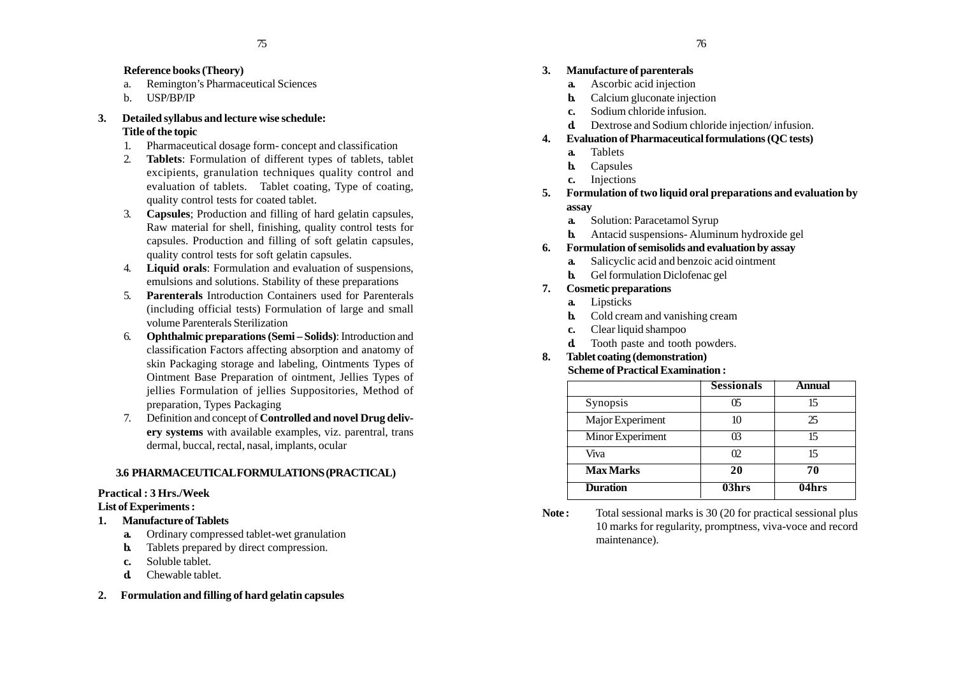### **Reference books (Theory)**

- a. Remington's Pharmaceutical Sciences
- b. USP/BP/IP

### **3. Detailed syllabus and lecture wise schedule: Title of the topic**

- 1. Pharmaceutical dosage form- concept and classification
- 2. **Tablets**: Formulation of different types of tablets, tablet excipients, granulation techniques quality control and evaluation of tablets. Tablet coating, Type of coating, quality control tests for coated tablet.
- 3. **Capsules**; Production and filling of hard gelatin capsules, Raw material for shell, finishing, quality control tests for capsules. Production and filling of soft gelatin capsules, quality control tests for soft gelatin capsules.
- 4. **Liquid orals**: Formulation and evaluation of suspensions, emulsions and solutions. Stability of these preparations
- 5. **Parenterals** Introduction Containers used for Parenterals (including official tests) Formulation of large and small volume Parenterals Sterilization
- 6. **Ophthalmic preparations (Semi Solids)**: Introduction and classification Factors affecting absorption and anatomy of skin Packaging storage and labeling, Ointments Types of Ointment Base Preparation of ointment, Jellies Types of jellies Formulation of jellies Suppositories, Method of preparation, Types Packaging
- 7. Definition and concept of **Controlled and novel Drug delivery systems** with available examples, viz. parentral, trans dermal, buccal, rectal, nasal, implants, ocular

### **3.6 PHARMACEUTICAL FORMULATIONS (PRACTICAL)**

### **Practical : 3 Hrs./Week**

### **List of Experiments :**

- **1. Manufacture of Tablets**
	- **a.** Ordinary compressed tablet-wet granulation
	- **b.** Tablets prepared by direct compression.
	- **c.** Soluble tablet.
	- **d.** Chewable tablet.
- **2. Formulation and filling of hard gelatin capsules**

### **3. Manufacture of parenterals**

- **a.** Ascorbic acid injection
- **b.** Calcium gluconate injection
- **c.** Sodium chloride infusion.
- **d.** Dextrose and Sodium chloride injection/ infusion.

### **4. Evaluation of Pharmaceutical formulations (QC tests)**

- **a.** Tablets
- **b.** Capsules
- **c.** Injections
- **5. Formulation of two liquid oral preparations and evaluation by assay**
	- **a.** Solution: Paracetamol Syrup
	- **b.** Antacid suspensions- Aluminum hydroxide gel

## **6. Formulation of semisolids and evaluation by assay**

- **a.** Salicyclic acid and benzoic acid ointment
- **b.** Gel formulation Diclofenac gel
- **7. Cosmetic preparations**
	- **a.** Lipsticks
	- **b.** Cold cream and vanishing cream
	- **c.** Clear liquid shampoo
	- **d.** Tooth paste and tooth powders.

# **8. Tablet coating (demonstration)**

### **Scheme of Practical Examination :**

|                  | <b>Sessionals</b> | Annual |
|------------------|-------------------|--------|
| Synopsis         | 05                | 15     |
| Major Experiment | 10                | 25     |
| Minor Experiment | ന്ദ               | 15     |
| Viva             | œ                 | 15     |
| <b>Max Marks</b> | 20                | 70     |
| <b>Duration</b>  | 03hrs             | 04hrs  |

Note: Total sessional marks is 30 (20 for practical sessional plus 10 marks for regularity, promptness, viva-voce and record maintenance).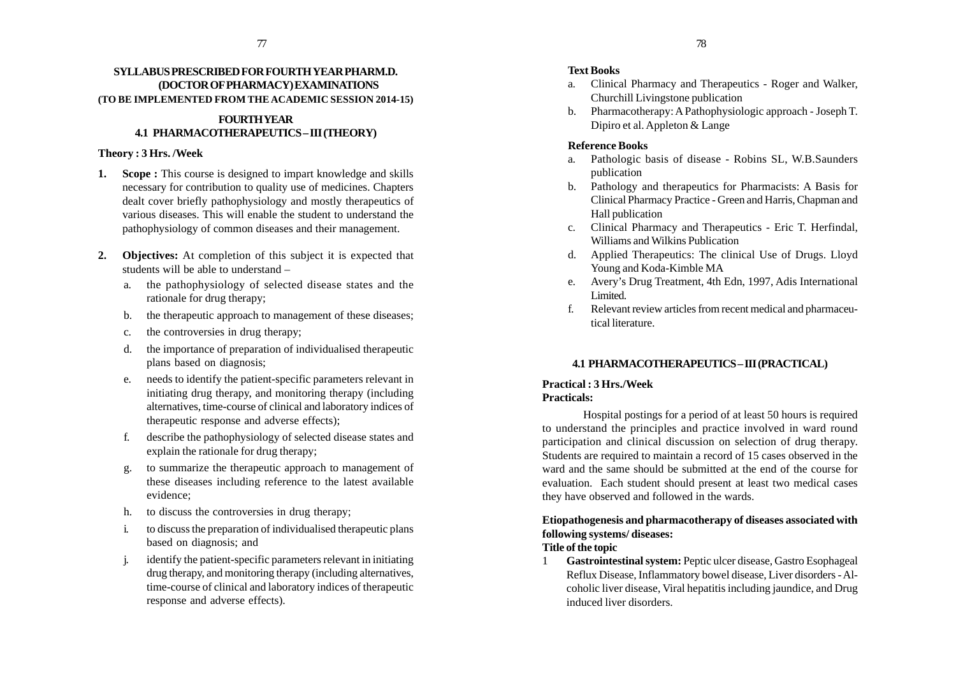### **SYLLABUS PRESCRIBED FOR FOURTH YEAR PHARM.D. (DOCTOR OF PHARMACY) EXAMINATIONS (TO BE IMPLEMENTED FROM THE ACADEMIC SESSION 2014-15)**

### **FOURTH YEAR 4.1 PHARMACOTHERAPEUTICS – III (THEORY)**

### **Theory : 3 Hrs. /Week**

- **1. Scope :** This course is designed to impart knowledge and skills necessary for contribution to quality use of medicines. Chapters dealt cover briefly pathophysiology and mostly therapeutics of various diseases. This will enable the student to understand the pathophysiology of common diseases and their management.
- **2. Objectives:** At completion of this subject it is expected that students will be able to understand –
	- a. the pathophysiology of selected disease states and the rationale for drug therapy;
	- b. the therapeutic approach to management of these diseases;
	- c. the controversies in drug therapy;
	- d. the importance of preparation of individualised therapeutic plans based on diagnosis;
	- e. needs to identify the patient-specific parameters relevant in initiating drug therapy, and monitoring therapy (including alternatives, time-course of clinical and laboratory indices of therapeutic response and adverse effects);
	- f. describe the pathophysiology of selected disease states and explain the rationale for drug therapy;
	- g. to summarize the therapeutic approach to management of these diseases including reference to the latest available evidence;
	- h. to discuss the controversies in drug therapy;
	- i. to discuss the preparation of individualised therapeutic plans based on diagnosis; and
	- j. identify the patient-specific parameters relevant in initiating drug therapy, and monitoring therapy (including alternatives, time-course of clinical and laboratory indices of therapeutic response and adverse effects).

### **Text Books**

- a. Clinical Pharmacy and Therapeutics Roger and Walker, Churchill Livingstone publication
- b. Pharmacotherapy: A Pathophysiologic approach Joseph T. Dipiro et al. Appleton & Lange

### **Reference Books**

- a. Pathologic basis of disease Robins SL, W.B.Saunders publication
- b. Pathology and therapeutics for Pharmacists: A Basis for Clinical Pharmacy Practice - Green and Harris, Chapman and Hall publication
- c. Clinical Pharmacy and Therapeutics Eric T. Herfindal, Williams and Wilkins Publication
- d. Applied Therapeutics: The clinical Use of Drugs. Lloyd Young and Koda-Kimble MA
- e. Avery's Drug Treatment, 4th Edn, 1997, Adis International Limited.
- f. Relevant review articles from recent medical and pharmaceutical literature.

### **4.1 PHARMACOTHERAPEUTICS – III (PRACTICAL)**

### **Practical : 3 Hrs./Week Practicals:**

Hospital postings for a period of at least 50 hours is required to understand the principles and practice involved in ward round participation and clinical discussion on selection of drug therapy. Students are required to maintain a record of 15 cases observed in the ward and the same should be submitted at the end of the course for evaluation. Each student should present at least two medical cases they have observed and followed in the wards.

# **Etiopathogenesis and pharmacotherapy of diseases associated with following systems/ diseases:**

### **Title of the topic**

1 **Gastrointestinal system:** Peptic ulcer disease, Gastro Esophageal Reflux Disease, Inflammatory bowel disease, Liver disorders - Alcoholic liver disease, Viral hepatitis including jaundice, and Drug induced liver disorders.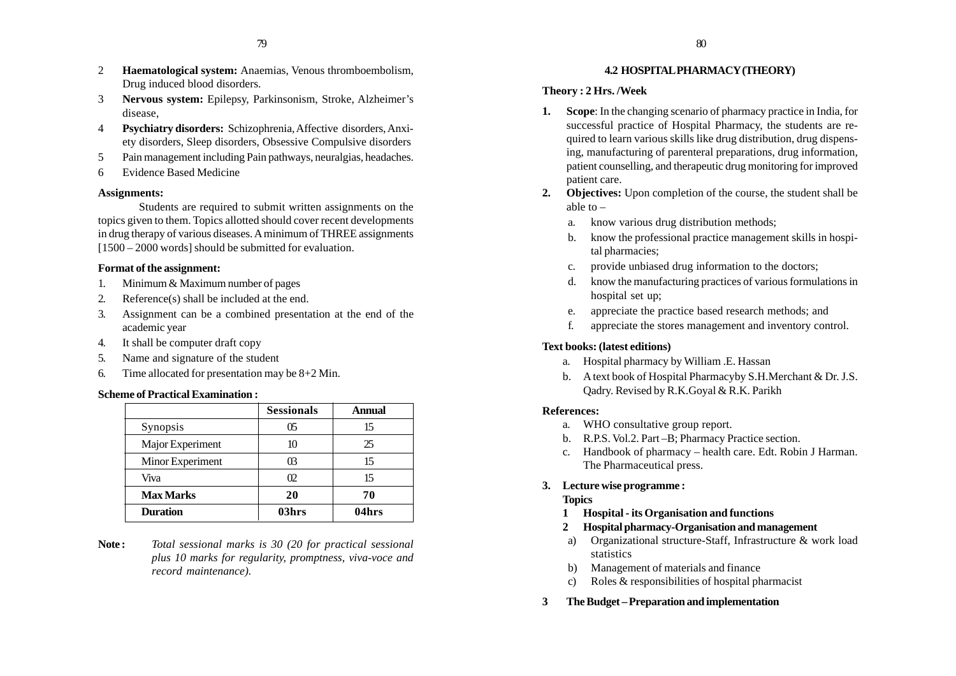- 2 **Haematological system:** Anaemias, Venous thromboembolism, Drug induced blood disorders.
- 3 **Nervous system:** Epilepsy, Parkinsonism, Stroke, Alzheimer's disease,
- 4 **Psychiatry disorders:** Schizophrenia, Affective disorders, Anxiety disorders, Sleep disorders, Obsessive Compulsive disorders
- 5 Pain management including Pain pathways, neuralgias, headaches.
- 6 Evidence Based Medicine

#### **Assignments:**

Students are required to submit written assignments on the topics given to them. Topics allotted should cover recent developments in drug therapy of various diseases. A minimum of THREE assignments [1500 – 2000 words] should be submitted for evaluation.

### **Format of the assignment:**

- 1. Minimum & Maximum number of pages
- 2. Reference(s) shall be included at the end.
- 3. Assignment can be a combined presentation at the end of the academic year
- 4. It shall be computer draft copy
- 5. Name and signature of the student
- 6. Time allocated for presentation may be 8+2 Min.

#### **Scheme of Practical Examination :**

|                  | <b>Sessionals</b> | <b>Annual</b> |
|------------------|-------------------|---------------|
| Synopsis         | 05                | 15            |
| Major Experiment | 10                | 25            |
| Minor Experiment | œ                 | 15            |
| Viva             | $\Omega$          | 15            |
| <b>Max Marks</b> | 20                | 70            |
| <b>Duration</b>  | 03hrs             | 04hrs         |

**Note :** *Total sessional marks is 30 (20 for practical sessional plus 10 marks for regularity, promptness, viva-voce and record maintenance).*

#### **4.2 HOSPITAL PHARMACY (THEORY)**

#### **Theory : 2 Hrs. /Week**

- **1. Scope**: In the changing scenario of pharmacy practice in India, for successful practice of Hospital Pharmacy, the students are required to learn various skills like drug distribution, drug dispensing, manufacturing of parenteral preparations, drug information, patient counselling, and therapeutic drug monitoring for improved patient care.
- **2. Objectives:** Upon completion of the course, the student shall be able to  $$ 
	- a. know various drug distribution methods;
	- b. know the professional practice management skills in hospital pharmacies;
	- c. provide unbiased drug information to the doctors;
	- d. know the manufacturing practices of various formulations in hospital set up;
	- e. appreciate the practice based research methods; and
	- f. appreciate the stores management and inventory control.

#### **Text books: (latest editions)**

- a. Hospital pharmacy by William .E. Hassan
- b. A text book of Hospital Pharmacyby S.H.Merchant & Dr. J.S. Qadry. Revised by R.K.Goyal & R.K. Parikh

#### **References:**

- a. WHO consultative group report.
- b. R.P.S. Vol.2. Part –B; Pharmacy Practice section.
- c. Handbook of pharmacy health care. Edt. Robin J Harman. The Pharmaceutical press.
- **3. Lecture wise programme :**

#### **Topics**

- **1 Hospital its Organisation and functions**
- **2 Hospital pharmacy-Organisation and management**
- a) Organizational structure-Staff, Infrastructure & work load statistics
- b) Management of materials and finance
- c) Roles & responsibilities of hospital pharmacist
- **3 The Budget Preparation and implementation**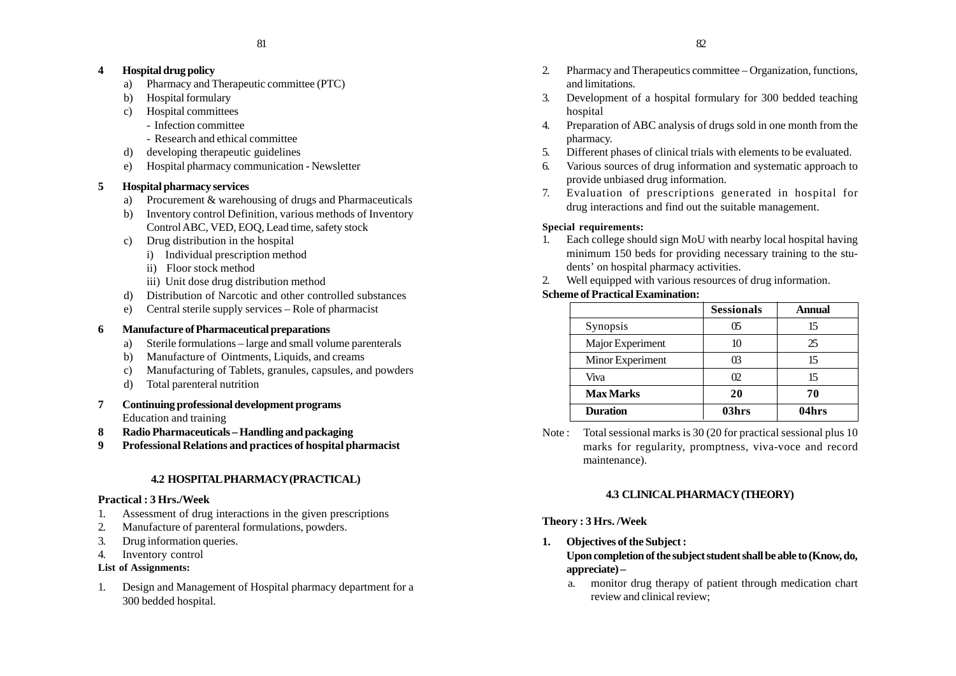### **4 Hospital drug policy**

- a) Pharmacy and Therapeutic committee (PTC)
- b) Hospital formulary
- c) Hospital committees
	- Infection committee
	- Research and ethical committee
- d) developing therapeutic guidelines
- e) Hospital pharmacy communication Newsletter

### **5 Hospital pharmacy services**

- a) Procurement & warehousing of drugs and Pharmaceuticals
- b) Inventory control Definition, various methods of Inventory Control ABC, VED, EOQ, Lead time, safety stock
- c) Drug distribution in the hospital
	- i) Individual prescription method
	- ii) Floor stock method
	- iii) Unit dose drug distribution method
- d) Distribution of Narcotic and other controlled substances
- e) Central sterile supply services Role of pharmacist

### **6 Manufacture of Pharmaceutical preparations**

- a) Sterile formulations large and small volume parenterals
- b) Manufacture of Ointments, Liquids, and creams
- c) Manufacturing of Tablets, granules, capsules, and powders
- d) Total parenteral nutrition
- **7 Continuing professional development programs** Education and training
- **8 Radio Pharmaceuticals Handling and packaging**
- **9 Professional Relations and practices of hospital pharmacist**

# **4.2 HOSPITAL PHARMACY (PRACTICAL)**

### **Practical : 3 Hrs./Week**

- 1. Assessment of drug interactions in the given prescriptions
- 2. Manufacture of parenteral formulations, powders.
- 3. Drug information queries.
- 4. Inventory control

# **List of Assignments:**

1. Design and Management of Hospital pharmacy department for a 300 bedded hospital.

- 2. Pharmacy and Therapeutics committee Organization, functions, and limitations.
- 3. Development of a hospital formulary for 300 bedded teaching hospital
- 4. Preparation of ABC analysis of drugs sold in one month from the pharmacy.
- 5. Different phases of clinical trials with elements to be evaluated.
- 6. Various sources of drug information and systematic approach to provide unbiased drug information.
- 7. Evaluation of prescriptions generated in hospital for drug interactions and find out the suitable management.

# **Special requirements:**

- 1. Each college should sign MoU with nearby local hospital having minimum 150 beds for providing necessary training to the students' on hospital pharmacy activities.
- 2. Well equipped with various resources of drug information.

### **Scheme of Practical Examination:**

|                  | <b>Sessionals</b> | Annual |
|------------------|-------------------|--------|
| <b>Synopsis</b>  | 05                | 15     |
| Major Experiment |                   | 25     |
| Minor Experiment | ന്ദ               | 15     |
| Viva             | œ                 | 15     |
| <b>Max Marks</b> | 20                | 70     |
| <b>Duration</b>  | 03hrs             | 04hrs  |

Note : Total sessional marks is 30 (20 for practical sessional plus 10 marks for regularity, promptness, viva-voce and record maintenance).

# **4.3 CLINICAL PHARMACY (THEORY)**

# **Theory : 3 Hrs. /Week**

- **1. Objectives of the Subject : Upon completion of the subject student shall be able to (Know, do, appreciate) –**
	- a. monitor drug therapy of patient through medication chart review and clinical review;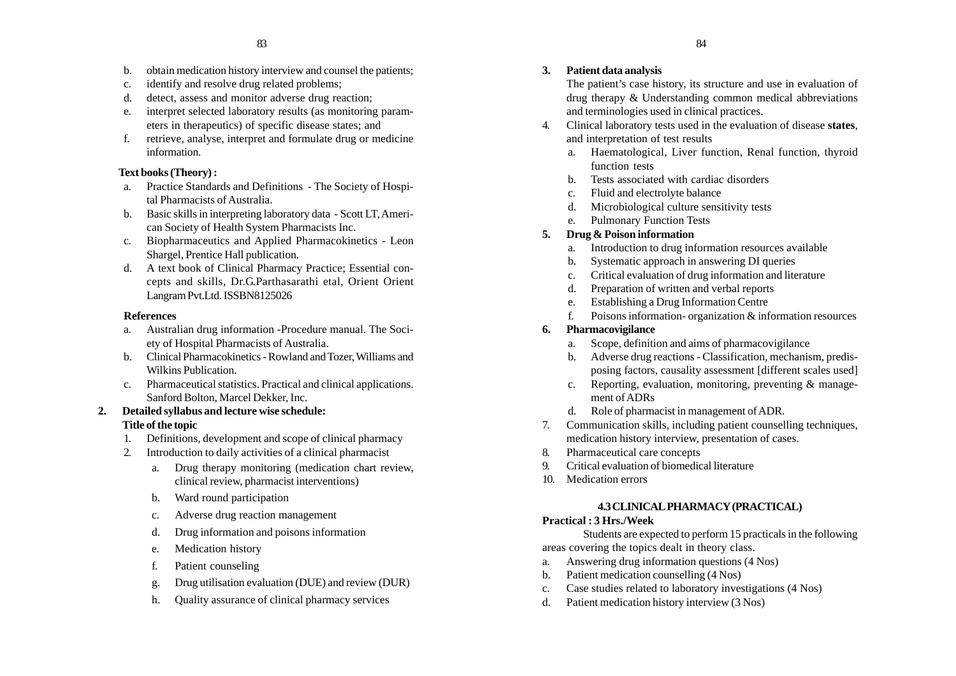- b. obtain medication history interview and counsel the patients;
- c. identify and resolve drug related problems;
- d. detect, assess and monitor adverse drug reaction;
- e. interpret selected laboratory results (as monitoring parameters in therapeutics) of specific disease states; and
- f. retrieve, analyse, interpret and formulate drug or medicine information.

#### **Text books (Theory) :**

- a. Practice Standards and Definitions The Society of Hospital Pharmacists of Australia.
- b. Basic skills in interpreting laboratory data Scott LT, American Society of Health System Pharmacists Inc.
- c. Biopharmaceutics and Applied Pharmacokinetics Leon Shargel, Prentice Hall publication.
- d. A text book of Clinical Pharmacy Practice; Essential concepts and skills, Dr.G.Parthasarathi etal, Orient Orient Langram Pvt.Ltd. ISSBN8125026

#### **References**

- a. Australian drug information -Procedure manual. The Society of Hospital Pharmacists of Australia.
- b. Clinical Pharmacokinetics Rowland and Tozer, Williams and Wilkins Publication.
- c. Pharmaceutical statistics. Practical and clinical applications. Sanford Bolton, Marcel Dekker, Inc.

### **2. Detailed syllabus and lecture wise schedule: Title of the topic**

- 1. Definitions, development and scope of clinical pharmacy
- 2. Introduction to daily activities of a clinical pharmacist
	- a. Drug therapy monitoring (medication chart review, clinical review, pharmacist interventions)
	- b. Ward round participation
	- c. Adverse drug reaction management
	- d. Drug information and poisons information
	- e. Medication history
	- f. Patient counseling
	- g. Drug utilisation evaluation (DUE) and review (DUR)
	- h. Quality assurance of clinical pharmacy services

### **3. Patient data analysis**

The patient's case history, its structure and use in evaluation of drug therapy & Understanding common medical abbreviations and terminologies used in clinical practices.

- 4. Clinical laboratory tests used in the evaluation of disease **states**, and interpretation of test results
	- a. Haematological, Liver function, Renal function, thyroid function tests
	- b. Tests associated with cardiac disorders
	- c. Fluid and electrolyte balance
	- d. Microbiological culture sensitivity tests
	- e. Pulmonary Function Tests

#### **5. Drug & Poison information**

- a. Introduction to drug information resources available
- b. Systematic approach in answering DI queries
- c. Critical evaluation of drug information and literature
- d. Preparation of written and verbal reports
- e. Establishing a Drug Information Centre
- f. Poisons information- organization & information resources

### **6. Pharmacovigilance**

- a. Scope, definition and aims of pharmacovigilance
- b. Adverse drug reactions Classification, mechanism, predisposing factors, causality assessment [different scales used]
- c. Reporting, evaluation, monitoring, preventing & management of ADRs
- d. Role of pharmacist in management of ADR.
- 7. Communication skills, including patient counselling techniques, medication history interview, presentation of cases.
- 8. Pharmaceutical care concepts
- 9. Critical evaluation of biomedical literature
- 10. Medication errors

#### **4.3 CLINICAL PHARMACY (PRACTICAL)**

#### **Practical : 3 Hrs./Week**

Students are expected to perform 15 practicals in the following areas covering the topics dealt in theory class.

- a. Answering drug information questions (4 Nos)
- b. Patient medication counselling (4 Nos)
- c. Case studies related to laboratory investigations (4 Nos)
- d. Patient medication history interview (3 Nos)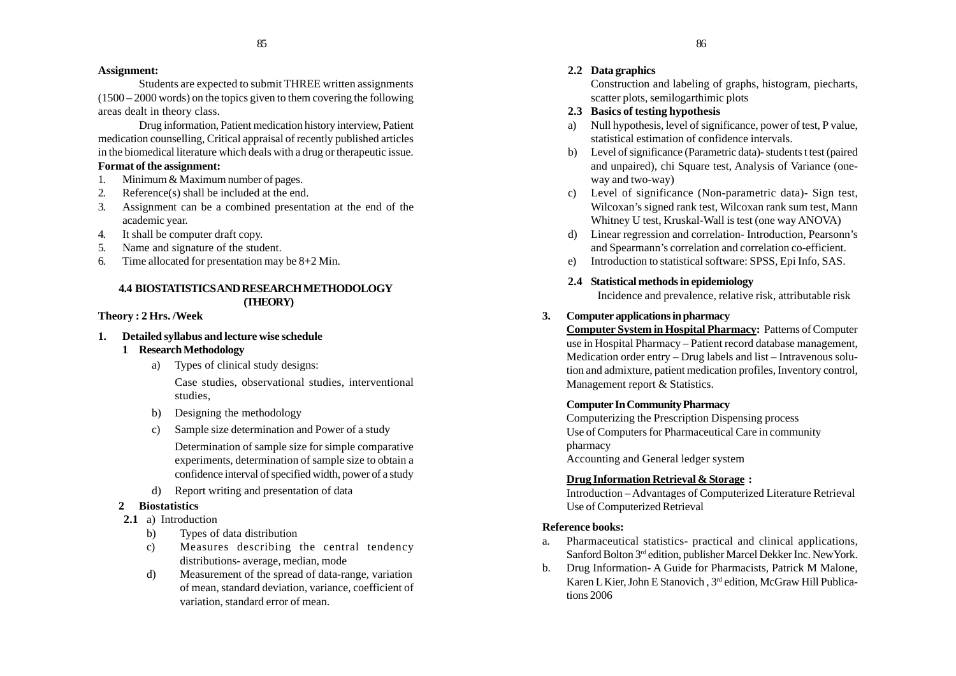#### **Assignment:**

Students are expected to submit THREE written assignments  $(1500 - 2000$  words) on the topics given to them covering the following areas dealt in theory class.

Drug information, Patient medication history interview, Patient medication counselling, Critical appraisal of recently published articles in the biomedical literature which deals with a drug or therapeutic issue.

# **Format of the assignment:**

- 1. Minimum & Maximum number of pages.
- 2. Reference(s) shall be included at the end.
- 3. Assignment can be a combined presentation at the end of the academic year.
- 4. It shall be computer draft copy.
- 5. Name and signature of the student.
- 6. Time allocated for presentation may be 8+2 Min.

### **4.4 BIOSTATISTICS AND RESEARCH METHODOLOGY (THEORY)**

### **Theory : 2 Hrs. /Week**

### **1. Detailed syllabus and lecture wise schedule**

#### **1 Research Methodology**

- a) Types of clinical study designs: Case studies, observational studies, interventional studies,
- b) Designing the methodology
- c) Sample size determination and Power of a study

Determination of sample size for simple comparative experiments, determination of sample size to obtain a confidence interval of specified width, power of a study

d) Report writing and presentation of data

### **2 Biostatistics**

- **2.1** a) Introduction
	- b) Types of data distribution
	- c) Measures describing the central tendency distributions- average, median, mode
	- d) Measurement of the spread of data-range, variation of mean, standard deviation, variance, coefficient of variation, standard error of mean.

### **2.2 Data graphics**

Construction and labeling of graphs, histogram, piecharts, scatter plots, semilogarthimic plots

### **2.3 Basics of testing hypothesis**

- a) Null hypothesis, level of significance, power of test, P value, statistical estimation of confidence intervals.
- b) Level of significance (Parametric data)- students t test (paired and unpaired), chi Square test, Analysis of Variance (oneway and two-way)
- c) Level of significance (Non-parametric data)- Sign test, Wilcoxan's signed rank test, Wilcoxan rank sum test, Mann Whitney U test, Kruskal-Wall is test (one way ANOVA)
- d) Linear regression and correlation- Introduction, Pearsonn's and Spearmann's correlation and correlation co-efficient.
- e) Introduction to statistical software: SPSS, Epi Info, SAS.

### **2.4 Statistical methods in epidemiology**

Incidence and prevalence, relative risk, attributable risk

### **3. Computer applications in pharmacy**

**Computer System in Hospital Pharmacy:** Patterns of Computer use in Hospital Pharmacy – Patient record database management, Medication order entry – Drug labels and list – Intravenous solution and admixture, patient medication profiles, Inventory control, Management report & Statistics.

### **Computer In Community Pharmacy**

Computerizing the Prescription Dispensing process Use of Computers for Pharmaceutical Care in community pharmacy Accounting and General ledger system

### **Drug Information Retrieval & Storage :**

Introduction – Advantages of Computerized Literature Retrieval Use of Computerized Retrieval

### **Reference books:**

- a. Pharmaceutical statistics- practical and clinical applications, Sanford Bolton 3rd edition, publisher Marcel Dekker Inc. NewYork.
- b. Drug Information- A Guide for Pharmacists, Patrick M Malone, Karen L Kier, John E Stanovich , 3rd edition, McGraw Hill Publications 2006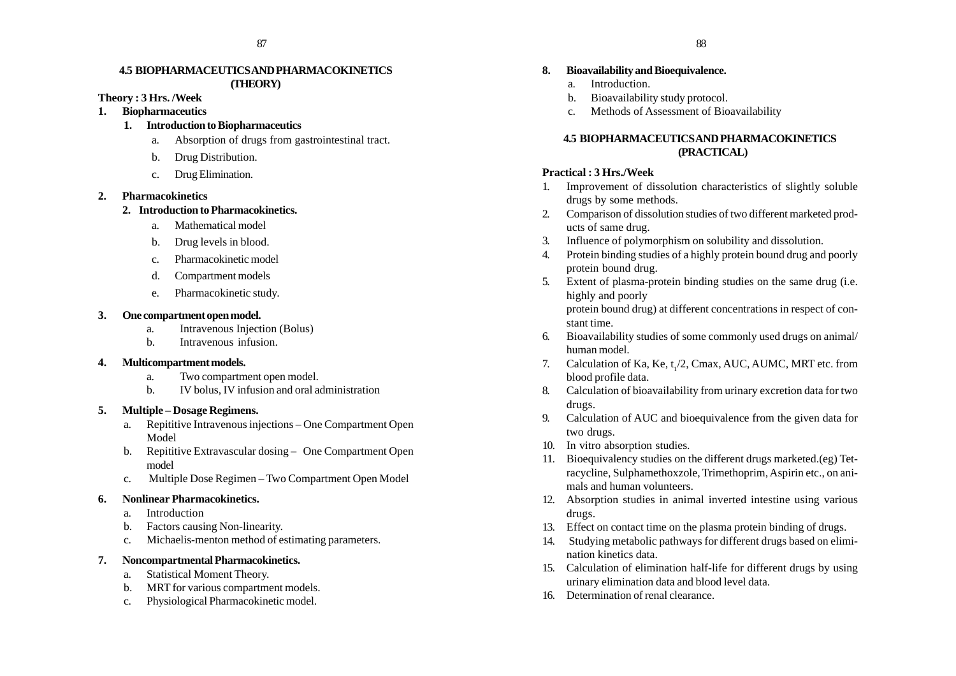#### **4.5 BIOPHARMACEUTICS AND PHARMACOKINETICS (THEORY)**

### **Theory : 3 Hrs. /Week**

- **1. Biopharmaceutics**
	- **1. Introduction to Biopharmaceutics**
		- a. Absorption of drugs from gastrointestinal tract.
		- b. Drug Distribution.
		- c. Drug Elimination.

### **2. Pharmacokinetics**

### **2. Introduction to Pharmacokinetics.**

- a. Mathematical model
- b. Drug levels in blood.
- c. Pharmacokinetic model
- d. Compartment models
- e. Pharmacokinetic study.

### **3. One compartment open model.**

- a. Intravenous Injection (Bolus)
- b. Intravenous infusion.

### **4. Multicompartment models.**

- a. Two compartment open model.
- b. IV bolus, IV infusion and oral administration

### **5. Multiple – Dosage Regimens.**

- a. Repititive Intravenous injections One Compartment Open Model
- b. Repititive Extravascular dosing One Compartment Open model
- c. Multiple Dose Regimen Two Compartment Open Model

### **6. Nonlinear Pharmacokinetics.**

- a. Introduction
- b. Factors causing Non-linearity.
- c. Michaelis-menton method of estimating parameters.

### **7. Noncompartmental Pharmacokinetics.**

- a. Statistical Moment Theory.
- b. MRT for various compartment models.
- c. Physiological Pharmacokinetic model.

### **8. Bioavailability and Bioequivalence.**

- a. Introduction.
- b. Bioavailability study protocol.
- c. Methods of Assessment of Bioavailability

### **4.5 BIOPHARMACEUTICS AND PHARMACOKINETICS (PRACTICAL)**

### **Practical : 3 Hrs./Week**

- 1. Improvement of dissolution characteristics of slightly soluble drugs by some methods.
- 2. Comparison of dissolution studies of two different marketed products of same drug.
- 3. Influence of polymorphism on solubility and dissolution.
- 4. Protein binding studies of a highly protein bound drug and poorly protein bound drug.
- 5. Extent of plasma-protein binding studies on the same drug (i.e. highly and poorly protein bound drug) at different concentrations in respect of constant time.
- 6. Bioavailability studies of some commonly used drugs on animal/ human model.
- 7. Calculation of Ka, Ke, t<sub>1</sub>/2, Cmax, AUC, AUMC, MRT etc. from blood profile data.
- 8. Calculation of bioavailability from urinary excretion data for two drugs.
- 9. Calculation of AUC and bioequivalence from the given data for two drugs.
- 10. In vitro absorption studies.
- 11. Bioequivalency studies on the different drugs marketed.(eg) Tetracycline, Sulphamethoxzole, Trimethoprim, Aspirin etc., on animals and human volunteers.
- 12. Absorption studies in animal inverted intestine using various drugs.
- 13. Effect on contact time on the plasma protein binding of drugs.
- 14. Studying metabolic pathways for different drugs based on elimination kinetics data.
- 15. Calculation of elimination half-life for different drugs by using urinary elimination data and blood level data.
- 16. Determination of renal clearance.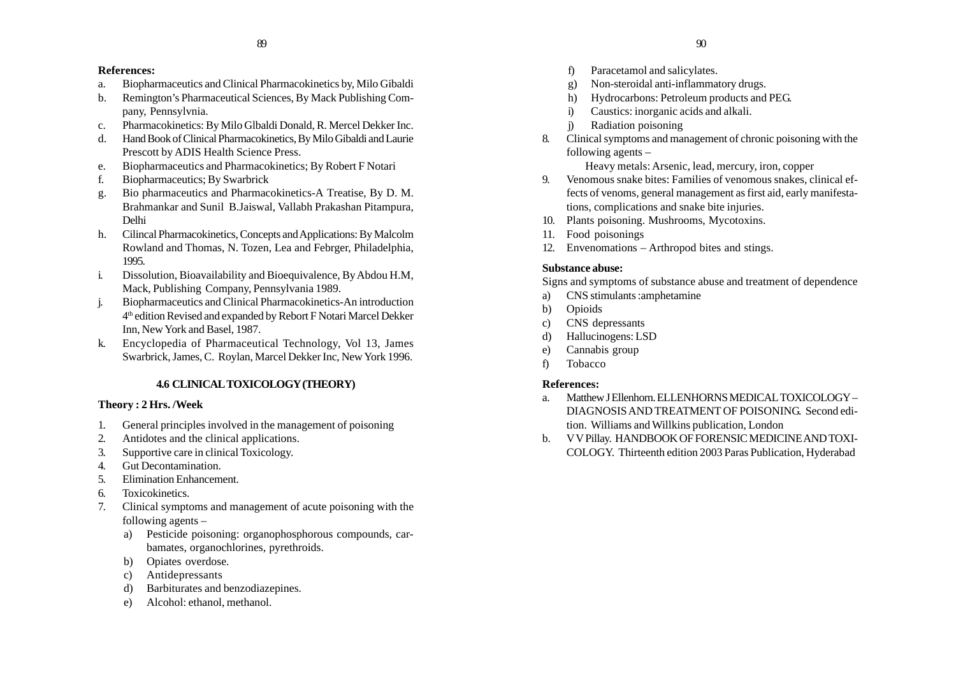#### **References:**

- a. Biopharmaceutics and Clinical Pharmacokinetics by, Milo Gibaldi
- b. Remington's Pharmaceutical Sciences, By Mack Publishing Company, Pennsylvnia.
- c. Pharmacokinetics: By Milo Glbaldi Donald, R. Mercel Dekker Inc.
- d. Hand Book of Clinical Pharmacokinetics, By Milo Gibaldi and Laurie Prescott by ADIS Health Science Press.
- e. Biopharmaceutics and Pharmacokinetics; By Robert F Notari
- f. Biopharmaceutics; By Swarbrick
- g. Bio pharmaceutics and Pharmacokinetics-A Treatise, By D. M. Brahmankar and Sunil B.Jaiswal, Vallabh Prakashan Pitampura, Delhi
- h. Cilincal Pharmacokinetics, Concepts and Applications: By Malcolm Rowland and Thomas, N. Tozen, Lea and Febrger, Philadelphia, 1995.
- i. Dissolution, Bioavailability and Bioequivalence, By Abdou H.M, Mack, Publishing Company, Pennsylvania 1989.
- j. Biopharmaceutics and Clinical Pharmacokinetics-An introduction 4th edition Revised and expanded by Rebort F Notari Marcel Dekker Inn, New York and Basel, 1987.
- k. Encyclopedia of Pharmaceutical Technology, Vol 13, James Swarbrick, James, C. Roylan, Marcel Dekker Inc, New York 1996.

### **4.6 CLINICAL TOXICOLOGY (THEORY)**

### **Theory : 2 Hrs. /Week**

- 1. General principles involved in the management of poisoning
- 2. Antidotes and the clinical applications.
- 3. Supportive care in clinical Toxicology.
- 4. Gut Decontamination.
- 5. Elimination Enhancement.
- 6. Toxicokinetics.
- 7. Clinical symptoms and management of acute poisoning with the following agents –
	- a) Pesticide poisoning: organophosphorous compounds, carbamates, organochlorines, pyrethroids.
	- b) Opiates overdose.
	- c) Antidepressants
	- d) Barbiturates and benzodiazepines.
	- e) Alcohol: ethanol, methanol.
- f) Paracetamol and salicylates.
- g) Non-steroidal anti-inflammatory drugs.
- h) Hydrocarbons: Petroleum products and PEG.
- i) Caustics: inorganic acids and alkali.
- j) Radiation poisoning
- 8. Clinical symptoms and management of chronic poisoning with the following agents –
	- Heavy metals: Arsenic, lead, mercury, iron, copper
- 9. Venomous snake bites: Families of venomous snakes, clinical effects of venoms, general management as first aid, early manifestations, complications and snake bite injuries.
- 10. Plants poisoning. Mushrooms, Mycotoxins.
- 11. Food poisonings
- 12. Envenomations Arthropod bites and stings.

### **Substance abuse:**

Signs and symptoms of substance abuse and treatment of dependence

- a) CNS stimulants :amphetamine
- b) Opioids
- c) CNS depressants
- d) Hallucinogens: LSD
- e) Cannabis group
- f) Tobacco

### **References:**

- a. Matthew J Ellenhorn. ELLENHORNS MEDICAL TOXICOLOGY DIAGNOSIS AND TREATMENT OF POISONING. Second edition. Williams and Willkins publication, London
- b. V V Pillay. HANDBOOK OF FORENSIC MEDICINE AND TOXI-COLOGY. Thirteenth edition 2003 Paras Publication, Hyderabad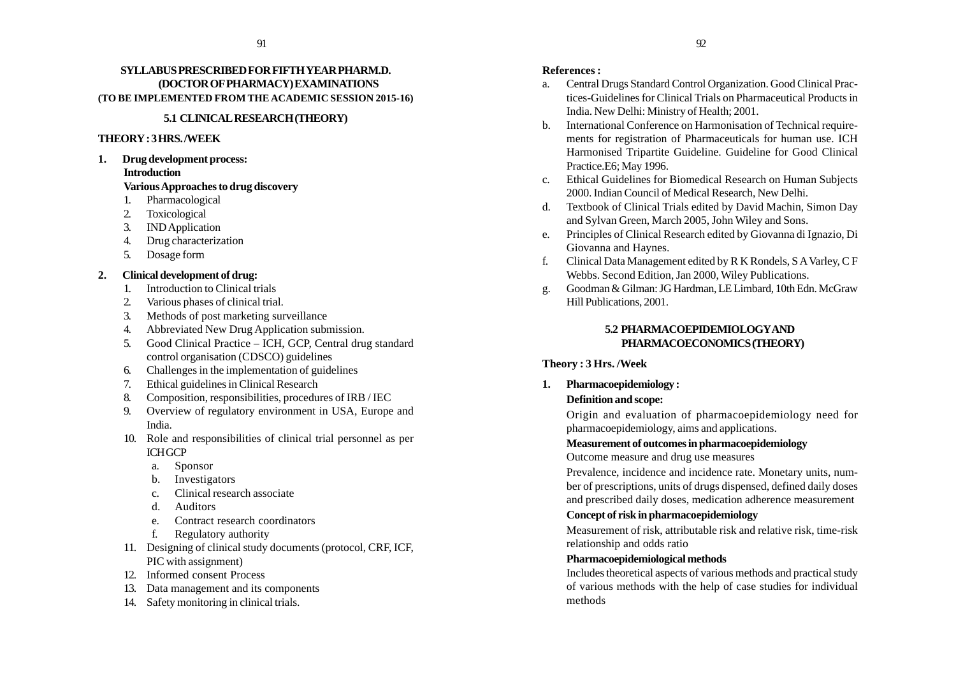### **SYLLABUS PRESCRIBED FOR FIFTH YEAR PHARM.D. (DOCTOR OF PHARMACY) EXAMINATIONS (TO BE IMPLEMENTED FROM THE ACADEMIC SESSION 2015-16)**

### **5.1 CLINICAL RESEARCH (THEORY)**

#### **THEORY : 3 HRS. /WEEK**

**1. Drug development process: Introduction**

### **Various Approaches to drug discovery**

- 1. Pharmacological
- 2. Toxicological
- 3. IND Application
- 4. Drug characterization
- 5. Dosage form

### **2. Clinical development of drug:**

- 1. Introduction to Clinical trials
- 2. Various phases of clinical trial.
- 3. Methods of post marketing surveillance
- 4. Abbreviated New Drug Application submission.
- 5. Good Clinical Practice ICH, GCP, Central drug standard control organisation (CDSCO) guidelines
- 6. Challenges in the implementation of guidelines
- 7. Ethical guidelines in Clinical Research
- 8. Composition, responsibilities, procedures of IRB / IEC
- 9. Overview of regulatory environment in USA, Europe and India.
- 10. Role and responsibilities of clinical trial personnel as per ICH GCP
	- a. Sponsor
	- b. Investigators
	- c. Clinical research associate
	- d. Auditors
	- e. Contract research coordinators
	- f. Regulatory authority
- 11. Designing of clinical study documents (protocol, CRF, ICF, PIC with assignment)
- 12. Informed consent Process
- 13. Data management and its components
- 14. Safety monitoring in clinical trials.

# **References :**

- a. Central Drugs Standard Control Organization. Good Clinical Practices-Guidelines for Clinical Trials on Pharmaceutical Products in India. New Delhi: Ministry of Health; 2001.
- b. International Conference on Harmonisation of Technical requirements for registration of Pharmaceuticals for human use. ICH Harmonised Tripartite Guideline. Guideline for Good Clinical Practice.E6; May 1996.
- c. Ethical Guidelines for Biomedical Research on Human Subjects 2000. Indian Council of Medical Research, New Delhi.
- d. Textbook of Clinical Trials edited by David Machin, Simon Day and Sylvan Green, March 2005, John Wiley and Sons.
- e. Principles of Clinical Research edited by Giovanna di Ignazio, Di Giovanna and Haynes.
- f. Clinical Data Management edited by R K Rondels, S A Varley, C F Webbs. Second Edition, Jan 2000, Wiley Publications.
- g. Goodman & Gilman: JG Hardman, LE Limbard, 10th Edn. McGraw Hill Publications, 2001.

### **5.2 PHARMACOEPIDEMIOLOGY AND PHARMACOECONOMICS (THEORY)**

# **Theory : 3 Hrs. /Week**

**1. Pharmacoepidemiology :**

# **Definition and scope:**

Origin and evaluation of pharmacoepidemiology need for pharmacoepidemiology, aims and applications.

### **Measurement of outcomes in pharmacoepidemiology**

Outcome measure and drug use measures

Prevalence, incidence and incidence rate. Monetary units, number of prescriptions, units of drugs dispensed, defined daily doses and prescribed daily doses, medication adherence measurement

### **Concept of risk in pharmacoepidemiology**

Measurement of risk, attributable risk and relative risk, time-risk relationship and odds ratio

### **Pharmacoepidemiological methods**

Includes theoretical aspects of various methods and practical study of various methods with the help of case studies for individual methods